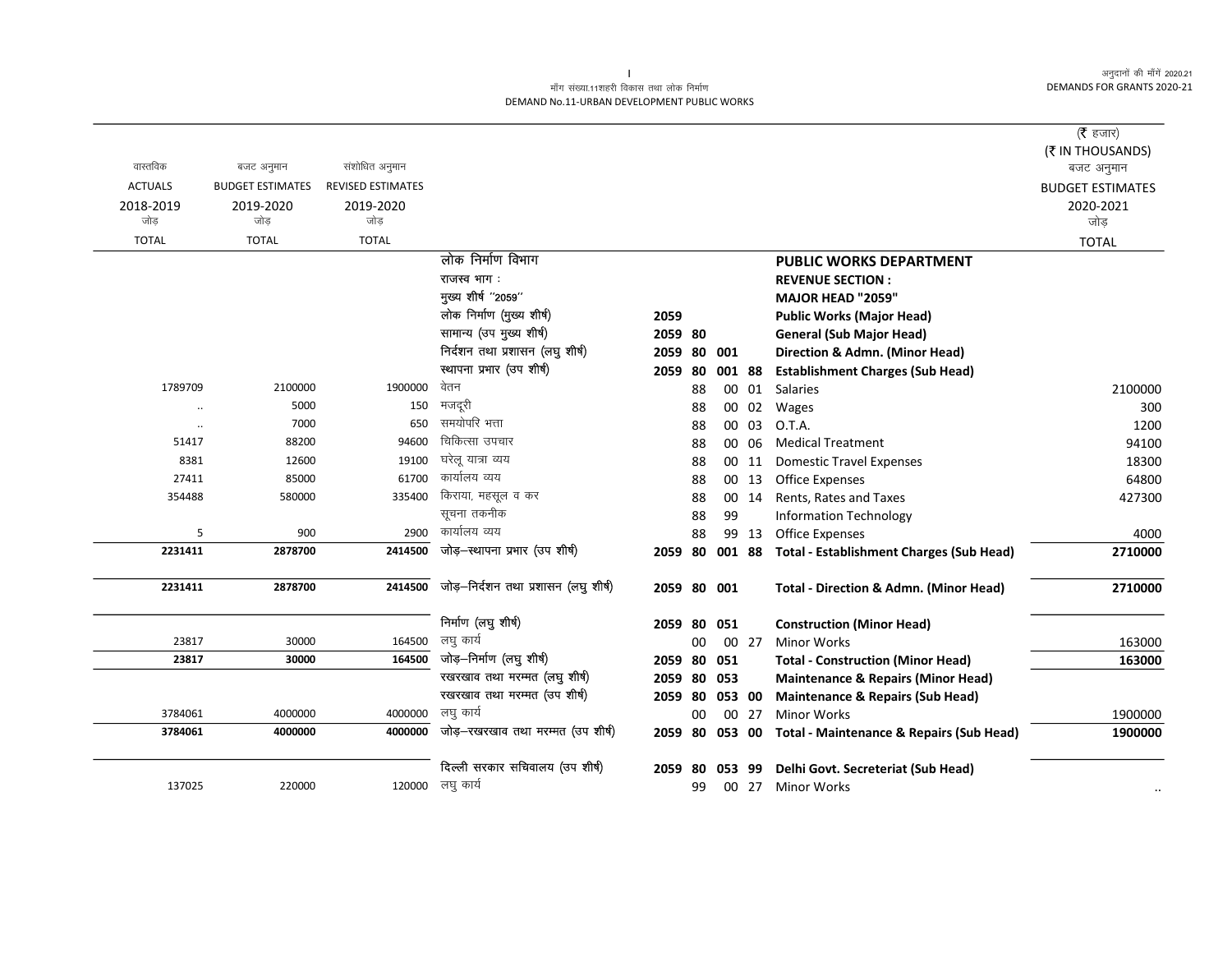### माँग संख्या.11शहरी विकास तथा लोक निर्माण DEMAND No.11-URBAN DEVELOPMENT PUBLIC WORKS

|                |                         |                          |                                      |             |     |        |       |                                                     | ( $\bar{\tau}$ हजार)<br>(₹ IN THOUSANDS) |
|----------------|-------------------------|--------------------------|--------------------------------------|-------------|-----|--------|-------|-----------------------------------------------------|------------------------------------------|
| वास्तविक       | बजट अनुमान              | संशोधित अनुमान           |                                      |             |     |        |       |                                                     | बजट अनुमान                               |
| <b>ACTUALS</b> | <b>BUDGET ESTIMATES</b> | <b>REVISED ESTIMATES</b> |                                      |             |     |        |       |                                                     | <b>BUDGET ESTIMATES</b>                  |
| 2018-2019      | 2019-2020               | 2019-2020                |                                      |             |     |        |       |                                                     | 2020-2021                                |
| जोड            | जोड                     | जोड                      |                                      |             |     |        |       |                                                     | जोड                                      |
| <b>TOTAL</b>   | <b>TOTAL</b>            | <b>TOTAL</b>             |                                      |             |     |        |       |                                                     | <b>TOTAL</b>                             |
|                |                         |                          | लोक निर्माण विभाग                    |             |     |        |       | <b>PUBLIC WORKS DEPARTMENT</b>                      |                                          |
|                |                         |                          | राजस्व भाग:                          |             |     |        |       | <b>REVENUE SECTION:</b>                             |                                          |
|                |                         |                          | मुख्य शीर्ष "2059"                   |             |     |        |       | MAJOR HEAD "2059"                                   |                                          |
|                |                         |                          | लोक निर्माण (मुख्य शीर्ष)            | 2059        |     |        |       | <b>Public Works (Major Head)</b>                    |                                          |
|                |                         |                          | सामान्य (उप मुख्य शीर्ष)             | 2059 80     |     |        |       | <b>General (Sub Major Head)</b>                     |                                          |
|                |                         |                          | निर्दशन तथा प्रशासन (लघु शीर्ष)      | 2059        | 80  | 001    |       | Direction & Admn. (Minor Head)                      |                                          |
|                |                         |                          | स्थापना प्रभार (उप शीर्ष)            | 2059        | 80  | 001 88 |       | <b>Establishment Charges (Sub Head)</b>             |                                          |
| 1789709        | 2100000                 | 1900000                  | वेतन                                 |             | 88  |        | 00 01 | Salaries                                            | 2100000                                  |
|                | 5000                    | 150                      | मजदूरी                               |             | 88  |        | 00 02 | Wages                                               | 300                                      |
| $\cdot\cdot$   | 7000                    | 650                      | समयोपरि भत्ता                        |             | 88  |        | 00 03 | O.T.A.                                              | 1200                                     |
| 51417          | 88200                   | 94600                    | चिकित्सा उपचार                       |             | 88  |        | 00 06 | <b>Medical Treatment</b>                            | 94100                                    |
| 8381           | 12600                   | 19100                    | घरेलू यात्रा व्यय                    |             | 88  |        | 00 11 | <b>Domestic Travel Expenses</b>                     | 18300                                    |
| 27411          | 85000                   | 61700                    | कार्यालय व्यय                        |             | 88  |        | 00 13 | Office Expenses                                     | 64800                                    |
| 354488         | 580000                  | 335400                   | किराया, महसूल व कर                   |             | 88  |        | 00 14 | Rents, Rates and Taxes                              | 427300                                   |
|                |                         |                          | सूचना तकनीक                          |             | 88  | 99     |       | <b>Information Technology</b>                       |                                          |
| 5              | 900                     | 2900                     | कार्यालय व्यय                        |             | 88  |        | 99 13 | <b>Office Expenses</b>                              | 4000                                     |
| 2231411        | 2878700                 | 2414500                  | जोड़-स्थापना प्रभार (उप शीर्ष)       | 2059        | 80  | 001 88 |       | <b>Total - Establishment Charges (Sub Head)</b>     | 2710000                                  |
| 2231411        | 2878700                 | 2414500                  | जोड़-निर्दशन तथा प्रशासन (लघु शीर्ष) | 2059 80 001 |     |        |       | <b>Total - Direction &amp; Admn. (Minor Head)</b>   | 2710000                                  |
|                |                         |                          | निर्माण (लघु शीर्ष)                  | 2059 80     |     | 051    |       | <b>Construction (Minor Head)</b>                    |                                          |
| 23817          | 30000                   | 164500                   | लघु कार्य                            |             | 00  |        | 00 27 | <b>Minor Works</b>                                  | 163000                                   |
| 23817          | 30000                   | 164500                   | जोड़-निर्माण (लघु शीर्ष)             | 2059 80     |     | 051    |       | <b>Total - Construction (Minor Head)</b>            | 163000                                   |
|                |                         |                          | रखरखाव तथा मरम्मत (लघु शीर्ष)        | 2059 80     |     | 053    |       | <b>Maintenance &amp; Repairs (Minor Head)</b>       |                                          |
|                |                         |                          | रखरखाव तथा मरम्मत (उप शीर्ष)         | 2059 80     |     | 053 00 |       | <b>Maintenance &amp; Repairs (Sub Head)</b>         |                                          |
| 3784061        | 4000000                 | 4000000                  | लघु कार्य                            |             | 00  |        | 00 27 | <b>Minor Works</b>                                  | 1900000                                  |
| 3784061        | 4000000                 | 4000000                  | जोड़-रखरखाव तथा मरम्मत (उप शीर्ष)    | 2059 80     |     | 053 00 |       | <b>Total - Maintenance &amp; Repairs (Sub Head)</b> | 1900000                                  |
|                |                         |                          | दिल्ली सरकार सचिवालय (उप शीर्ष)      | 2059        | -80 | 053 99 |       | Delhi Govt. Secreteriat (Sub Head)                  |                                          |
| 137025         | 220000                  |                          | 120000 लघु कार्य                     |             | 99  |        | 00 27 | <b>Minor Works</b>                                  |                                          |

 $\sim 1$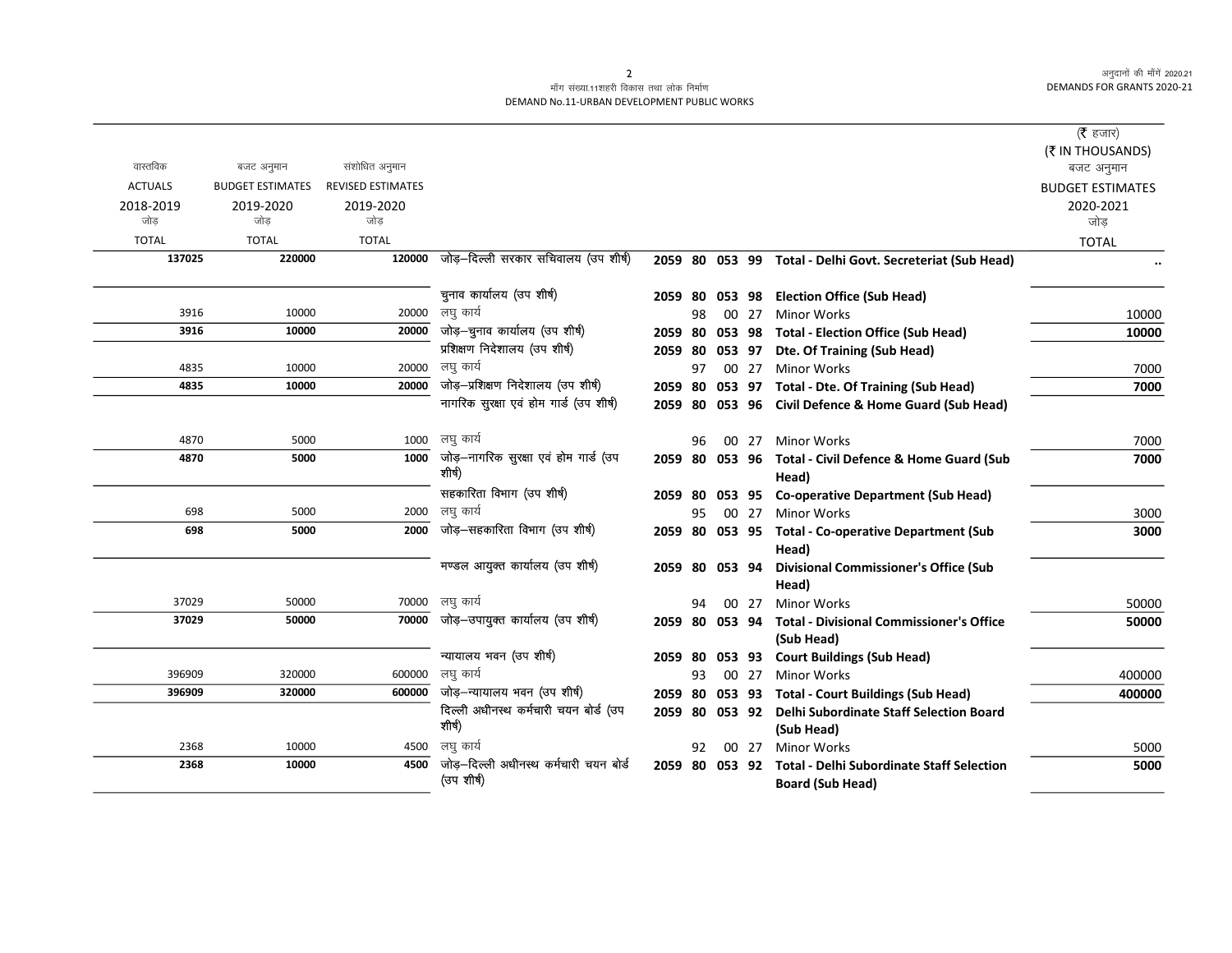#### .<br>माँग संख्या.11शहरी विकास तथा लोक निर्माण DEMAND No.11-URBAN DEVELOPMENT PUBLIC WORKS

|                  |                         |                          |                                         |                    |     |        |       |                                                                                             | (रै हजार)               |
|------------------|-------------------------|--------------------------|-----------------------------------------|--------------------|-----|--------|-------|---------------------------------------------------------------------------------------------|-------------------------|
|                  |                         |                          |                                         |                    |     |        |       |                                                                                             | (₹ IN THOUSANDS)        |
| वास्तविक         | बजट अनुमान              | संशोधित अनुमान           |                                         |                    |     |        |       |                                                                                             | बजट अनुमान              |
| <b>ACTUALS</b>   | <b>BUDGET ESTIMATES</b> | <b>REVISED ESTIMATES</b> |                                         |                    |     |        |       |                                                                                             | <b>BUDGET ESTIMATES</b> |
| 2018-2019<br>जोड | 2019-2020<br>जोड        | 2019-2020<br>जोड         |                                         |                    |     |        |       |                                                                                             | 2020-2021<br>जोड        |
| <b>TOTAL</b>     | <b>TOTAL</b>            | <b>TOTAL</b>             |                                         |                    |     |        |       |                                                                                             |                         |
| 137025           | 220000                  | 120000                   | जोड़-दिल्ली सरकार सचिवालय (उप शीर्ष)    |                    |     |        |       | 2059 80 053 99 Total - Delhi Govt. Secreteriat (Sub Head)                                   | <b>TOTAL</b>            |
|                  |                         |                          |                                         |                    |     |        |       |                                                                                             |                         |
|                  |                         |                          | चुनाव कार्यालय (उप शीर्ष)               | 2059 80            |     |        |       | 053 98 Election Office (Sub Head)                                                           |                         |
| 3916             | 10000                   | 20000                    | लघु कार्य                               |                    | 98  |        | 00 27 | <b>Minor Works</b>                                                                          | 10000                   |
| 3916             | 10000                   | 20000                    | जोड़-चुनाव कार्यालय (उप शीर्ष)          | 2059 80            |     |        |       | 053 98 Total - Election Office (Sub Head)                                                   | 10000                   |
|                  |                         |                          | प्रशिक्षण निदेशालय (उप शीर्ष)           | 2059 80            |     | 053 97 |       | Dte. Of Training (Sub Head)                                                                 |                         |
| 4835             | 10000                   | 20000                    | लघु कार्य                               |                    | 97  |        | 00 27 | <b>Minor Works</b>                                                                          | 7000                    |
| 4835             | 10000                   | 20000                    | जोड़-प्रशिक्षण निदेशालय (उप शीर्ष)      | 2059 80            |     |        |       | 053 97 Total - Dte. Of Training (Sub Head)                                                  | 7000                    |
|                  |                         |                          | नागरिक सुरक्षा एवं होम गार्ड (उप शीर्ष) | 2059 80            |     |        |       | 053 96 Civil Defence & Home Guard (Sub Head)                                                |                         |
|                  |                         |                          |                                         |                    |     |        |       |                                                                                             |                         |
| 4870             | 5000                    | 1000                     | लघु कार्य                               |                    | 96  |        | 00 27 | <b>Minor Works</b>                                                                          | 7000                    |
| 4870             | 5000                    | 1000                     | जोड़–नागरिक सुरक्षा एवं होम गार्ड (उप   | 2059 80            |     |        |       | 053 96 Total - Civil Defence & Home Guard (Sub                                              | 7000                    |
|                  |                         |                          | शीर्ष)                                  |                    |     |        |       | Head)                                                                                       |                         |
|                  |                         |                          | सहकारिता विभाग (उप शीर्ष)               | 2059 80            |     |        |       | 053 95 Co-operative Department (Sub Head)                                                   |                         |
| 698              | 5000                    | 2000                     | लघ कार्य                                |                    | 95. |        | 00 27 | <b>Minor Works</b>                                                                          | 3000                    |
| 698              | 5000                    | 2000                     | जोड़-सहकारिता विभाग (उप शीर्ष)          | 2059 80            |     |        |       | 053 95 Total - Co-operative Department (Sub                                                 | 3000                    |
|                  |                         |                          |                                         |                    |     |        |       | Head)                                                                                       |                         |
|                  |                         |                          | मण्डल आयुक्त कार्यालय (उप शीर्ष)        | 2059 80            |     | 053 94 |       | <b>Divisional Commissioner's Office (Sub</b>                                                |                         |
|                  |                         |                          |                                         |                    |     |        |       | Head)                                                                                       |                         |
| 37029            | 50000                   |                          | 70000 लघु कार्य                         |                    | 94  |        | 00 27 | <b>Minor Works</b>                                                                          | 50000                   |
| 37029            | 50000                   | 70000                    | जोड़—उपायुक्त कार्यालय (उप शीर्ष)       | 2059 80            |     |        |       | 053 94 Total - Divisional Commissioner's Office                                             | 50000                   |
|                  |                         |                          | न्यायालय भवन (उप शीर्ष)                 |                    |     |        |       | (Sub Head)                                                                                  |                         |
| 396909           | 320000                  | 600000                   | लघु कार्य                               | 2059 80            | 93. |        | 00 27 | 053 93 Court Buildings (Sub Head)<br><b>Minor Works</b>                                     | 400000                  |
| 396909           | 320000                  | 600000                   | जोड़-न्यायालय भवन (उप शीर्ष)            |                    |     |        |       |                                                                                             | 400000                  |
|                  |                         |                          | दिल्ली अधीनस्थ कर्मचारी चयन बोर्ड (उप   | 2059 80<br>2059 80 |     | 053 92 |       | 053 93 Total - Court Buildings (Sub Head)<br><b>Delhi Subordinate Staff Selection Board</b> |                         |
|                  |                         |                          | शीर्ष)                                  |                    |     |        |       | (Sub Head)                                                                                  |                         |
| 2368             | 10000                   | 4500                     | लघु कार्य                               |                    | 92. |        | 00 27 | <b>Minor Works</b>                                                                          | 5000                    |
| 2368             | 10000                   | 4500                     | जोड—दिल्ली अधीनस्थ कर्मचारी चयन बोर्ड   | 2059 80            |     |        |       | 053 92 Total - Delhi Subordinate Staff Selection                                            | 5000                    |
|                  |                         |                          | (उप शीर्ष)                              |                    |     |        |       | <b>Board (Sub Head)</b>                                                                     |                         |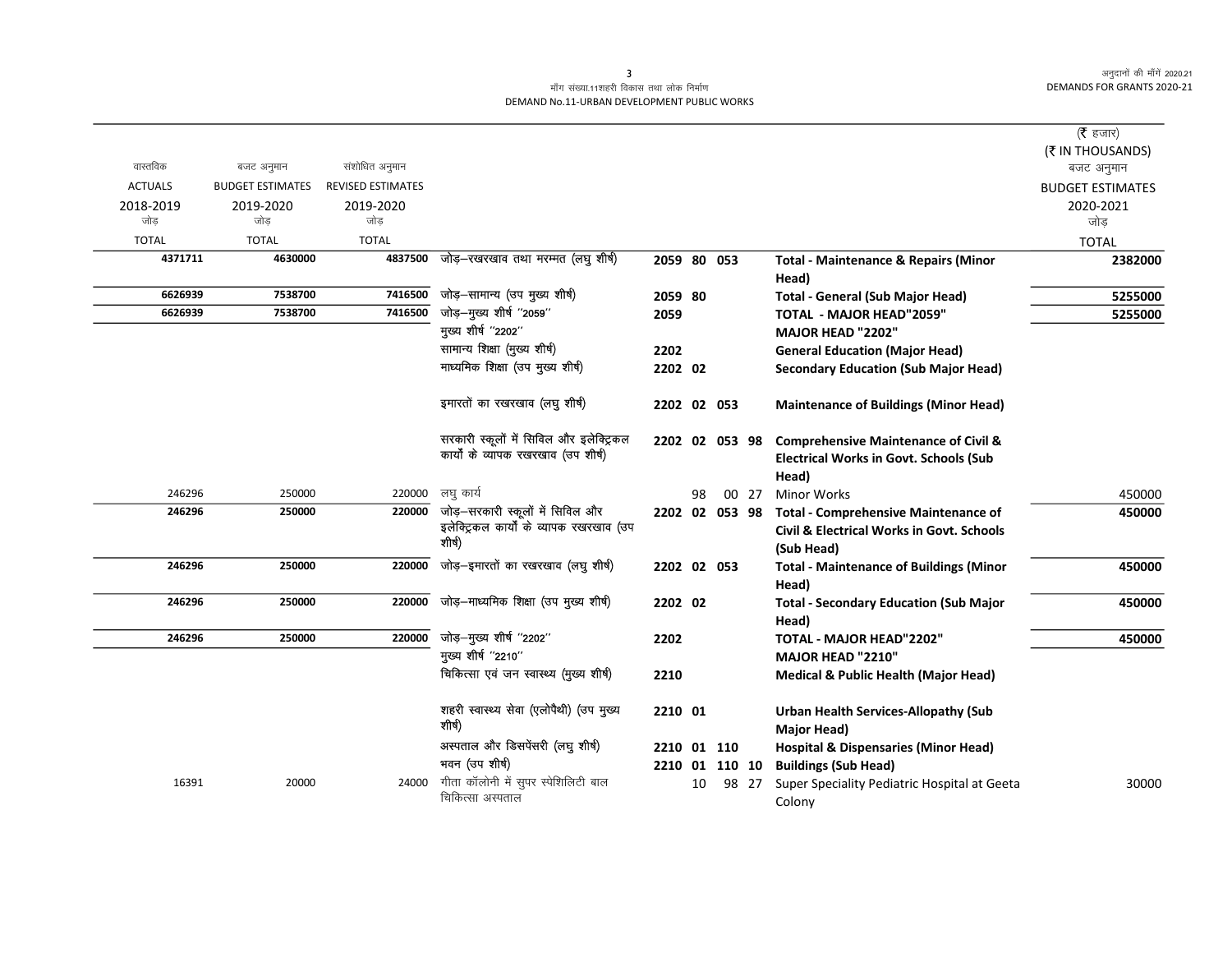### माँग संख्या.11शहरी विकास तथा लोक निर्माण DEMAND No.11-URBAN DEVELOPMENT PUBLIC WORKS

|                |                         |                          |                                          |                |    |        |       |                                                          | (रै हजार)               |
|----------------|-------------------------|--------------------------|------------------------------------------|----------------|----|--------|-------|----------------------------------------------------------|-------------------------|
|                |                         |                          |                                          |                |    |        |       |                                                          | (₹ IN THOUSANDS)        |
| वास्तविक       | बजट अनुमान              | संशोधित अनुमान           |                                          |                |    |        |       |                                                          | बजट अनुमान              |
| <b>ACTUALS</b> | <b>BUDGET ESTIMATES</b> | <b>REVISED ESTIMATES</b> |                                          |                |    |        |       |                                                          | <b>BUDGET ESTIMATES</b> |
| 2018-2019      | 2019-2020               | 2019-2020                |                                          |                |    |        |       |                                                          | 2020-2021               |
| जोड            | जोड                     | जोड                      |                                          |                |    |        |       |                                                          | जोड                     |
| <b>TOTAL</b>   | <b>TOTAL</b>            | <b>TOTAL</b>             |                                          |                |    |        |       |                                                          | <b>TOTAL</b>            |
| 4371711        | 4630000                 | 4837500                  | जोड़—रखरखाव तथा मरम्मत (लघु शीर्ष)       | 2059 80 053    |    |        |       | <b>Total - Maintenance &amp; Repairs (Minor</b><br>Head) | 2382000                 |
| 6626939        | 7538700                 | 7416500                  | जोड़-सामान्य (उप मुख्य शीर्ष)            | 2059 80        |    |        |       | <b>Total - General (Sub Major Head)</b>                  | 5255000                 |
| 6626939        | 7538700                 | 7416500                  | जोड़-मुख्य शीर्ष "2059"                  | 2059           |    |        |       | <b>TOTAL - MAJOR HEAD"2059"</b>                          | 5255000                 |
|                |                         |                          | मुख्य शीर्ष "2202"                       |                |    |        |       | MAJOR HEAD "2202"                                        |                         |
|                |                         |                          | सामान्य शिक्षा (मुख्य शीर्ष)             | 2202           |    |        |       | <b>General Education (Major Head)</b>                    |                         |
|                |                         |                          | माध्यमिक शिक्षा (उप मुख्य शीर्ष)         | 2202 02        |    |        |       | <b>Secondary Education (Sub Major Head)</b>              |                         |
|                |                         |                          |                                          |                |    |        |       |                                                          |                         |
|                |                         |                          | इमारतों का रखरखाव (लघु शीर्ष)            | 2202 02 053    |    |        |       | <b>Maintenance of Buildings (Minor Head)</b>             |                         |
|                |                         |                          | सरकारी स्कूलों में सिविल और इलेक्ट्रिकल  | 2202 02 053 98 |    |        |       | <b>Comprehensive Maintenance of Civil &amp;</b>          |                         |
|                |                         |                          | कार्यों के व्यापक रखरखाव (उप शीर्ष)      |                |    |        |       | <b>Electrical Works in Govt. Schools (Sub</b>            |                         |
|                |                         |                          |                                          |                |    |        |       | Head)                                                    |                         |
| 246296         | 250000                  | 220000                   | लघु कार्य                                |                | 98 |        | 00 27 | <b>Minor Works</b>                                       | 450000                  |
| 246296         | 250000                  | 220000                   | जोड़—सरकारी स्कूलों में सिविल और         | 2202 02 053 98 |    |        |       | <b>Total - Comprehensive Maintenance of</b>              | 450000                  |
|                |                         |                          | इलेक्ट्रिकल कार्यों के व्यापक रखरखाव (उप |                |    |        |       | Civil & Electrical Works in Govt. Schools                |                         |
|                |                         |                          | शीर्ष)                                   |                |    |        |       | (Sub Head)                                               |                         |
| 246296         | 250000                  | 220000                   | जोड़-इमारतों का रखरखाव (लघु शीर्ष)       | 2202 02 053    |    |        |       | <b>Total - Maintenance of Buildings (Minor</b>           | 450000                  |
|                |                         |                          |                                          |                |    |        |       | Head)                                                    |                         |
| 246296         | 250000                  | 220000                   | जोड़-माध्यमिक शिक्षा (उप मुख्य शीर्ष)    | 2202 02        |    |        |       | <b>Total - Secondary Education (Sub Major</b>            | 450000                  |
|                |                         |                          |                                          |                |    |        |       | Head)                                                    |                         |
| 246296         | 250000                  | 220000                   | जोड़-मुख्य शीर्ष "2202"                  | 2202           |    |        |       | TOTAL - MAJOR HEAD"2202"                                 | 450000                  |
|                |                         |                          | मुख्य शीर्ष "2210"                       |                |    |        |       | MAJOR HEAD "2210"                                        |                         |
|                |                         |                          | चिकित्सा एवं जन स्वास्थ्य (मुख्य शीर्ष)  | 2210           |    |        |       |                                                          |                         |
|                |                         |                          |                                          |                |    |        |       | <b>Medical &amp; Public Health (Major Head)</b>          |                         |
|                |                         |                          | शहरी स्वास्थ्य सेवा (एलोपैथी) (उप मुख्य  | 2210 01        |    |        |       | <b>Urban Health Services-Allopathy (Sub</b>              |                         |
|                |                         |                          | शीर्ष)                                   |                |    |        |       | Major Head)                                              |                         |
|                |                         |                          | अस्पताल और डिसपेंसरी (लघु शीर्ष)         | 2210           |    | 01 110 |       | <b>Hospital &amp; Dispensaries (Minor Head)</b>          |                         |
|                |                         |                          | भवन (उप शीर्ष)                           | 2210 01 110 10 |    |        |       | <b>Buildings (Sub Head)</b>                              |                         |
| 16391          | 20000                   | 24000                    | गीता कॉलोनी में सुपर स्पेशिलिटी बाल      |                | 10 |        | 98 27 | Super Speciality Pediatric Hospital at Geeta             | 30000                   |
|                |                         |                          | चिकित्सा अस्पताल                         |                |    |        |       | Colony                                                   |                         |
|                |                         |                          |                                          |                |    |        |       |                                                          |                         |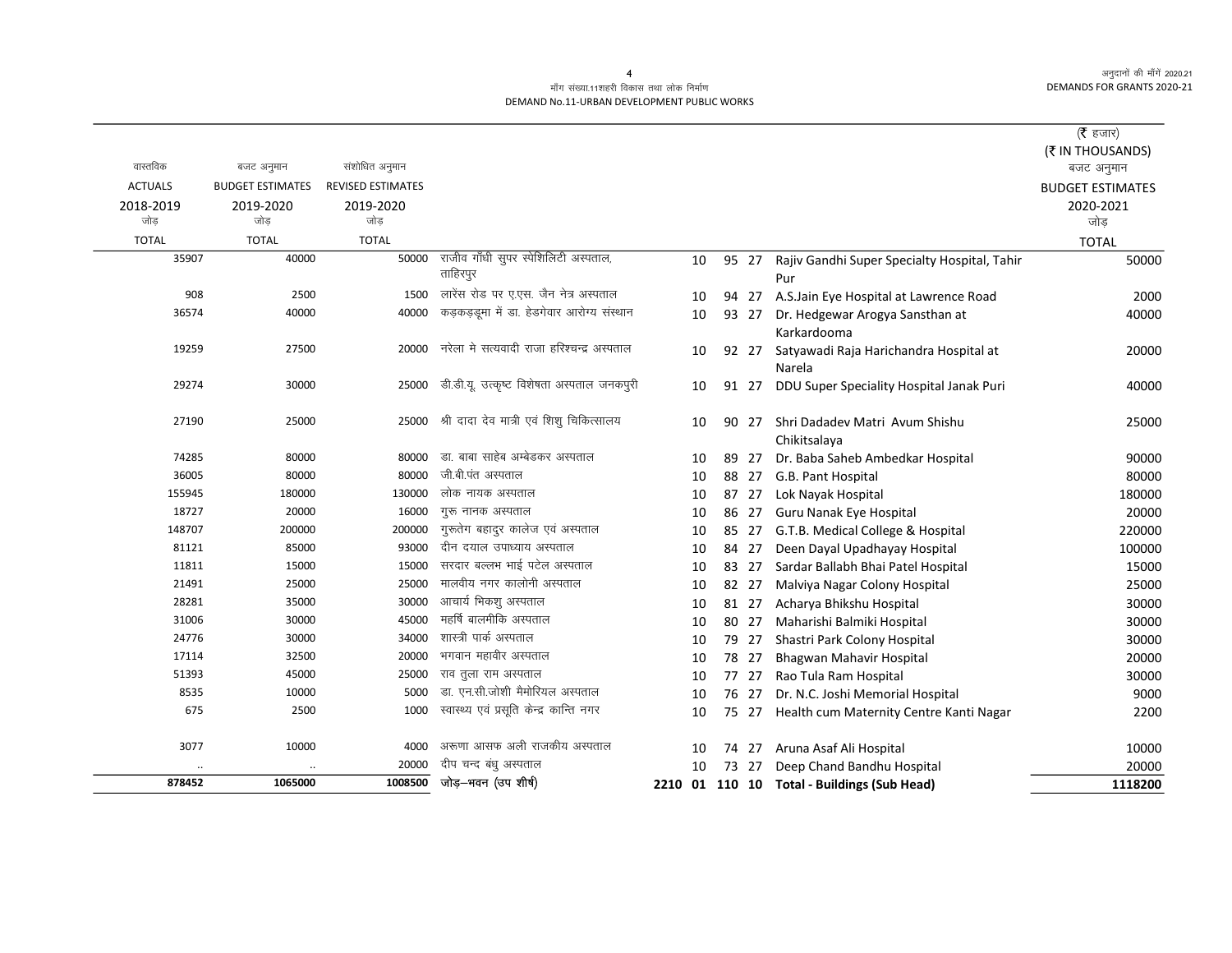#### माँग संख्या.11शहरी विकास तथा लोक निर्माण DEMAND No.11-URBAN DEVELOPMENT PUBLIC WORKS

|                  |                         |                          |                                            |    |       |                                                  | ( $\bar{\tau}$ हजार)           |
|------------------|-------------------------|--------------------------|--------------------------------------------|----|-------|--------------------------------------------------|--------------------------------|
| वास्तविक         | बजट अनुमान              | संशोधित अनुमान           |                                            |    |       |                                                  | (₹ IN THOUSANDS)<br>बजट अनुमान |
| <b>ACTUALS</b>   | <b>BUDGET ESTIMATES</b> | <b>REVISED ESTIMATES</b> |                                            |    |       |                                                  | <b>BUDGET ESTIMATES</b>        |
| 2018-2019<br>जोड | 2019-2020<br>जोड        | 2019-2020<br>जोड         |                                            |    |       |                                                  | 2020-2021<br>जोड़              |
| <b>TOTAL</b>     | <b>TOTAL</b>            | <b>TOTAL</b>             |                                            |    |       |                                                  | <b>TOTAL</b>                   |
| 35907            | 40000                   | 50000                    | राजीव गाँधी सुपर स्पेशिलिटी अस्पताल,       | 10 | 95 27 | Rajiv Gandhi Super Specialty Hospital, Tahir     | 50000                          |
|                  |                         |                          | ताहिरपुर                                   |    |       | Pur                                              |                                |
| 908              | 2500                    | 1500                     | लारेंस रोड पर ए.एस. जैन नेत्र अस्पताल      | 10 | 94 27 | A.S.Jain Eye Hospital at Lawrence Road           | 2000                           |
| 36574            | 40000                   | 40000                    | कड़कड़डूमा में डा. हेडगेवार आरोग्य संस्थान | 10 | 93 27 | Dr. Hedgewar Arogya Sansthan at                  | 40000                          |
|                  |                         |                          |                                            |    |       | Karkardooma                                      |                                |
| 19259            | 27500                   | 20000                    | नरेला मे सत्यवादी राजा हरिश्चन्द्र अस्पताल | 10 | 92 27 | Satyawadi Raja Harichandra Hospital at<br>Narela | 20000                          |
| 29274            | 30000                   | 25000                    | डी.डी.यू. उत्कृष्ट विशेषता अस्पताल जनकपुरी | 10 | 91 27 | DDU Super Speciality Hospital Janak Puri         | 40000                          |
| 27190            | 25000                   | 25000                    | श्री दादा देव मात्री एवं शिशु चिकित्सालय   | 10 | 90 27 | Shri Dadadev Matri Avum Shishu<br>Chikitsalaya   | 25000                          |
| 74285            | 80000                   | 80000                    | .डा. बाबा साहेब अम्बेडकर अस्पताल           | 10 | 89 27 | Dr. Baba Saheb Ambedkar Hospital                 | 90000                          |
| 36005            | 80000                   | 80000                    | जी.बी.पंत अस्पताल                          | 10 | 88 27 | G.B. Pant Hospital                               | 80000                          |
| 155945           | 180000                  | 130000                   | लोक नायक अस्पताल                           | 10 | 87 27 | Lok Nayak Hospital                               | 180000                         |
| 18727            | 20000                   | 16000                    | गुरू नानक अस्पताल                          | 10 | 86 27 | Guru Nanak Eye Hospital                          | 20000                          |
| 148707           | 200000                  | 200000                   | गुरूतेग बहादुर कालेज एवं अस्पताल           | 10 | 85 27 | G.T.B. Medical College & Hospital                | 220000                         |
| 81121            | 85000                   | 93000                    | दीन दयाल उपाध्याय अस्पताल                  | 10 | 84 27 | Deen Dayal Upadhayay Hospital                    | 100000                         |
| 11811            | 15000                   | 15000                    | सरदार बल्लभ भाई पटेल अस्पताल               | 10 | 83 27 | Sardar Ballabh Bhai Patel Hospital               | 15000                          |
| 21491            | 25000                   | 25000                    | मालवीय नगर कालोनी अस्पताल                  | 10 | 82 27 | Malviya Nagar Colony Hospital                    | 25000                          |
| 28281            | 35000                   | 30000                    | आचार्य भिकशु अस्पताल                       | 10 | 81 27 | Acharya Bhikshu Hospital                         | 30000                          |
| 31006            | 30000                   | 45000                    | महर्षि बालमीकि अस्पताल                     | 10 | 80 27 | Maharishi Balmiki Hospital                       | 30000                          |
| 24776            | 30000                   | 34000                    | शास्त्री पार्क अस्पताल                     | 10 | 79 27 | Shastri Park Colony Hospital                     | 30000                          |
| 17114            | 32500                   | 20000                    | भगवान महावीर अस्पताल                       | 10 | 78 27 | Bhagwan Mahavir Hospital                         | 20000                          |
| 51393            | 45000                   | 25000                    | राव तुला राम अस्पताल                       | 10 | 77 27 | Rao Tula Ram Hospital                            | 30000                          |
| 8535             | 10000                   | 5000                     | डा. एन.सी.जोशी मैमोरियल अस्पताल            | 10 | 76 27 | Dr. N.C. Joshi Memorial Hospital                 | 9000                           |
| 675              | 2500                    | 1000                     | स्वास्थ्य एवं प्रसूति केन्द्र कान्ति नगर   | 10 | 75 27 | Health cum Maternity Centre Kanti Nagar          | 2200                           |
| 3077             | 10000                   | 4000                     | अरूणा आसफ अली राजकीय अस्पताल               | 10 | 74 27 | Aruna Asaf Ali Hospital                          | 10000                          |
|                  |                         | 20000                    | दीप चन्द बंधु अस्पताल                      | 10 | 73 27 | Deep Chand Bandhu Hospital                       | 20000                          |
| 878452           | 1065000                 | 1008500                  | जोड़–भवन (उप शीर्ष)                        |    |       | 2210 01 110 10 Total - Buildings (Sub Head)      | 1118200                        |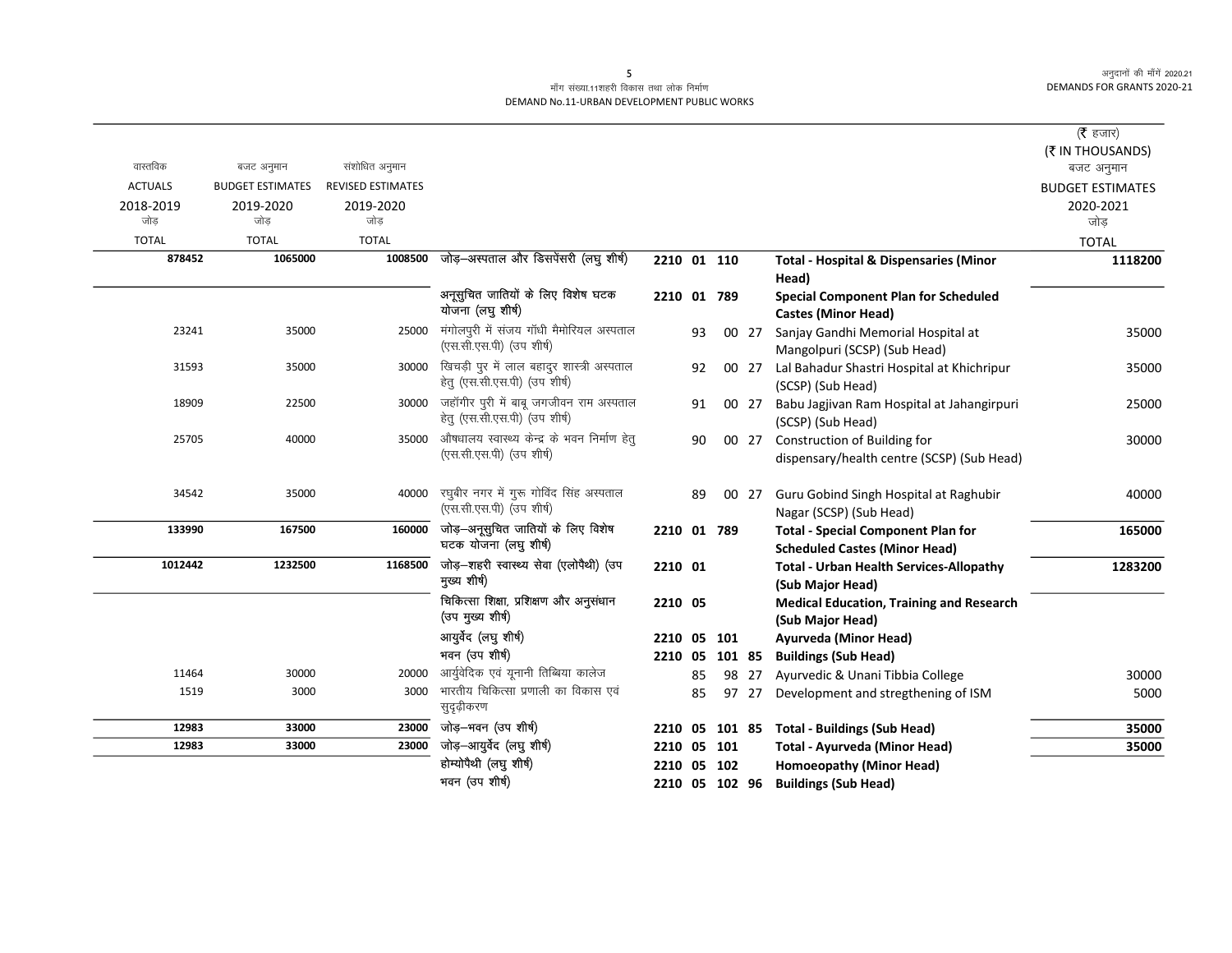### .<br>माँग संख्या.11शहरी विकास तथा लोक निर्माण DEMAND No.11-URBAN DEVELOPMENT PUBLIC WORKS

|                |                         |                          |                                                            |             |    |                |       |                                                                           | ( $\bar{\tau}$ हजार)    |
|----------------|-------------------------|--------------------------|------------------------------------------------------------|-------------|----|----------------|-------|---------------------------------------------------------------------------|-------------------------|
|                |                         |                          |                                                            |             |    |                |       |                                                                           | (₹ IN THOUSANDS)        |
| वास्तविक       | बजट अनुमान              | संशोधित अनुमान           |                                                            |             |    |                |       |                                                                           | बजट अनुमान              |
| <b>ACTUALS</b> | <b>BUDGET ESTIMATES</b> | <b>REVISED ESTIMATES</b> |                                                            |             |    |                |       |                                                                           | <b>BUDGET ESTIMATES</b> |
| 2018-2019      | 2019-2020               | 2019-2020                |                                                            |             |    |                |       |                                                                           | 2020-2021               |
| जोड            | जोड                     | जोड                      |                                                            |             |    |                |       |                                                                           | जोड                     |
| <b>TOTAL</b>   | <b>TOTAL</b>            | <b>TOTAL</b>             |                                                            |             |    |                |       |                                                                           | <b>TOTAL</b>            |
| 878452         | 1065000                 | 1008500                  | जोड़-अस्पताल और डिसपेंसरी (लघु शीर्ष)                      | 2210 01 110 |    |                |       | <b>Total - Hospital &amp; Dispensaries (Minor</b><br>Head)                | 1118200                 |
|                |                         |                          | अनूसुचित जातियों के लिए विशेष घटक<br>योजना (लघु शीर्ष)     | 2210 01 789 |    |                |       | <b>Special Component Plan for Scheduled</b><br><b>Castes (Minor Head)</b> |                         |
| 23241          | 35000                   | 25000                    | मंगोलपूरी में संजय गाँधी मैमोरियल अस्पताल                  |             | 93 |                | 00 27 | Sanjay Gandhi Memorial Hospital at                                        | 35000                   |
|                |                         |                          | (एस.सी.एस.पी) (उप शीर्ष)                                   |             |    |                |       | Mangolpuri (SCSP) (Sub Head)                                              |                         |
| 31593          | 35000                   | 30000                    | खिचड़ी पुर में लाल बहादुर शास्त्री अस्पताल                 |             | 92 |                | 00 27 | Lal Bahadur Shastri Hospital at Khichripur                                | 35000                   |
|                |                         |                          | हेतु (एस.सी.एस.पी) (उप शीर्ष)                              |             |    |                |       | (SCSP) (Sub Head)                                                         |                         |
| 18909          | 22500                   | 30000                    | जहॉगीर पुरी में बाबू जगजीवन राम अस्पताल                    |             | 91 |                | 00 27 | Babu Jagjivan Ram Hospital at Jahangirpuri                                | 25000                   |
|                |                         |                          | हेतु (एस.सी.एस.पी) (उप शीर्ष)                              |             |    |                |       | (SCSP) (Sub Head)                                                         |                         |
| 25705          | 40000                   | 35000                    | औषधालय स्वास्थ्य केन्द्र के भवन निर्माण हेतु               |             | 90 |                | 00 27 | Construction of Building for                                              | 30000                   |
|                |                         |                          | (एस.सी.एस.पी) (उप शीर्ष)                                   |             |    |                |       | dispensary/health centre (SCSP) (Sub Head)                                |                         |
| 34542          | 35000                   | 40000                    | रघुबीर नगर में गुरू गोविंद सिंह अस्पताल                    |             | 89 |                | 00 27 | Guru Gobind Singh Hospital at Raghubir                                    | 40000                   |
|                |                         |                          | (एस.सी.एस.पी) (उप शीर्ष)                                   |             |    |                |       | Nagar (SCSP) (Sub Head)                                                   |                         |
| 133990         | 167500                  | 160000                   | जोड़-अनूसुचित जातियों के लिए विशेष                         | 2210 01 789 |    |                |       | <b>Total - Special Component Plan for</b>                                 | 165000                  |
|                |                         |                          | घटक योजना (लघु शीर्ष)                                      |             |    |                |       | <b>Scheduled Castes (Minor Head)</b>                                      |                         |
| 1012442        | 1232500                 | 1168500                  | जोड़-शहरी स्वास्थ्य सेवा (एलोपैथी) (उप<br>मुख्य शीर्ष)     | 2210 01     |    |                |       | <b>Total - Urban Health Services-Allopathy</b>                            | 1283200                 |
|                |                         |                          |                                                            |             |    |                |       | (Sub Major Head)                                                          |                         |
|                |                         |                          | चिकित्सा शिक्षा, प्रशिक्षण और अनुसंधान<br>(उप मुख्य शीर्ष) | 2210 05     |    |                |       | <b>Medical Education, Training and Research</b><br>(Sub Major Head)       |                         |
|                |                         |                          | आयुर्वेद (लघु शीर्ष)                                       | 2210 05     |    | 101            |       | Ayurveda (Minor Head)                                                     |                         |
|                |                         |                          | भवन (उप शीर्ष)                                             | 2210 05     |    | 101 85         |       | <b>Buildings (Sub Head)</b>                                               |                         |
| 11464          | 30000                   | 20000                    | आर्युवेदिक एवं यूनानी तिब्बिया कालेज                       |             | 85 |                | 98 27 | Ayurvedic & Unani Tibbia College                                          | 30000                   |
| 1519           | 3000                    | 3000                     | भारतीय चिकित्सा प्रणाली का विकास एवं<br>सुदृढ़ीकरण         |             | 85 |                | 97 27 | Development and stregthening of ISM                                       | 5000                    |
| 12983          | 33000                   | 23000                    | जोड़–भवन (उप शीर्ष)                                        | 2210 05     |    |                |       | 101 85 Total - Buildings (Sub Head)                                       | 35000                   |
| 12983          | 33000                   | 23000                    | जोड़-आयुर्वेद (लघु शीर्ष)                                  | 2210 05 101 |    |                |       | Total - Ayurveda (Minor Head)                                             | 35000                   |
|                |                         |                          | होम्योपैथी (लघु शीर्ष)                                     | 2210 05 102 |    |                |       | Homoeopathy (Minor Head)                                                  |                         |
|                |                         |                          | भवन (उप शीर्ष)                                             |             |    | 2210 05 102 96 |       | <b>Buildings (Sub Head)</b>                                               |                         |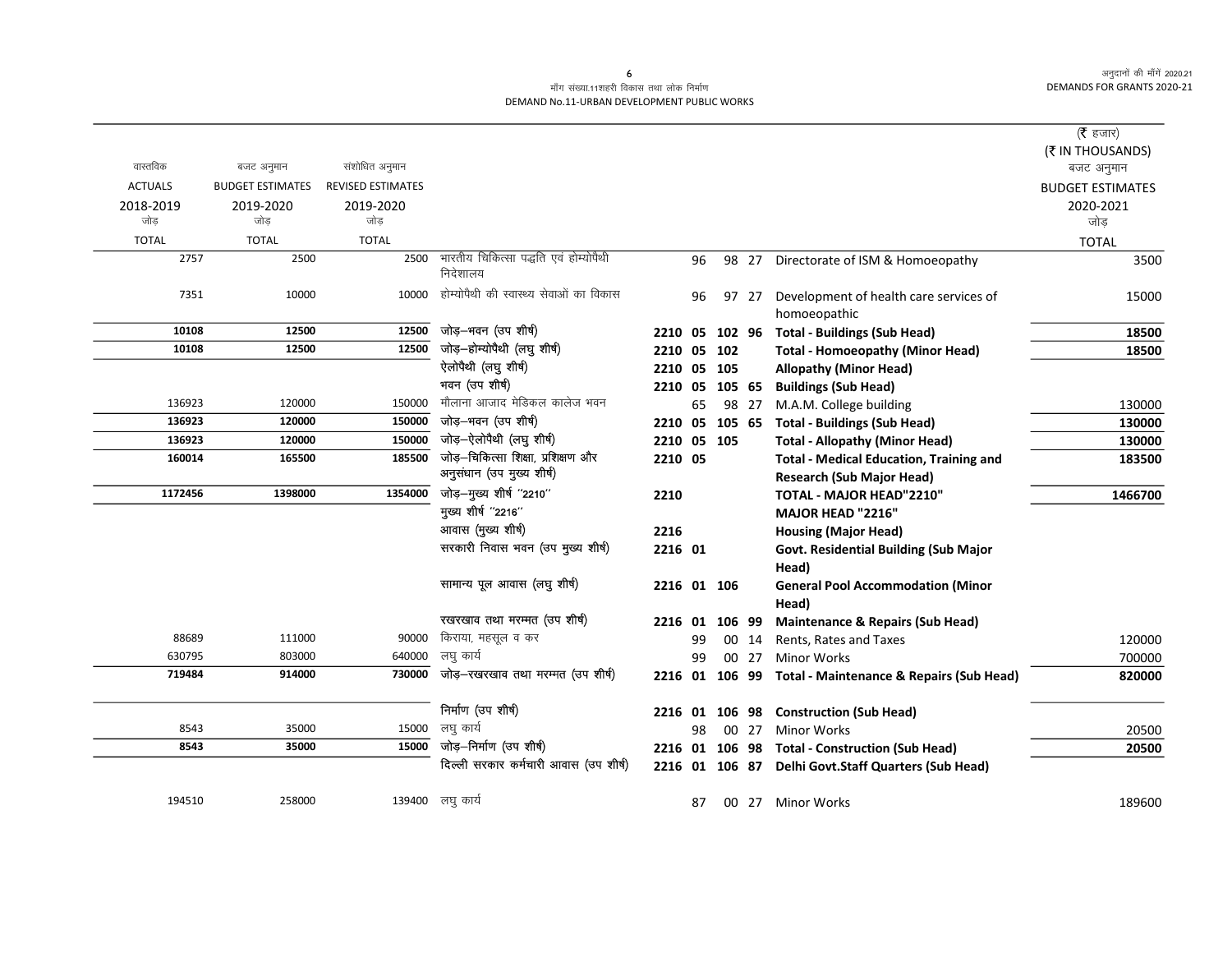#### माँग संख्या.11शहरी विकास तथा लोक निर्माण DEMAND No.11-URBAN DEVELOPMENT PUBLIC WORKS

|                  |                         |                          |                                                   |                |    |        |       |                                                         | ( $\bar{\tau}$ हजार)           |
|------------------|-------------------------|--------------------------|---------------------------------------------------|----------------|----|--------|-------|---------------------------------------------------------|--------------------------------|
| वास्तविक         | बजट अनुमान              | संशोधित अनुमान           |                                                   |                |    |        |       |                                                         | (₹ IN THOUSANDS)<br>बजट अनुमान |
| <b>ACTUALS</b>   | <b>BUDGET ESTIMATES</b> | <b>REVISED ESTIMATES</b> |                                                   |                |    |        |       |                                                         | <b>BUDGET ESTIMATES</b>        |
| 2018-2019<br>जोड | 2019-2020<br>जोड        | 2019-2020<br>जोड         |                                                   |                |    |        |       |                                                         | 2020-2021<br>जोड               |
| <b>TOTAL</b>     | <b>TOTAL</b>            | <b>TOTAL</b>             |                                                   |                |    |        |       |                                                         | <b>TOTAL</b>                   |
| 2757             | 2500                    | 2500                     | भारतीय चिकित्सा पद्धति एवं होम्योपैथी<br>निदेशालय |                | 96 |        |       | 98 27 Directorate of ISM & Homoeopathy                  | 3500                           |
| 7351             | 10000                   | 10000                    | होम्योपैथी की स्वास्थ्य सेवाओं का विकास           |                | 96 |        | 97 27 | Development of health care services of<br>homoeopathic  | 15000                          |
| 10108            | 12500                   | 12500                    | जोड़-भवन (उप शीर्ष)                               | 2210           | 05 | 102 96 |       | <b>Total - Buildings (Sub Head)</b>                     | 18500                          |
| 10108            | 12500                   | 12500                    | जोड़-होम्योपैथी (लघु शीर्ष)                       | 2210           | 05 | 102    |       | <b>Total - Homoeopathy (Minor Head)</b>                 | 18500                          |
|                  |                         |                          | ऐलोपैथी (लघु शीर्ष)                               | 2210           |    | 05 105 |       | <b>Allopathy (Minor Head)</b>                           |                                |
|                  |                         |                          | भवन (उप शीर्ष)                                    | 2210 05 105 65 |    |        |       | <b>Buildings (Sub Head)</b>                             |                                |
| 136923           | 120000                  | 150000                   | मौलाना आजाद मेडिकल कालेज भवन                      |                | 65 |        | 98 27 | M.A.M. College building                                 | 130000                         |
| 136923           | 120000                  | 150000                   | जोड़-भवन (उप शीर्ष)                               | 2210 05 105 65 |    |        |       | <b>Total - Buildings (Sub Head)</b>                     | 130000                         |
| 136923           | 120000                  | 150000                   | जोड़-ऐलोपैथी (लघु शीर्ष)                          | 2210 05 105    |    |        |       | <b>Total - Allopathy (Minor Head)</b>                   | 130000                         |
| 160014           | 165500                  | 185500                   | जोड़-चिकित्सा शिक्षा, प्रशिक्षण और                | 2210 05        |    |        |       | <b>Total - Medical Education, Training and</b>          | 183500                         |
|                  |                         |                          | अनुसंधान (उप मुख्य शीर्ष)                         |                |    |        |       | <b>Research (Sub Major Head)</b>                        |                                |
| 1172456          | 1398000                 | 1354000                  | जोड़-मुख्य शीर्ष "2210"                           | 2210           |    |        |       | TOTAL - MAJOR HEAD"2210"                                | 1466700                        |
|                  |                         |                          | मुख्य शीर्ष "2216"                                |                |    |        |       | MAJOR HEAD "2216"                                       |                                |
|                  |                         |                          | आवास (मुख्य शीर्ष)                                | 2216           |    |        |       | <b>Housing (Major Head)</b>                             |                                |
|                  |                         |                          | सरकारी निवास भवन (उप मुख्य शीर्ष)                 | 2216 01        |    |        |       | Govt. Residential Building (Sub Major<br>Head)          |                                |
|                  |                         |                          | सामान्य पूल आवास (लघु शीर्ष)                      | 2216 01 106    |    |        |       | <b>General Pool Accommodation (Minor</b><br>Head)       |                                |
|                  |                         |                          | रखरखाव तथा मरम्मत (उप शीर्ष)                      | 2216 01        |    | 106 99 |       | <b>Maintenance &amp; Repairs (Sub Head)</b>             |                                |
| 88689            | 111000                  | 90000                    | किराया, महसूल व कर                                |                | 99 |        | 00 14 | Rents, Rates and Taxes                                  | 120000                         |
| 630795           | 803000                  | 640000                   | लघु कार्य                                         |                | 99 |        | 00 27 | <b>Minor Works</b>                                      | 700000                         |
| 719484           | 914000                  | 730000                   | जोड़–रखरखाव तथा मरम्मत (उप शीर्ष)                 |                |    |        |       | 2216 01 106 99 Total - Maintenance & Repairs (Sub Head) | 820000                         |
|                  |                         |                          | निर्माण (उप शीर्ष)                                | 2216 01        |    |        |       | 106 98 Construction (Sub Head)                          |                                |
| 8543             | 35000                   | 15000                    | लघु कार्य                                         |                | 98 |        |       | 00 27 Minor Works                                       | 20500                          |
| 8543             | 35000                   | 15000                    | जोड़-निर्माण (उप शीर्ष)                           |                |    |        |       | 2216 01 106 98 Total - Construction (Sub Head)          | 20500                          |
|                  |                         |                          | दिल्ली सरकार कर्मचारी आवास (उप शीर्ष)             |                |    |        |       | 2216 01 106 87 Delhi Govt.Staff Quarters (Sub Head)     |                                |
| 194510           | 258000                  |                          | 139400 लघु कार्य                                  |                | 87 |        |       | 00 27 Minor Works                                       | 189600                         |
|                  |                         |                          |                                                   |                |    |        |       |                                                         |                                |

 $\epsilon$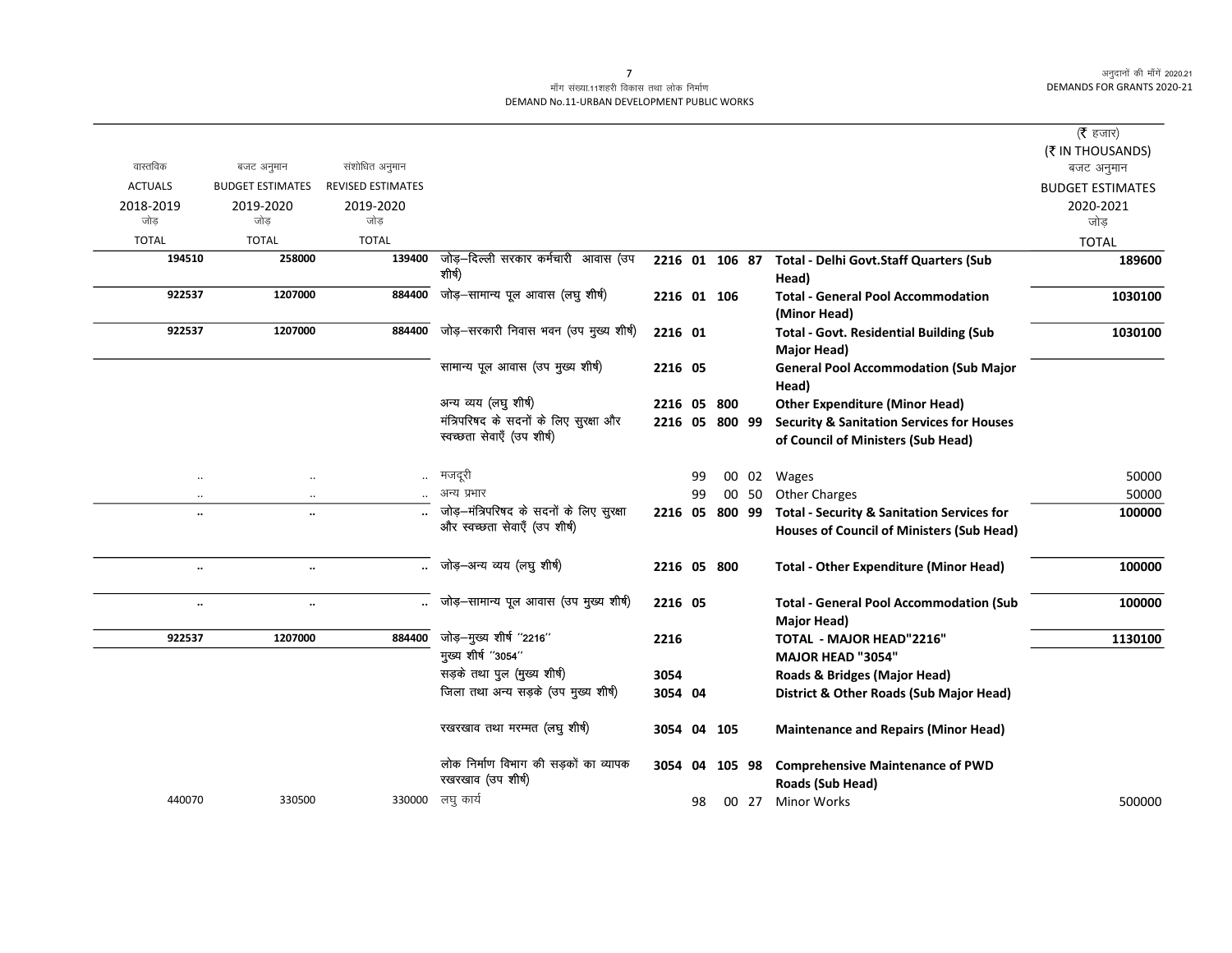### माँग संख्या.11शहरी विकास तथा लोक निर्माण DEMAND No.11-URBAN DEVELOPMENT PUBLIC WORKS

|                   |                         |                          |                                          |                |    |        |       |                                                           | ( <b>रै</b> हजार)       |
|-------------------|-------------------------|--------------------------|------------------------------------------|----------------|----|--------|-------|-----------------------------------------------------------|-------------------------|
| वास्तविक          | बजट अनुमान              | संशोधित अनुमान           |                                          |                |    |        |       |                                                           | (₹ IN THOUSANDS)        |
| <b>ACTUALS</b>    | <b>BUDGET ESTIMATES</b> | <b>REVISED ESTIMATES</b> |                                          |                |    |        |       |                                                           | बजट अनुमान              |
|                   |                         |                          |                                          |                |    |        |       |                                                           | <b>BUDGET ESTIMATES</b> |
| 2018-2019<br>जोड़ | 2019-2020<br>जोड        | 2019-2020<br>जोड         |                                          |                |    |        |       |                                                           | 2020-2021<br>जोड        |
| <b>TOTAL</b>      | <b>TOTAL</b>            | <b>TOTAL</b>             |                                          |                |    |        |       |                                                           | <b>TOTAL</b>            |
| 194510            | 258000                  | 139400                   | जोड़-दिल्ली सरकार कर्मचारी आवास (उप      | 2216 01 106 87 |    |        |       | <b>Total - Delhi Govt.Staff Quarters (Sub</b>             | 189600                  |
|                   |                         |                          | शीर्ष)                                   |                |    |        |       | Head)                                                     |                         |
| 922537            | 1207000                 | 884400                   | जोड़-सामान्य पूल आवास (लघु शीर्ष)        | 2216 01 106    |    |        |       | <b>Total - General Pool Accommodation</b><br>(Minor Head) | 1030100                 |
| 922537            | 1207000                 | 884400                   | जोड़–सरकारी निवास भवन (उप मुख्य शीर्ष)   | 2216 01        |    |        |       | <b>Total - Govt. Residential Building (Sub</b>            | 1030100                 |
|                   |                         |                          |                                          |                |    |        |       | Major Head)                                               |                         |
|                   |                         |                          | सामान्य पूल आवास (उप मुख्य शीर्ष)        | 2216 05        |    |        |       | <b>General Pool Accommodation (Sub Major</b>              |                         |
|                   |                         |                          |                                          |                |    |        |       | Head)                                                     |                         |
|                   |                         |                          | अन्य व्यय (लघु शीर्ष)                    | 2216 05        |    | 800    |       | <b>Other Expenditure (Minor Head)</b>                     |                         |
|                   |                         |                          | मंत्रिपरिषद के सदनों के लिए सुरक्षा और   | 2216 05 800 99 |    |        |       | <b>Security &amp; Sanitation Services for Houses</b>      |                         |
|                   |                         |                          | स्वच्छता सेवाएँ (उप शीर्ष)               |                |    |        |       | of Council of Ministers (Sub Head)                        |                         |
| $\ldots$          | $\ldots$                |                          | मजदूरी                                   |                | 99 |        |       | 00 02 Wages                                               | 50000                   |
| $\ldots$          | $\ldots$                |                          | अन्य प्रभार                              |                | 99 |        | 00 50 | <b>Other Charges</b>                                      | 50000                   |
| $\ddotsc$         | $\ddot{\phantom{a}}$    |                          | जोड़-मंत्रिपरिषद के सदनों के लिए सुरक्षा | 2216 05        |    | 800 99 |       | <b>Total - Security &amp; Sanitation Services for</b>     | 100000                  |
|                   |                         |                          | और स्वच्छता सेवाएँ (उप शीर्ष)            |                |    |        |       | <b>Houses of Council of Ministers (Sub Head)</b>          |                         |
| $\cdot\cdot$      | $\ddotsc$               |                          | जोड़–अन्य व्यय (लघु शीर्ष)               | 2216 05 800    |    |        |       | <b>Total - Other Expenditure (Minor Head)</b>             | 100000                  |
| $\cdot\cdot$      | $\ddotsc$               |                          | जोड़-सामान्य पूल आवास (उप मुख्य शीर्ष)   | 2216 05        |    |        |       | <b>Total - General Pool Accommodation (Sub</b>            | 100000                  |
|                   |                         |                          |                                          |                |    |        |       | Major Head)                                               |                         |
| 922537            | 1207000                 | 884400                   | जोड़-मुख्य शीर्ष "2216"                  | 2216           |    |        |       | TOTAL - MAJOR HEAD"2216"                                  | 1130100                 |
|                   |                         |                          | मुख्य शीर्ष "3054"                       |                |    |        |       | MAJOR HEAD "3054"                                         |                         |
|                   |                         |                          | सड़के तथा पुल (मुख्य शीर्ष)              | 3054           |    |        |       | Roads & Bridges (Major Head)                              |                         |
|                   |                         |                          | जिला तथा अन्य सड़के (उप मुख्य शीर्ष)     | 3054 04        |    |        |       | District & Other Roads (Sub Major Head)                   |                         |
|                   |                         |                          | रखरखाव तथा मरम्मत (लघु शीर्ष)            | 3054           |    | 04 105 |       | <b>Maintenance and Repairs (Minor Head)</b>               |                         |
|                   |                         |                          | लोक निर्माण विभाग की सड़कों का व्यापक    | 3054           | 04 | 105 98 |       | <b>Comprehensive Maintenance of PWD</b>                   |                         |
|                   |                         |                          | रखरखाव (उप शीर्ष)                        |                |    |        |       | Roads (Sub Head)                                          |                         |
| 440070            | 330500                  |                          | 330000 लघु कार्य                         |                | 98 |        | 00 27 | <b>Minor Works</b>                                        | 500000                  |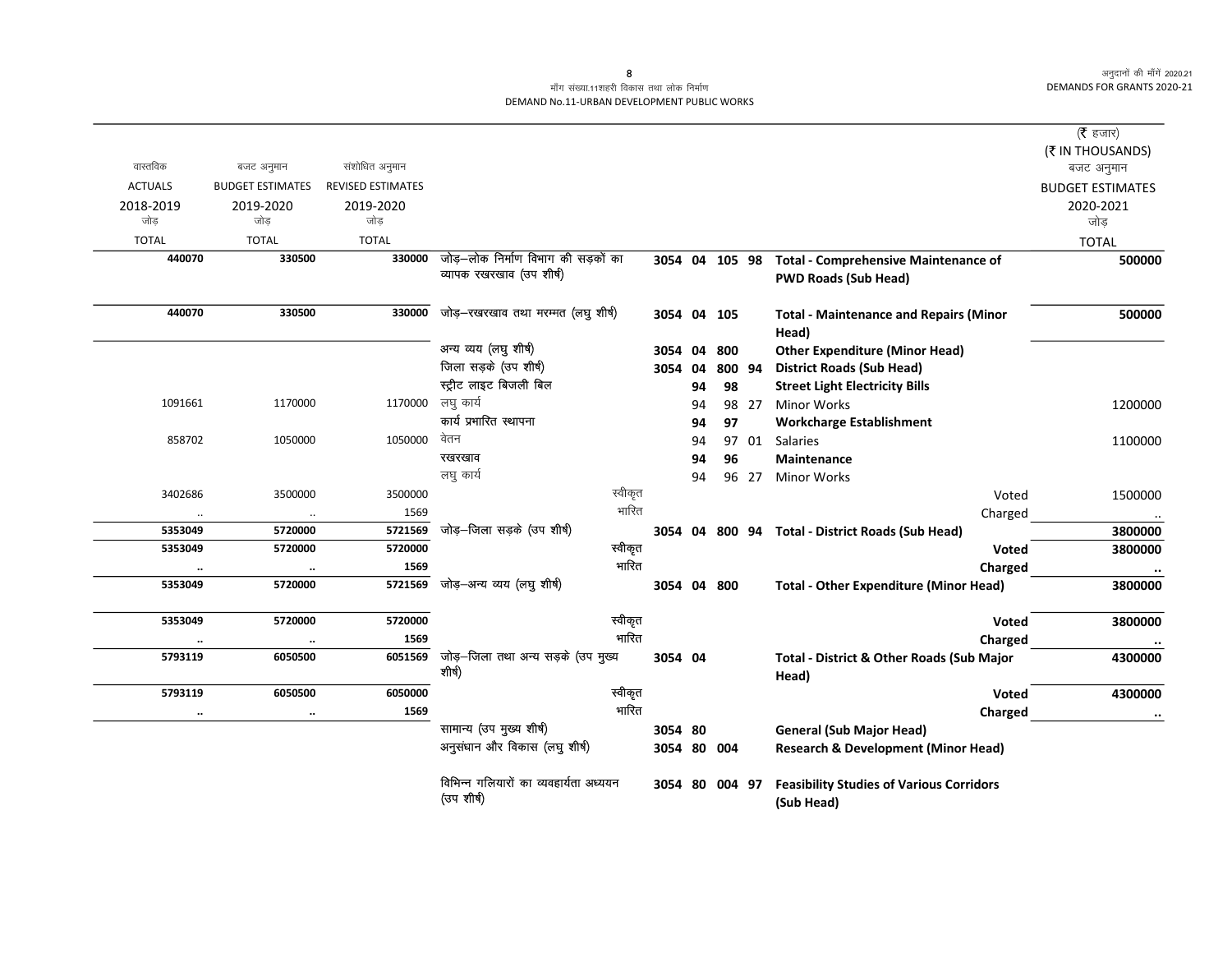### माँग संख्या.11शहरी विकास तथा लोक निर्माण DEMAND No.11-URBAN DEVELOPMENT PUBLIC WORKS

|                      |                         |                          |                                                      |             |    |                |       |                                                               | (रै हजार)                      |
|----------------------|-------------------------|--------------------------|------------------------------------------------------|-------------|----|----------------|-------|---------------------------------------------------------------|--------------------------------|
| वास्तविक             | बजट अनुमान              | संशोधित अनुमान           |                                                      |             |    |                |       |                                                               | (₹ IN THOUSANDS)<br>बजट अनुमान |
| <b>ACTUALS</b>       | <b>BUDGET ESTIMATES</b> | <b>REVISED ESTIMATES</b> |                                                      |             |    |                |       |                                                               | <b>BUDGET ESTIMATES</b>        |
| 2018-2019            |                         |                          |                                                      |             |    |                |       |                                                               | 2020-2021                      |
| जोड                  | 2019-2020<br>जोड        | 2019-2020<br>जोड         |                                                      |             |    |                |       |                                                               | जोड                            |
| <b>TOTAL</b>         | <b>TOTAL</b>            | <b>TOTAL</b>             |                                                      |             |    |                |       |                                                               | <b>TOTAL</b>                   |
| 440070               | 330500                  | 330000                   | जोड़—लोक निर्माण विभाग की सड़कों का                  |             |    |                |       | 3054 04 105 98 Total - Comprehensive Maintenance of           | 500000                         |
|                      |                         |                          | व्यापक रखरखाव (उप शीर्ष)                             |             |    |                |       | <b>PWD Roads (Sub Head)</b>                                   |                                |
| 440070               | 330500                  | 330000                   | जोड़-रखरखाव तथा मरम्मत (लघु शीर्ष)                   | 3054 04 105 |    |                |       | <b>Total - Maintenance and Repairs (Minor</b><br>Head)        | 500000                         |
|                      |                         |                          | अन्य व्यय (लघु शीर्ष)                                | 3054 04 800 |    |                |       | <b>Other Expenditure (Minor Head)</b>                         |                                |
|                      |                         |                          | जिला सड़के (उप शीर्ष)                                | 3054 04     |    | 800 94         |       | <b>District Roads (Sub Head)</b>                              |                                |
|                      |                         |                          | स्ट्रीट लाइट बिजली बिल                               |             | 94 | 98             |       | <b>Street Light Electricity Bills</b>                         |                                |
| 1091661              | 1170000                 | 1170000 लघु कार्य        |                                                      |             | 94 |                | 98 27 | <b>Minor Works</b>                                            | 1200000                        |
|                      |                         |                          | कार्य प्रभारित स्थापना                               |             | 94 | 97             |       | <b>Workcharge Establishment</b>                               |                                |
| 858702               | 1050000                 | 1050000                  | वेतन                                                 |             | 94 |                | 97 01 | Salaries                                                      | 1100000                        |
|                      |                         |                          | रखरखाव                                               |             | 94 | 96             |       | <b>Maintenance</b>                                            |                                |
|                      |                         |                          | लघु कार्य                                            |             | 94 |                | 96 27 | <b>Minor Works</b>                                            |                                |
| 3402686              | 3500000                 | 3500000                  | स्वीकृत                                              |             |    |                |       | Voted                                                         | 1500000                        |
| $\ddot{\phantom{0}}$ | $\ldots$                | 1569                     | भारित                                                |             |    |                |       | Charged                                                       | $\ldots$                       |
| 5353049              | 5720000                 | 5721569                  | जोड़–जिला सड़के (उप शीर्ष)                           |             |    |                |       | 3054 04 800 94 Total - District Roads (Sub Head)              | 3800000                        |
| 5353049              | 5720000                 | 5720000                  | स्वीकृत                                              |             |    |                |       | Voted                                                         | 3800000                        |
|                      | $\ldots$                | 1569                     | भारित                                                |             |    |                |       | Charged                                                       | $\bullet\bullet$               |
| 5353049              | 5720000                 | 5721569                  | जोड़—अन्य व्यय (लघु शीर्ष)                           | 3054 04 800 |    |                |       | <b>Total - Other Expenditure (Minor Head)</b>                 | 3800000                        |
| 5353049              | 5720000                 | 5720000                  | स्वीकृत                                              |             |    |                |       | Voted                                                         | 3800000                        |
|                      | $\ldots$                | 1569                     | भारित                                                |             |    |                |       | Charged                                                       |                                |
| 5793119              | 6050500                 | 6051569                  | जोड़–जिला तथा अन्य सड़के (उप मुख्य<br>शीर्ष)         | 3054 04     |    |                |       | <b>Total - District &amp; Other Roads (Sub Major</b><br>Head) | 4300000                        |
| 5793119              | 6050500                 | 6050000                  | स्वीकृत                                              |             |    |                |       | Voted                                                         | 4300000                        |
|                      | $\ddotsc$               | 1569                     | भारित                                                |             |    |                |       | Charged                                                       | $\ddot{\phantom{0}}$           |
|                      |                         |                          | सामान्य (उप मुख्य शीर्ष)                             | 3054 80     |    |                |       | <b>General (Sub Major Head)</b>                               |                                |
|                      |                         |                          | अनुसंधान और विकास (लघु शीर्ष)                        | 3054 80 004 |    |                |       | <b>Research &amp; Development (Minor Head)</b>                |                                |
|                      |                         |                          | विभिन्न गलियारों का व्यवहार्यता अध्ययन<br>(उप शीर्ष) |             |    | 3054 80 004 97 |       | <b>Feasibility Studies of Various Corridors</b><br>(Sub Head) |                                |

 $\bf 8$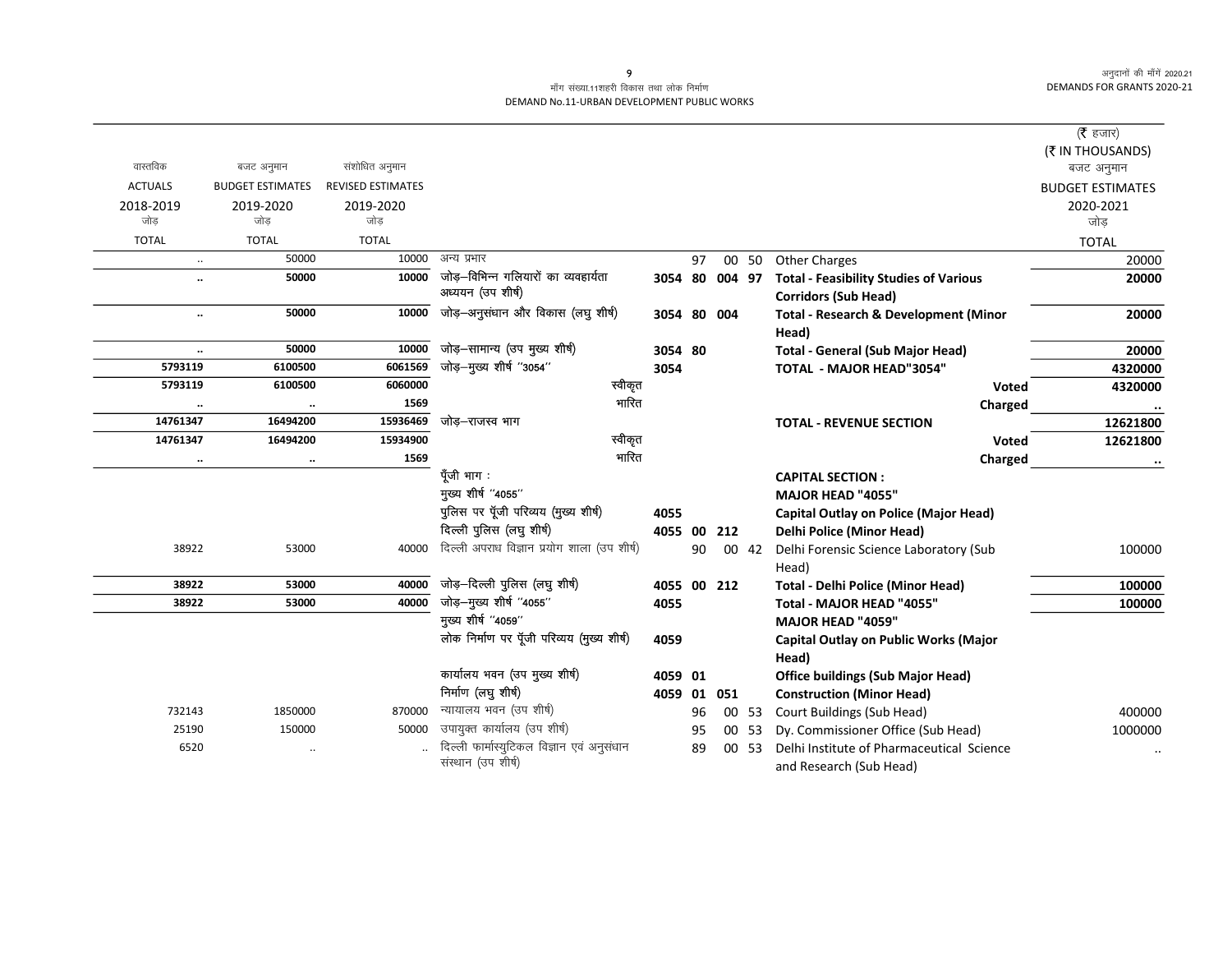### माँग संख्या.11शहरी विकास तथा लोक निर्माण DEMAND No.11-URBAN DEVELOPMENT PUBLIC WORKS

|                      |                         |                          |                                             |             |    |        |       |                                               | ( $\bar{\tau}$ हजार)    |
|----------------------|-------------------------|--------------------------|---------------------------------------------|-------------|----|--------|-------|-----------------------------------------------|-------------------------|
|                      |                         |                          |                                             |             |    |        |       |                                               | (₹ IN THOUSANDS)        |
| वास्तविक             | बजट अनुमान              | संशोधित अनुमान           |                                             |             |    |        |       |                                               | बजट अनुमान              |
| <b>ACTUALS</b>       | <b>BUDGET ESTIMATES</b> | <b>REVISED ESTIMATES</b> |                                             |             |    |        |       |                                               | <b>BUDGET ESTIMATES</b> |
| 2018-2019            | 2019-2020               | 2019-2020                |                                             |             |    |        |       |                                               | 2020-2021               |
| जोड                  | जोड                     | जोड                      |                                             |             |    |        |       |                                               | जोड                     |
| <b>TOTAL</b>         | <b>TOTAL</b>            | <b>TOTAL</b>             |                                             |             |    |        |       |                                               | <b>TOTAL</b>            |
| $\ldots$             | 50000                   | 10000                    | अन्य प्रभार                                 |             | 97 |        | 00 50 | <b>Other Charges</b>                          | 20000                   |
| $\ddot{\phantom{a}}$ | 50000                   | 10000                    | जोड–विभिन्न गलियारों का व्यवहार्यता         | 3054 80     |    | 004 97 |       | <b>Total - Feasibility Studies of Various</b> | 20000                   |
|                      |                         |                          | अध्ययन (उप शीर्ष)                           |             |    |        |       | <b>Corridors (Sub Head)</b>                   |                         |
| $\ldots$             | 50000                   | 10000                    | जोड़-अनुसंधान और विकास (लघु शीर्ष)          | 3054 80     |    | 004    |       | Total - Research & Development (Minor         | 20000                   |
|                      |                         |                          |                                             |             |    |        |       | Head)                                         |                         |
| $\ldots$             | 50000                   | 10000                    | जोड़-सामान्य (उप मुख्य शीर्ष)               | 3054 80     |    |        |       | <b>Total - General (Sub Major Head)</b>       | 20000                   |
| 5793119              | 6100500                 | 6061569                  | जोड़-मुख्य शीर्ष "3054"                     | 3054        |    |        |       | <b>TOTAL - MAJOR HEAD"3054"</b>               | 4320000                 |
| 5793119              | 6100500                 | 6060000                  | स्वीकृत                                     |             |    |        |       | Voted                                         | 4320000                 |
|                      | $\ddot{\phantom{0}}$    | 1569                     | भारित                                       |             |    |        |       | Charged                                       |                         |
| 14761347             | 16494200                | 15936469                 | जोड–राजस्व भाग                              |             |    |        |       | <b>TOTAL - REVENUE SECTION</b>                | 12621800                |
| 14761347             | 16494200                | 15934900                 | स्वीकृत                                     |             |    |        |       | Voted                                         | 12621800                |
| $\ldots$             | $\ldots$                | 1569                     | भारित                                       |             |    |        |       | Charged                                       |                         |
|                      |                         |                          | पूँजी भाग :                                 |             |    |        |       | <b>CAPITAL SECTION:</b>                       |                         |
|                      |                         |                          | मुख्य शीर्ष "4055"                          |             |    |        |       | <b>MAJOR HEAD "4055"</b>                      |                         |
|                      |                         |                          | पुलिस पर पूँजी परिव्यय (मुख्य शीर्ष)        | 4055        |    |        |       | <b>Capital Outlay on Police (Major Head)</b>  |                         |
|                      |                         |                          | दिल्ली पुलिस (लघु शीर्ष)                    | 4055 00     |    | 212    |       | <b>Delhi Police (Minor Head)</b>              |                         |
| 38922                | 53000                   | 40000                    | दिल्ली अपराध विज्ञान प्रयोग शाला (उप शीर्ष) |             | 90 |        | 00 42 | Delhi Forensic Science Laboratory (Sub        | 100000                  |
|                      |                         |                          |                                             |             |    |        |       | Head)                                         |                         |
| 38922                | 53000                   | 40000                    | जोड़-दिल्ली पुलिस (लघु शीर्ष)               | 4055 00 212 |    |        |       | <b>Total - Delhi Police (Minor Head)</b>      | 100000                  |
| 38922                | 53000                   | 40000                    | जोड़-मुख्य शीर्ष "4055"                     | 4055        |    |        |       | Total - MAJOR HEAD "4055"                     | 100000                  |
|                      |                         |                          | मुख्य शीर्ष "4059"                          |             |    |        |       | MAJOR HEAD "4059"                             |                         |
|                      |                         |                          | लोक निर्माण पर पूँजी परिव्यय (मुख्य शीर्ष)  | 4059        |    |        |       | <b>Capital Outlay on Public Works (Major</b>  |                         |
|                      |                         |                          |                                             |             |    |        |       | Head)                                         |                         |
|                      |                         |                          | कार्यालय भवन (उप मुख्य शीर्ष)               | 4059 01     |    |        |       | <b>Office buildings (Sub Major Head)</b>      |                         |
|                      |                         |                          | निर्माण (लघु शीर्ष)                         | 4059 01     |    | 051    |       | <b>Construction (Minor Head)</b>              |                         |
| 732143               | 1850000                 | 870000                   | न्यायालय भवन (उप शीर्ष)                     |             | 96 |        |       | 00 53 Court Buildings (Sub Head)              | 400000                  |
| 25190                | 150000                  | 50000                    | उपायुक्त कार्यालय (उप शीर्ष)                |             | 95 |        | 00 53 | Dy. Commissioner Office (Sub Head)            | 1000000                 |
| 6520                 |                         |                          | दिल्ली फार्मास्युटिकल विज्ञान एवं अनुसंधान  |             | 89 |        | 00 53 | Delhi Institute of Pharmaceutical Science     |                         |
|                      |                         |                          | संस्थान (उप शीर्ष)                          |             |    |        |       | and Research (Sub Head)                       |                         |

 $9<sup>°</sup>$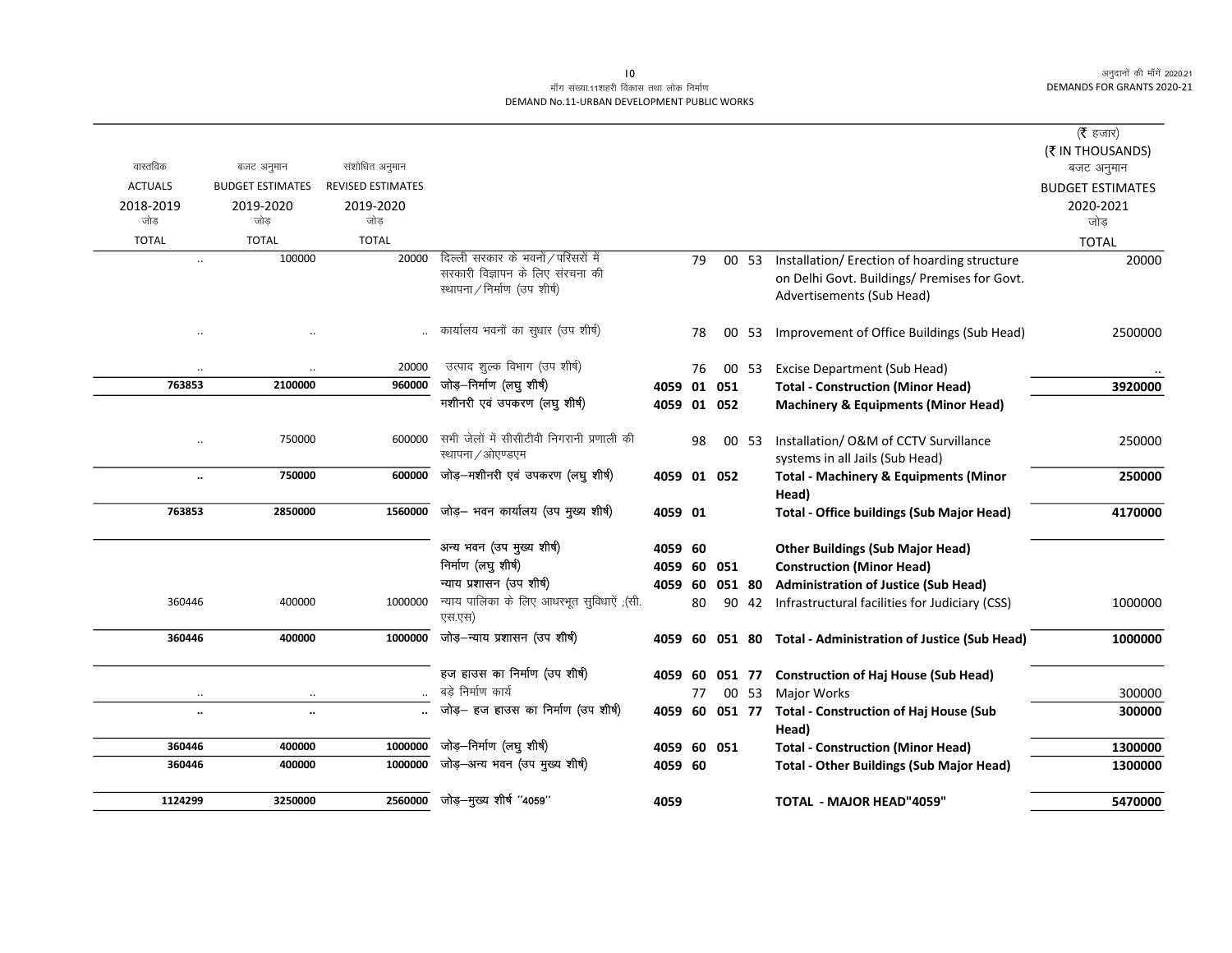# .<br>माँग संख्या.11शहरी विकास तथा लोक निर्माण DEMAND No.11-URBAN DEVELOPMENT PUBLIC WORKS

|                      |                         |                          |                                           |             |    |        |       |                                                             | ( $\bar{\tau}$ हजार)    |
|----------------------|-------------------------|--------------------------|-------------------------------------------|-------------|----|--------|-------|-------------------------------------------------------------|-------------------------|
|                      |                         |                          |                                           |             |    |        |       |                                                             | (₹ IN THOUSANDS)        |
| वास्तविक             | बजट अनुमान              | संशोधित अनुमान           |                                           |             |    |        |       |                                                             | बजट अनुमान              |
| <b>ACTUALS</b>       | <b>BUDGET ESTIMATES</b> | <b>REVISED ESTIMATES</b> |                                           |             |    |        |       |                                                             | <b>BUDGET ESTIMATES</b> |
| 2018-2019            | 2019-2020               | 2019-2020                |                                           |             |    |        |       |                                                             | 2020-2021               |
| जोड                  | जोड                     | जोड़                     |                                           |             |    |        |       |                                                             | जोड                     |
| <b>TOTAL</b>         | <b>TOTAL</b>            | <b>TOTAL</b>             |                                           |             |    |        |       |                                                             | <b>TOTAL</b>            |
|                      | 100000                  | 20000                    | दिल्ली सरकार के भवनों / परिसरों में       |             | 79 |        | 00 53 | Installation/Erection of hoarding structure                 | 20000                   |
|                      |                         |                          | सरकारी विज्ञापन के लिए संरचना की          |             |    |        |       | on Delhi Govt. Buildings/ Premises for Govt.                |                         |
|                      |                         |                          | स्थापना / निर्माण (उप शीर्ष)              |             |    |        |       | Advertisements (Sub Head)                                   |                         |
|                      |                         |                          |                                           |             |    |        |       |                                                             |                         |
|                      |                         |                          | कार्यालय भवनों का सुधार (उप शीर्ष)        |             | 78 |        |       | 00 53 Improvement of Office Buildings (Sub Head)            | 2500000                 |
|                      |                         |                          |                                           |             |    |        |       |                                                             |                         |
|                      |                         | 20000                    | उत्पाद शुल्क विभाग (उप शीर्ष)             |             | 76 |        | 00 53 | <b>Excise Department (Sub Head)</b>                         |                         |
| 763853               | 2100000                 | 960000                   | जोड़–निर्माण (लघु शीर्ष)                  | 4059 01 051 |    |        |       | <b>Total - Construction (Minor Head)</b>                    | 3920000                 |
|                      |                         |                          | मशीनरी एवं उपकरण (लघु शीर्ष)              | 4059 01 052 |    |        |       | <b>Machinery &amp; Equipments (Minor Head)</b>              |                         |
|                      |                         |                          |                                           |             |    |        |       |                                                             |                         |
| $\ddotsc$            | 750000                  | 600000                   | सभी जेलों में सीसीटीवी निगरानी प्रणाली की |             | 98 |        | 00 53 | Installation/ O&M of CCTV Survillance                       | 250000                  |
|                      |                         |                          | स्थापना / ओएण्डएम                         |             |    |        |       | systems in all Jails (Sub Head)                             |                         |
| $\ldots$             | 750000                  | 600000                   | जोड़-मशीनरी एवं उपकरण (लघु शीर्ष)         | 4059 01 052 |    |        |       | <b>Total - Machinery &amp; Equipments (Minor</b>            | 250000                  |
|                      |                         |                          |                                           |             |    |        |       | Head)                                                       |                         |
| 763853               | 2850000                 | 1560000                  | जोड़- भवन कार्यालय (उप मुख्य शीर्ष)       | 4059 01     |    |        |       | <b>Total - Office buildings (Sub Major Head)</b>            | 4170000                 |
|                      |                         |                          |                                           |             |    |        |       |                                                             |                         |
|                      |                         |                          | अन्य भवन (उप मुख्य शीर्ष)                 | 4059 60     |    |        |       | <b>Other Buildings (Sub Major Head)</b>                     |                         |
|                      |                         |                          | निर्माण (लघु शीर्ष)                       | 4059        | 60 | 051    |       | <b>Construction (Minor Head)</b>                            |                         |
|                      |                         |                          | न्याय प्रशासन (उप शीर्ष)                  | 4059        | 60 | 051 80 |       | <b>Administration of Justice (Sub Head)</b>                 |                         |
| 360446               | 400000                  | 1000000                  | न्याय पालिका के लिए आधरभूत सुविधाऐं ,(सी. |             | 80 |        | 90 42 | Infrastructural facilities for Judiciary (CSS)              | 1000000                 |
|                      |                         |                          | एस.एस)                                    |             |    |        |       |                                                             |                         |
| 360446               | 400000                  | 1000000                  | जोड़–न्याय प्रशासन (उप शीर्ष)             |             |    |        |       | 4059 60 051 80 Total - Administration of Justice (Sub Head) | 1000000                 |
|                      |                         |                          |                                           |             |    |        |       |                                                             |                         |
|                      |                         |                          | हज हाउस का निर्माण (उप शीर्ष)             | 4059 60     |    | 051 77 |       | <b>Construction of Haj House (Sub Head)</b>                 |                         |
| $\ldots$             | $\ldots$                |                          | बडे निर्माण कार्य                         |             | 77 |        | 00 53 | <b>Major Works</b>                                          | 300000                  |
| $\ddot{\phantom{a}}$ | $\ddot{\phantom{a}}$    |                          | जोड़– हज हाउस का निर्माण (उप शीर्ष)       | 4059 60     |    |        |       | 051 77 Total - Construction of Haj House (Sub               | 300000                  |
|                      |                         |                          |                                           |             |    |        |       | Head)                                                       |                         |
| 360446               | 400000                  | 1000000                  | जोड़–निर्माण (लघु शीर्ष)                  | 4059 60 051 |    |        |       | <b>Total - Construction (Minor Head)</b>                    | 1300000                 |
| 360446               | 400000                  | 1000000                  | जोड़–अन्य भवन (उप मुख्य शीर्ष)            | 4059 60     |    |        |       | <b>Total - Other Buildings (Sub Major Head)</b>             | 1300000                 |
|                      |                         |                          |                                           |             |    |        |       |                                                             |                         |
| 1124299              | 3250000                 | 2560000                  | जोड़-मुख्य शीर्ष "4059"                   | 4059        |    |        |       | TOTAL - MAJOR HEAD"4059"                                    | 5470000                 |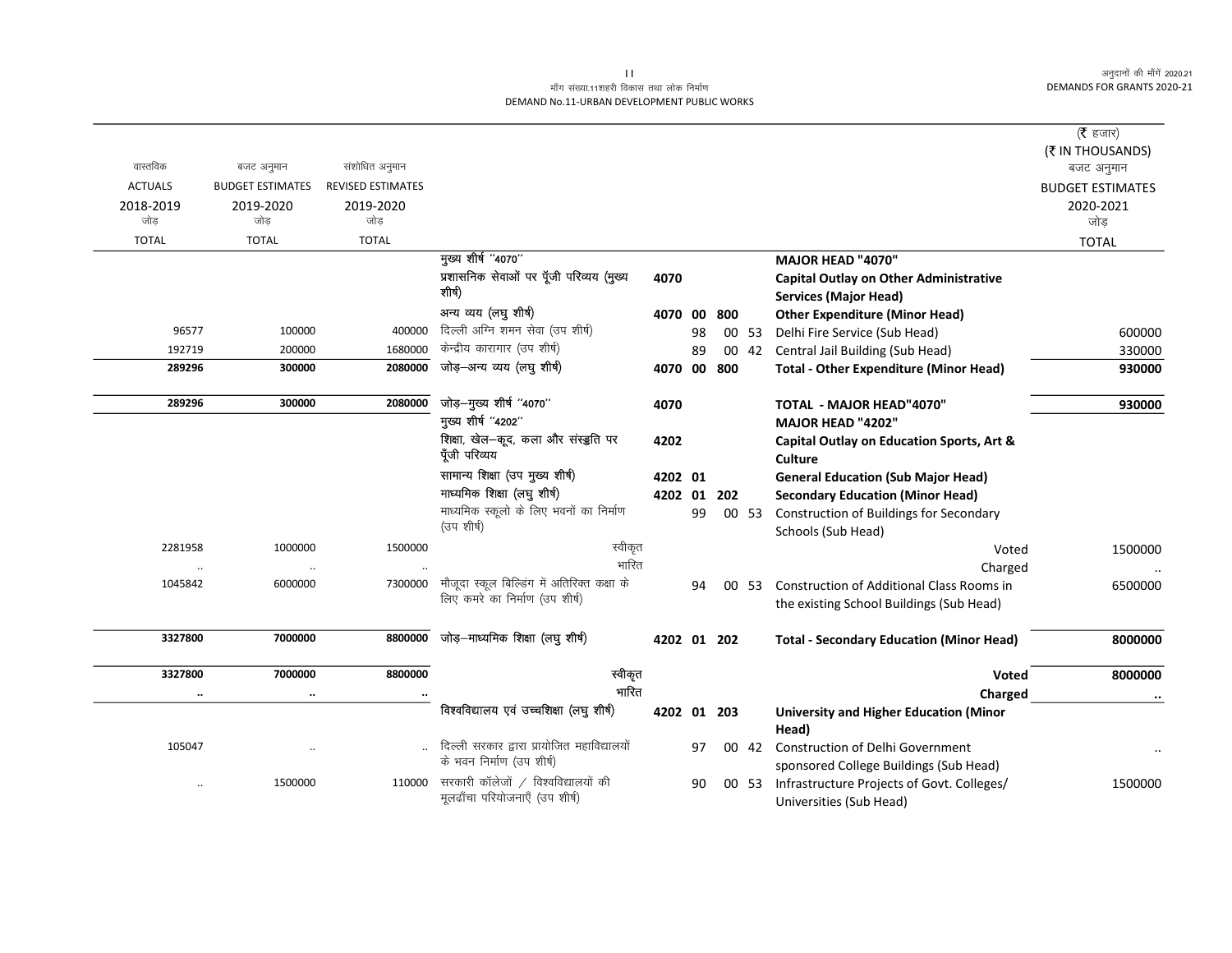# माँग संख्या.11शहरी विकास तथा लोक निर्माण DEMAND No.11-URBAN DEVELOPMENT PUBLIC WORKS

|                      |                         |                          |                                                                               |             |    |     |       |                                                                               | ( $\bar{\tau}$ हजार)    |
|----------------------|-------------------------|--------------------------|-------------------------------------------------------------------------------|-------------|----|-----|-------|-------------------------------------------------------------------------------|-------------------------|
|                      |                         |                          |                                                                               |             |    |     |       |                                                                               | (₹ IN THOUSANDS)        |
| वास्तविक             | बजट अनुमान              | संशोधित अनुमान           |                                                                               |             |    |     |       |                                                                               | बजट अनुमान              |
| <b>ACTUALS</b>       | <b>BUDGET ESTIMATES</b> | <b>REVISED ESTIMATES</b> |                                                                               |             |    |     |       |                                                                               | <b>BUDGET ESTIMATES</b> |
| 2018-2019            | 2019-2020               | 2019-2020                |                                                                               |             |    |     |       |                                                                               | 2020-2021               |
| जोड                  | जोड                     | जोड                      |                                                                               |             |    |     |       |                                                                               | जोड़                    |
| <b>TOTAL</b>         | <b>TOTAL</b>            | <b>TOTAL</b>             | मुख्य शीर्ष "4070"                                                            |             |    |     |       |                                                                               | <b>TOTAL</b>            |
|                      |                         |                          | प्रशासनिक सेवाओं पर पूँजी परिव्यय (मुख्य                                      |             |    |     |       | <b>MAJOR HEAD "4070"</b>                                                      |                         |
|                      |                         |                          | शीर्ष)                                                                        | 4070        |    |     |       | <b>Capital Outlay on Other Administrative</b><br><b>Services (Major Head)</b> |                         |
|                      |                         |                          | अन्य व्यय (लघु शीर्ष)                                                         | 4070 00     |    | 800 |       | <b>Other Expenditure (Minor Head)</b>                                         |                         |
| 96577                | 100000                  | 400000                   | दिल्ली अग्नि शमन सेवा (उप शीर्ष)                                              |             | 98 |     | 00 53 | Delhi Fire Service (Sub Head)                                                 | 600000                  |
| 192719               | 200000                  | 1680000                  | केन्द्रीय कारागार (उप शीर्ष)                                                  |             | 89 |     | 00 42 | Central Jail Building (Sub Head)                                              | 330000                  |
| 289296               | 300000                  | 2080000                  | जोड़-अन्य व्यय (लघु शीर्ष)                                                    | 4070 00 800 |    |     |       | <b>Total - Other Expenditure (Minor Head)</b>                                 | 930000                  |
| 289296               | 300000                  | 2080000                  | जोड़-मुख्य शीर्ष "4070"                                                       | 4070        |    |     |       | <b>TOTAL - MAJOR HEAD"4070"</b>                                               | 930000                  |
|                      |                         |                          | मुख्य शीर्ष "4202"                                                            |             |    |     |       | MAJOR HEAD "4202"                                                             |                         |
|                      |                         |                          | शिक्षा, खेल—कूद, कला और संस्डुति पर                                           | 4202        |    |     |       | Capital Outlay on Education Sports, Art &                                     |                         |
|                      |                         |                          | पूँजी परिव्यय                                                                 |             |    |     |       | <b>Culture</b>                                                                |                         |
|                      |                         |                          | सामान्य शिक्षा (उप मुख्य शीर्ष)                                               | 4202 01     |    |     |       | <b>General Education (Sub Major Head)</b>                                     |                         |
|                      |                         |                          | माध्यमिक शिक्षा (लघु शीर्ष)                                                   | 4202 01     |    | 202 |       | <b>Secondary Education (Minor Head)</b>                                       |                         |
|                      |                         |                          | माध्यमिक स्कूलो के लिए भवनों का निर्माण                                       |             | 99 |     | 00 53 | <b>Construction of Buildings for Secondary</b>                                |                         |
|                      |                         |                          | (उप शीर्ष)                                                                    |             |    |     |       | Schools (Sub Head)                                                            |                         |
| 2281958              | 1000000                 | 1500000                  | स्वीकृत                                                                       |             |    |     |       | Voted                                                                         | 1500000                 |
|                      |                         |                          | भारित                                                                         |             |    |     |       | Charged                                                                       |                         |
| 1045842              | 6000000                 | 7300000                  | मौजूदा स्कूल बिल्डिंग में अतिरिक्त कक्षा के<br>लिए कमरे का निर्माण (उप शीर्ष) |             | 94 |     | 00 53 | <b>Construction of Additional Class Rooms in</b>                              | 6500000                 |
|                      |                         |                          |                                                                               |             |    |     |       | the existing School Buildings (Sub Head)                                      |                         |
| 3327800              | 7000000                 | 8800000                  | जोड़-माध्यमिक शिक्षा (लघु शीर्ष)                                              | 4202 01 202 |    |     |       | <b>Total - Secondary Education (Minor Head)</b>                               | 8000000                 |
| 3327800              | 7000000                 | 8800000                  | स्वीकृत                                                                       |             |    |     |       | <b>Voted</b>                                                                  | 8000000                 |
| $\ddot{\phantom{a}}$ | $\cdots$                |                          | भारित                                                                         |             |    |     |       | Charged                                                                       | $\ldots$                |
|                      |                         |                          | विश्वविद्यालय एवं उच्चशिक्षा (लघु शीर्ष)                                      | 4202 01 203 |    |     |       | <b>University and Higher Education (Minor</b><br>Head)                        |                         |
| 105047               | $\ddot{\phantom{a}}$    |                          | दिल्ली सरकार द्वारा प्रायोजित महाविद्यालयों                                   |             | 97 |     | 00 42 | <b>Construction of Delhi Government</b>                                       |                         |
|                      |                         |                          | के भवन निर्माण (उप शीर्ष)                                                     |             |    |     |       | sponsored College Buildings (Sub Head)                                        |                         |
|                      | 1500000                 | 110000                   | सरकारी कॉलेजों / विश्वविद्यालयों की                                           |             | 90 |     | 00 53 | Infrastructure Projects of Govt. Colleges/                                    | 1500000                 |
|                      |                         |                          | मूलढाँचा परियोजनाएँ (उप शीर्ष)                                                |             |    |     |       | Universities (Sub Head)                                                       |                         |

 $\vert \vert \vert \vert$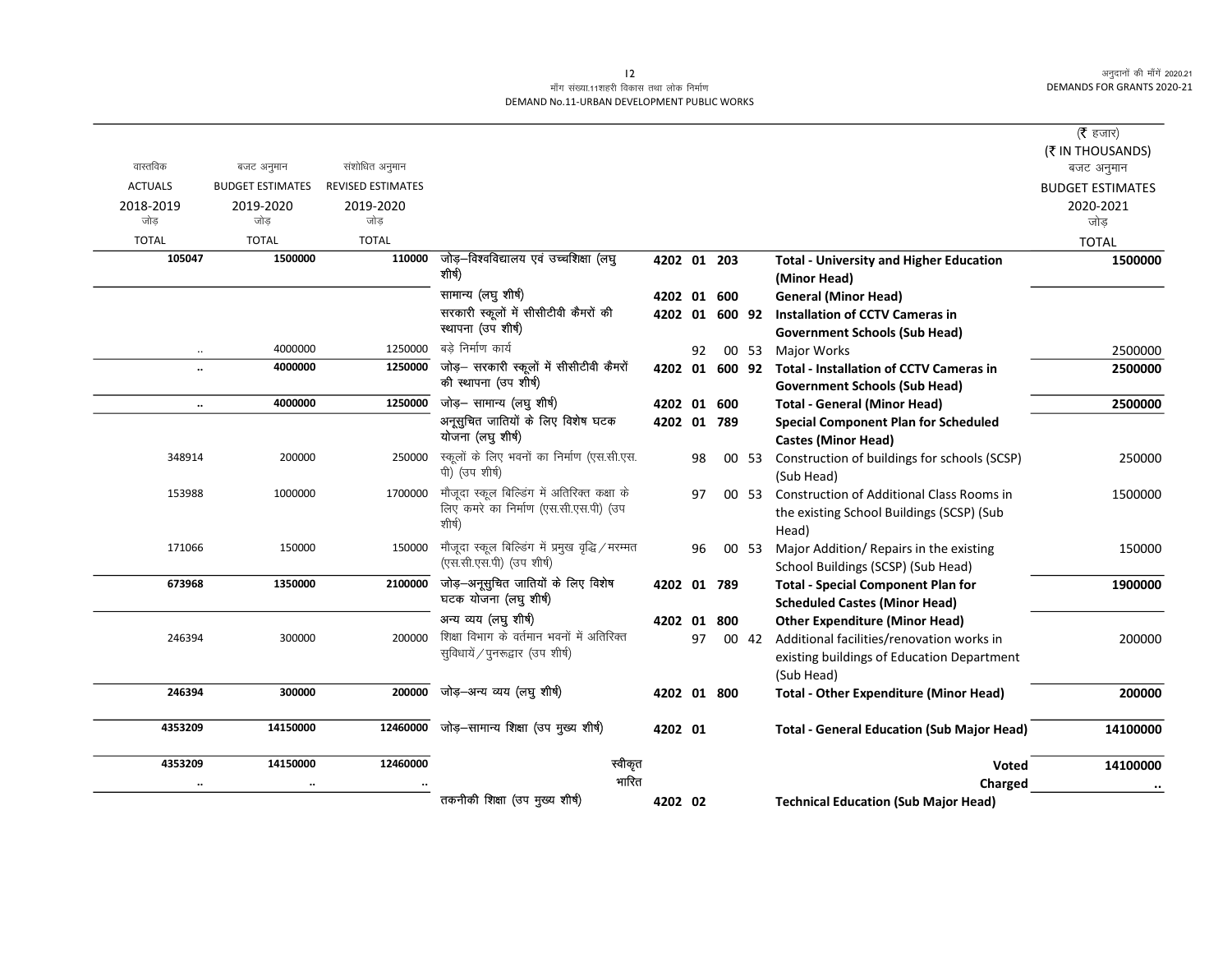# माँग संख्या.11शहरी विकास तथा लोक निर्माण DEMAND No.11-URBAN DEVELOPMENT PUBLIC WORKS

| ( $\bar{\tau}$ हजार)           |                                                                                                |       |                |    |             |                                                                   |                          |                         |                |
|--------------------------------|------------------------------------------------------------------------------------------------|-------|----------------|----|-------------|-------------------------------------------------------------------|--------------------------|-------------------------|----------------|
| (₹ IN THOUSANDS)<br>बजट अनुमान |                                                                                                |       |                |    |             |                                                                   | संशोधित अनुमान           | बजट अनुमान              | वास्तविक       |
| <b>BUDGET ESTIMATES</b>        |                                                                                                |       |                |    |             |                                                                   | <b>REVISED ESTIMATES</b> | <b>BUDGET ESTIMATES</b> | <b>ACTUALS</b> |
| 2020-2021                      |                                                                                                |       |                |    |             |                                                                   | 2019-2020                | 2019-2020               | 2018-2019      |
| जोड़                           |                                                                                                |       |                |    |             |                                                                   | जोड                      | जोड                     | जोड            |
| <b>TOTAL</b>                   |                                                                                                |       |                |    |             |                                                                   | <b>TOTAL</b>             | <b>TOTAL</b>            | <b>TOTAL</b>   |
| 1500000                        | <b>Total - University and Higher Education</b>                                                 |       |                |    | 4202 01 203 | जोड़–विश्वविद्यालय एवं उच्चशिक्षा (लघु                            | 110000                   | 1500000                 | 105047         |
|                                | (Minor Head)                                                                                   |       |                |    |             | शीर्ष)                                                            |                          |                         |                |
|                                | <b>General (Minor Head)</b>                                                                    |       |                |    | 4202 01 600 | सामान्य (लघु शीर्ष)                                               |                          |                         |                |
|                                | <b>Installation of CCTV Cameras in</b>                                                         |       | 4202 01 600 92 |    |             | सरकारी स्कूलों में सीसीटीवी कैमरों की                             |                          |                         |                |
|                                | <b>Government Schools (Sub Head)</b>                                                           |       |                |    |             | स्थापना (उप शीर्ष)                                                |                          |                         |                |
| 2500000                        | 00 53 Major Works                                                                              |       |                | 92 |             | बडे निर्माण कार्य                                                 | 1250000                  | 4000000                 | $\cdot$ .      |
| 2500000                        | 4202 01 600 92 Total - Installation of CCTV Cameras in<br><b>Government Schools (Sub Head)</b> |       |                |    |             | जोड़– सरकारी स्कूलों में सीसीटीवी कैमरों<br>की स्थापना (उप शीर्ष) | 1250000                  | 4000000                 |                |
| 2500000                        | <b>Total - General (Minor Head)</b>                                                            |       |                |    | 4202 01 600 | जोड़- सामान्य (लघु शीर्ष)                                         | 1250000                  | 4000000                 | $\ddotsc$      |
|                                | <b>Special Component Plan for Scheduled</b>                                                    |       |                |    | 4202 01 789 | अनूसुचित जातियों के लिए विशेष घटक                                 |                          |                         |                |
|                                | <b>Castes (Minor Head)</b>                                                                     |       |                |    |             | योजना (लघु शीर्ष)                                                 |                          |                         |                |
| 250000                         | Construction of buildings for schools (SCSP)                                                   | 00 53 |                | 98 |             | स्कूलों के लिए भवनों का निर्माण (एस.सी.एस.<br>पी) (उप शीर्ष)      | 250000                   | 200000                  | 348914         |
| 1500000                        | (Sub Head)<br><b>Construction of Additional Class Rooms in</b>                                 | 00 53 |                | 97 |             | मौजूदा स्कूल बिल्डिंग में अतिरिक्त कक्षा के                       | 1700000                  | 1000000                 | 153988         |
|                                | the existing School Buildings (SCSP) (Sub                                                      |       |                |    |             | लिए कमरे का निर्माण (एस.सी.एस.पी) (उप                             |                          |                         |                |
|                                | Head)                                                                                          |       |                |    |             | शीर्ष)                                                            |                          |                         |                |
| 150000                         | Major Addition/ Repairs in the existing                                                        | 00 53 |                | 96 |             | मौजूदा स्कूल बिल्डिंग में प्रमुख वृद्धि / मरम्मत                  | 150000                   | 150000                  | 171066         |
|                                | School Buildings (SCSP) (Sub Head)                                                             |       |                |    |             | (एस.सी.एस.पी) (उप शीर्ष)                                          |                          |                         |                |
| 1900000                        | <b>Total - Special Component Plan for</b>                                                      |       |                |    | 4202 01 789 | जोड़-अनूसुचित जातियों के लिए विशेष                                | 2100000                  | 1350000                 | 673968         |
|                                | <b>Scheduled Castes (Minor Head)</b>                                                           |       |                |    |             | घटक योजना (लघु शीर्ष)                                             |                          |                         |                |
|                                | <b>Other Expenditure (Minor Head)</b>                                                          |       |                |    | 4202 01 800 | अन्य व्यय (लघु शीर्ष)                                             |                          |                         |                |
| 200000                         | Additional facilities/renovation works in                                                      | 00 42 |                | 97 |             | शिक्षा विभाग के वर्तमान भवनों में अतिरिक्त                        | 200000                   | 300000                  | 246394         |
|                                | existing buildings of Education Department                                                     |       |                |    |             | सुविधायें / पुनरूद्वार (उप शीर्ष)                                 |                          |                         |                |
|                                | (Sub Head)                                                                                     |       |                |    |             |                                                                   |                          |                         |                |
| 200000                         | <b>Total - Other Expenditure (Minor Head)</b>                                                  |       |                |    | 4202 01 800 | जोड़—अन्य व्यय (लघु शीर्ष)                                        | 200000                   | 300000                  | 246394         |
| 14100000                       | <b>Total - General Education (Sub Major Head)</b>                                              |       |                |    | 4202 01     | $12460000$ जोड़-सामान्य शिक्षा (उप मुख्य शीर्ष)                   |                          | 14150000                | 4353209        |
| 14100000                       | <b>Voted</b>                                                                                   |       |                |    |             | स्वीकृत                                                           | 12460000                 | 14150000                | 4353209        |
|                                | Charged                                                                                        |       |                |    |             | भारित                                                             |                          |                         |                |
|                                | <b>Technical Education (Sub Major Head)</b>                                                    |       |                |    | 4202 02     | तकनीकी शिक्षा (उप मुख्य शीर्ष)                                    |                          |                         |                |
|                                |                                                                                                |       |                |    |             |                                                                   |                          |                         |                |

 $|2$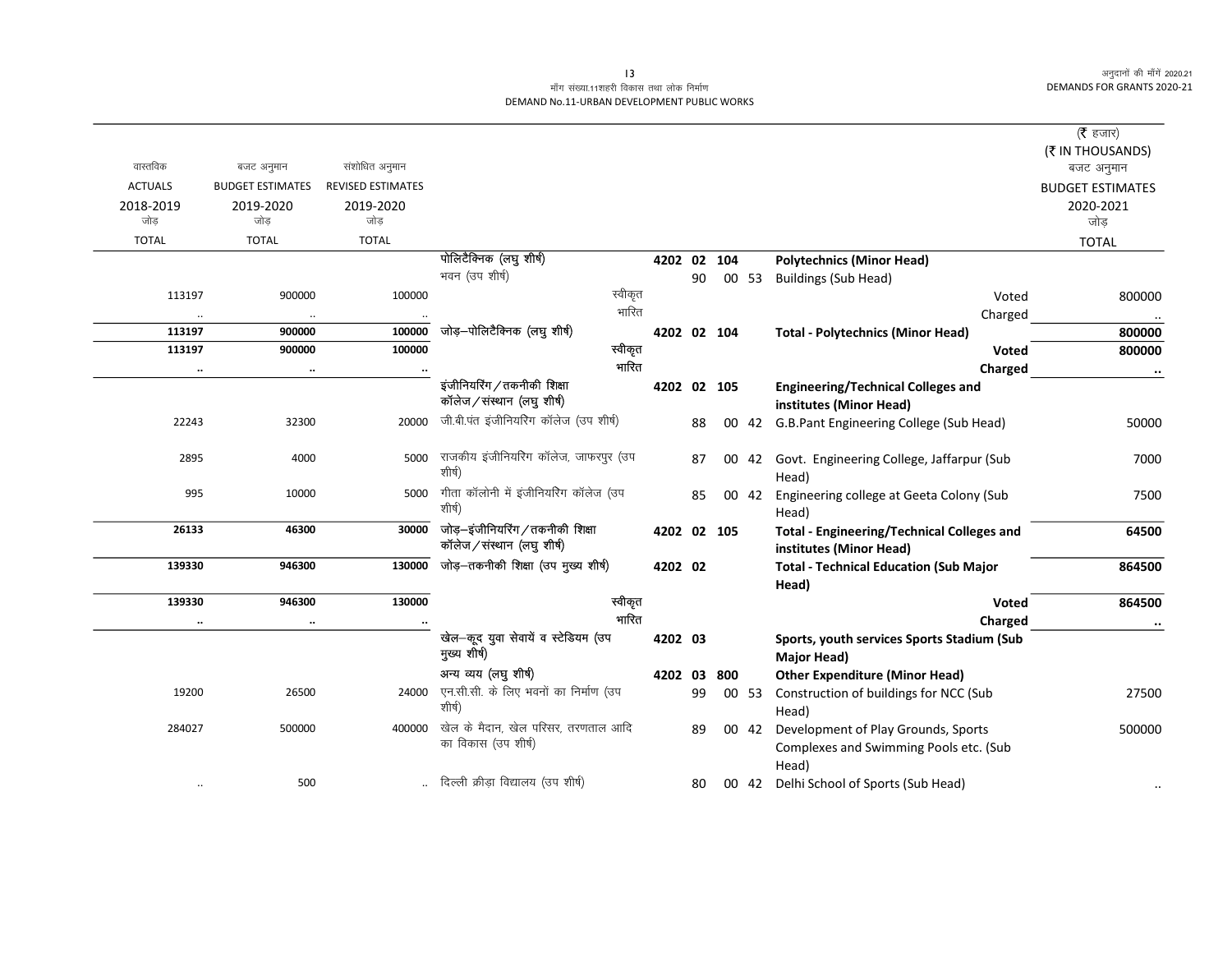# माँग संख्या.11शहरी विकास तथा लोक निर्माण DEMAND No.11-URBAN DEVELOPMENT PUBLIC WORKS

| वास्तविक<br>संशोधित अनुमान<br>बजट अनुमान<br><b>ACTUALS</b><br><b>BUDGET ESTIMATES</b><br><b>REVISED ESTIMATES</b><br><b>BUDGET ESTIMATES</b><br>2018-2019<br>2019-2020<br>2019-2020<br>जोड<br>जोड<br>जोड<br>जोड<br><b>TOTAL</b><br><b>TOTAL</b><br><b>TOTAL</b><br><b>TOTAL</b><br>पोलिटैक्निक (लघु शीर्ष)<br>4202 02 104<br><b>Polytechnics (Minor Head)</b><br>भवन (उप शीर्ष)<br>90<br>00 53<br><b>Buildings (Sub Head)</b><br>स्वीकृत<br>113197<br>100000<br>900000<br>Voted<br>भारित<br>Charged<br>$\ddotsc$<br>जोड़-पोलिटैक्निक (लघु शीर्ष)<br>100000<br>113197<br>900000<br>4202 02 104<br><b>Total - Polytechnics (Minor Head)</b><br>स्वीकृत<br>100000<br>113197<br>900000<br>Voted<br>भारित<br>Charged<br>$\ldots$<br>$\ddot{\phantom{0}}$<br>इंजीनियरिंग / तकनीकी शिक्षा<br>4202 02 105<br><b>Engineering/Technical Colleges and</b><br>कॉलेज/संस्थान (लघु शीर्ष)<br>institutes (Minor Head)<br>जी.बी.पंत इंजीनियरिंग कॉलेज (उप शीर्ष)<br>22243<br>20000<br>32300<br>00 42 G.B.Pant Engineering College (Sub Head)<br>88<br>राजकीय इंजीनियरिंग कॉलेज, जाफरपुर (उप<br>2895<br>4000<br>5000<br>00 42 Govt. Engineering College, Jaffarpur (Sub<br>87<br>शीर्ष)<br>Head)<br>गीता कॉलोनी में इंजीनियरिंग कॉलेज (उप<br>995<br>10000<br>5000<br>85<br>00 42<br>Engineering college at Geeta Colony (Sub<br>शीर्ष)<br>Head)<br>जोड़-इंजीनियरिंग/तकनीकी शिक्षा<br>26133<br>46300<br>30000<br>4202 02 105<br><b>Total - Engineering/Technical Colleges and</b><br>कॉलेज/संस्थान (लघु शीर्ष)<br>institutes (Minor Head)<br>जोड़-तकनीकी शिक्षा (उप मुख्य शीर्ष)<br>139330<br>946300<br>130000<br>4202 02<br><b>Total - Technical Education (Sub Major</b><br>Head)<br>130000<br>स्वीकृत<br>139330<br>946300<br>Voted<br>भारित<br>Charged<br>$\ddotsc$<br>$\ddot{\phantom{0}}$<br>खेल-कूद युवा सेवायें व स्टेडियम (उप<br>4202 03<br>Sports, youth services Sports Stadium (Sub<br>मुख्य शीर्ष)<br>Major Head)<br>अन्य व्यय (लघु शीर्ष)<br><b>Other Expenditure (Minor Head)</b><br>4202 03<br>800<br>एन.सी.सी. के लिए भवनों का निर्माण (उप<br>19200<br>26500<br>24000<br>Construction of buildings for NCC (Sub<br>99<br>00 53<br>शीर्ष)<br>Head)<br>खेल के मैदान, खेल परिसर, तरणताल आदि<br>400000<br>284027<br>500000<br>Development of Play Grounds, Sports<br>89<br>00 42<br>का विकास (उप शीर्ष)<br>Complexes and Swimming Pools etc. (Sub<br>Head)<br>दिल्ली क्रीड़ा विद्यालय (उप शीर्ष)<br>500<br>00 42 Delhi School of Sports (Sub Head)<br>80<br>$\ddotsc$ | ( <b>रै</b> हजार) |
|-----------------------------------------------------------------------------------------------------------------------------------------------------------------------------------------------------------------------------------------------------------------------------------------------------------------------------------------------------------------------------------------------------------------------------------------------------------------------------------------------------------------------------------------------------------------------------------------------------------------------------------------------------------------------------------------------------------------------------------------------------------------------------------------------------------------------------------------------------------------------------------------------------------------------------------------------------------------------------------------------------------------------------------------------------------------------------------------------------------------------------------------------------------------------------------------------------------------------------------------------------------------------------------------------------------------------------------------------------------------------------------------------------------------------------------------------------------------------------------------------------------------------------------------------------------------------------------------------------------------------------------------------------------------------------------------------------------------------------------------------------------------------------------------------------------------------------------------------------------------------------------------------------------------------------------------------------------------------------------------------------------------------------------------------------------------------------------------------------------------------------------------------------------------------------------------------------------------------------------------------------------------------------------------------------------------------------------------------------------------------------------------------------------------------------------------------------------------|-------------------|
|                                                                                                                                                                                                                                                                                                                                                                                                                                                                                                                                                                                                                                                                                                                                                                                                                                                                                                                                                                                                                                                                                                                                                                                                                                                                                                                                                                                                                                                                                                                                                                                                                                                                                                                                                                                                                                                                                                                                                                                                                                                                                                                                                                                                                                                                                                                                                                                                                                                                 | (₹ IN THOUSANDS)  |
|                                                                                                                                                                                                                                                                                                                                                                                                                                                                                                                                                                                                                                                                                                                                                                                                                                                                                                                                                                                                                                                                                                                                                                                                                                                                                                                                                                                                                                                                                                                                                                                                                                                                                                                                                                                                                                                                                                                                                                                                                                                                                                                                                                                                                                                                                                                                                                                                                                                                 | बजट अनुमान        |
|                                                                                                                                                                                                                                                                                                                                                                                                                                                                                                                                                                                                                                                                                                                                                                                                                                                                                                                                                                                                                                                                                                                                                                                                                                                                                                                                                                                                                                                                                                                                                                                                                                                                                                                                                                                                                                                                                                                                                                                                                                                                                                                                                                                                                                                                                                                                                                                                                                                                 |                   |
|                                                                                                                                                                                                                                                                                                                                                                                                                                                                                                                                                                                                                                                                                                                                                                                                                                                                                                                                                                                                                                                                                                                                                                                                                                                                                                                                                                                                                                                                                                                                                                                                                                                                                                                                                                                                                                                                                                                                                                                                                                                                                                                                                                                                                                                                                                                                                                                                                                                                 | 2020-2021         |
|                                                                                                                                                                                                                                                                                                                                                                                                                                                                                                                                                                                                                                                                                                                                                                                                                                                                                                                                                                                                                                                                                                                                                                                                                                                                                                                                                                                                                                                                                                                                                                                                                                                                                                                                                                                                                                                                                                                                                                                                                                                                                                                                                                                                                                                                                                                                                                                                                                                                 |                   |
|                                                                                                                                                                                                                                                                                                                                                                                                                                                                                                                                                                                                                                                                                                                                                                                                                                                                                                                                                                                                                                                                                                                                                                                                                                                                                                                                                                                                                                                                                                                                                                                                                                                                                                                                                                                                                                                                                                                                                                                                                                                                                                                                                                                                                                                                                                                                                                                                                                                                 |                   |
|                                                                                                                                                                                                                                                                                                                                                                                                                                                                                                                                                                                                                                                                                                                                                                                                                                                                                                                                                                                                                                                                                                                                                                                                                                                                                                                                                                                                                                                                                                                                                                                                                                                                                                                                                                                                                                                                                                                                                                                                                                                                                                                                                                                                                                                                                                                                                                                                                                                                 |                   |
|                                                                                                                                                                                                                                                                                                                                                                                                                                                                                                                                                                                                                                                                                                                                                                                                                                                                                                                                                                                                                                                                                                                                                                                                                                                                                                                                                                                                                                                                                                                                                                                                                                                                                                                                                                                                                                                                                                                                                                                                                                                                                                                                                                                                                                                                                                                                                                                                                                                                 | 800000            |
|                                                                                                                                                                                                                                                                                                                                                                                                                                                                                                                                                                                                                                                                                                                                                                                                                                                                                                                                                                                                                                                                                                                                                                                                                                                                                                                                                                                                                                                                                                                                                                                                                                                                                                                                                                                                                                                                                                                                                                                                                                                                                                                                                                                                                                                                                                                                                                                                                                                                 |                   |
|                                                                                                                                                                                                                                                                                                                                                                                                                                                                                                                                                                                                                                                                                                                                                                                                                                                                                                                                                                                                                                                                                                                                                                                                                                                                                                                                                                                                                                                                                                                                                                                                                                                                                                                                                                                                                                                                                                                                                                                                                                                                                                                                                                                                                                                                                                                                                                                                                                                                 | 800000            |
|                                                                                                                                                                                                                                                                                                                                                                                                                                                                                                                                                                                                                                                                                                                                                                                                                                                                                                                                                                                                                                                                                                                                                                                                                                                                                                                                                                                                                                                                                                                                                                                                                                                                                                                                                                                                                                                                                                                                                                                                                                                                                                                                                                                                                                                                                                                                                                                                                                                                 | 800000            |
|                                                                                                                                                                                                                                                                                                                                                                                                                                                                                                                                                                                                                                                                                                                                                                                                                                                                                                                                                                                                                                                                                                                                                                                                                                                                                                                                                                                                                                                                                                                                                                                                                                                                                                                                                                                                                                                                                                                                                                                                                                                                                                                                                                                                                                                                                                                                                                                                                                                                 |                   |
|                                                                                                                                                                                                                                                                                                                                                                                                                                                                                                                                                                                                                                                                                                                                                                                                                                                                                                                                                                                                                                                                                                                                                                                                                                                                                                                                                                                                                                                                                                                                                                                                                                                                                                                                                                                                                                                                                                                                                                                                                                                                                                                                                                                                                                                                                                                                                                                                                                                                 | $\cdot\cdot$      |
|                                                                                                                                                                                                                                                                                                                                                                                                                                                                                                                                                                                                                                                                                                                                                                                                                                                                                                                                                                                                                                                                                                                                                                                                                                                                                                                                                                                                                                                                                                                                                                                                                                                                                                                                                                                                                                                                                                                                                                                                                                                                                                                                                                                                                                                                                                                                                                                                                                                                 |                   |
|                                                                                                                                                                                                                                                                                                                                                                                                                                                                                                                                                                                                                                                                                                                                                                                                                                                                                                                                                                                                                                                                                                                                                                                                                                                                                                                                                                                                                                                                                                                                                                                                                                                                                                                                                                                                                                                                                                                                                                                                                                                                                                                                                                                                                                                                                                                                                                                                                                                                 | 50000             |
|                                                                                                                                                                                                                                                                                                                                                                                                                                                                                                                                                                                                                                                                                                                                                                                                                                                                                                                                                                                                                                                                                                                                                                                                                                                                                                                                                                                                                                                                                                                                                                                                                                                                                                                                                                                                                                                                                                                                                                                                                                                                                                                                                                                                                                                                                                                                                                                                                                                                 | 7000              |
|                                                                                                                                                                                                                                                                                                                                                                                                                                                                                                                                                                                                                                                                                                                                                                                                                                                                                                                                                                                                                                                                                                                                                                                                                                                                                                                                                                                                                                                                                                                                                                                                                                                                                                                                                                                                                                                                                                                                                                                                                                                                                                                                                                                                                                                                                                                                                                                                                                                                 |                   |
|                                                                                                                                                                                                                                                                                                                                                                                                                                                                                                                                                                                                                                                                                                                                                                                                                                                                                                                                                                                                                                                                                                                                                                                                                                                                                                                                                                                                                                                                                                                                                                                                                                                                                                                                                                                                                                                                                                                                                                                                                                                                                                                                                                                                                                                                                                                                                                                                                                                                 | 7500              |
|                                                                                                                                                                                                                                                                                                                                                                                                                                                                                                                                                                                                                                                                                                                                                                                                                                                                                                                                                                                                                                                                                                                                                                                                                                                                                                                                                                                                                                                                                                                                                                                                                                                                                                                                                                                                                                                                                                                                                                                                                                                                                                                                                                                                                                                                                                                                                                                                                                                                 | 64500             |
|                                                                                                                                                                                                                                                                                                                                                                                                                                                                                                                                                                                                                                                                                                                                                                                                                                                                                                                                                                                                                                                                                                                                                                                                                                                                                                                                                                                                                                                                                                                                                                                                                                                                                                                                                                                                                                                                                                                                                                                                                                                                                                                                                                                                                                                                                                                                                                                                                                                                 | 864500            |
|                                                                                                                                                                                                                                                                                                                                                                                                                                                                                                                                                                                                                                                                                                                                                                                                                                                                                                                                                                                                                                                                                                                                                                                                                                                                                                                                                                                                                                                                                                                                                                                                                                                                                                                                                                                                                                                                                                                                                                                                                                                                                                                                                                                                                                                                                                                                                                                                                                                                 |                   |
|                                                                                                                                                                                                                                                                                                                                                                                                                                                                                                                                                                                                                                                                                                                                                                                                                                                                                                                                                                                                                                                                                                                                                                                                                                                                                                                                                                                                                                                                                                                                                                                                                                                                                                                                                                                                                                                                                                                                                                                                                                                                                                                                                                                                                                                                                                                                                                                                                                                                 | 864500            |
|                                                                                                                                                                                                                                                                                                                                                                                                                                                                                                                                                                                                                                                                                                                                                                                                                                                                                                                                                                                                                                                                                                                                                                                                                                                                                                                                                                                                                                                                                                                                                                                                                                                                                                                                                                                                                                                                                                                                                                                                                                                                                                                                                                                                                                                                                                                                                                                                                                                                 | $\ldots$          |
|                                                                                                                                                                                                                                                                                                                                                                                                                                                                                                                                                                                                                                                                                                                                                                                                                                                                                                                                                                                                                                                                                                                                                                                                                                                                                                                                                                                                                                                                                                                                                                                                                                                                                                                                                                                                                                                                                                                                                                                                                                                                                                                                                                                                                                                                                                                                                                                                                                                                 |                   |
|                                                                                                                                                                                                                                                                                                                                                                                                                                                                                                                                                                                                                                                                                                                                                                                                                                                                                                                                                                                                                                                                                                                                                                                                                                                                                                                                                                                                                                                                                                                                                                                                                                                                                                                                                                                                                                                                                                                                                                                                                                                                                                                                                                                                                                                                                                                                                                                                                                                                 |                   |
|                                                                                                                                                                                                                                                                                                                                                                                                                                                                                                                                                                                                                                                                                                                                                                                                                                                                                                                                                                                                                                                                                                                                                                                                                                                                                                                                                                                                                                                                                                                                                                                                                                                                                                                                                                                                                                                                                                                                                                                                                                                                                                                                                                                                                                                                                                                                                                                                                                                                 | 27500             |
|                                                                                                                                                                                                                                                                                                                                                                                                                                                                                                                                                                                                                                                                                                                                                                                                                                                                                                                                                                                                                                                                                                                                                                                                                                                                                                                                                                                                                                                                                                                                                                                                                                                                                                                                                                                                                                                                                                                                                                                                                                                                                                                                                                                                                                                                                                                                                                                                                                                                 |                   |
|                                                                                                                                                                                                                                                                                                                                                                                                                                                                                                                                                                                                                                                                                                                                                                                                                                                                                                                                                                                                                                                                                                                                                                                                                                                                                                                                                                                                                                                                                                                                                                                                                                                                                                                                                                                                                                                                                                                                                                                                                                                                                                                                                                                                                                                                                                                                                                                                                                                                 | 500000            |
|                                                                                                                                                                                                                                                                                                                                                                                                                                                                                                                                                                                                                                                                                                                                                                                                                                                                                                                                                                                                                                                                                                                                                                                                                                                                                                                                                                                                                                                                                                                                                                                                                                                                                                                                                                                                                                                                                                                                                                                                                                                                                                                                                                                                                                                                                                                                                                                                                                                                 |                   |
|                                                                                                                                                                                                                                                                                                                                                                                                                                                                                                                                                                                                                                                                                                                                                                                                                                                                                                                                                                                                                                                                                                                                                                                                                                                                                                                                                                                                                                                                                                                                                                                                                                                                                                                                                                                                                                                                                                                                                                                                                                                                                                                                                                                                                                                                                                                                                                                                                                                                 |                   |
|                                                                                                                                                                                                                                                                                                                                                                                                                                                                                                                                                                                                                                                                                                                                                                                                                                                                                                                                                                                                                                                                                                                                                                                                                                                                                                                                                                                                                                                                                                                                                                                                                                                                                                                                                                                                                                                                                                                                                                                                                                                                                                                                                                                                                                                                                                                                                                                                                                                                 |                   |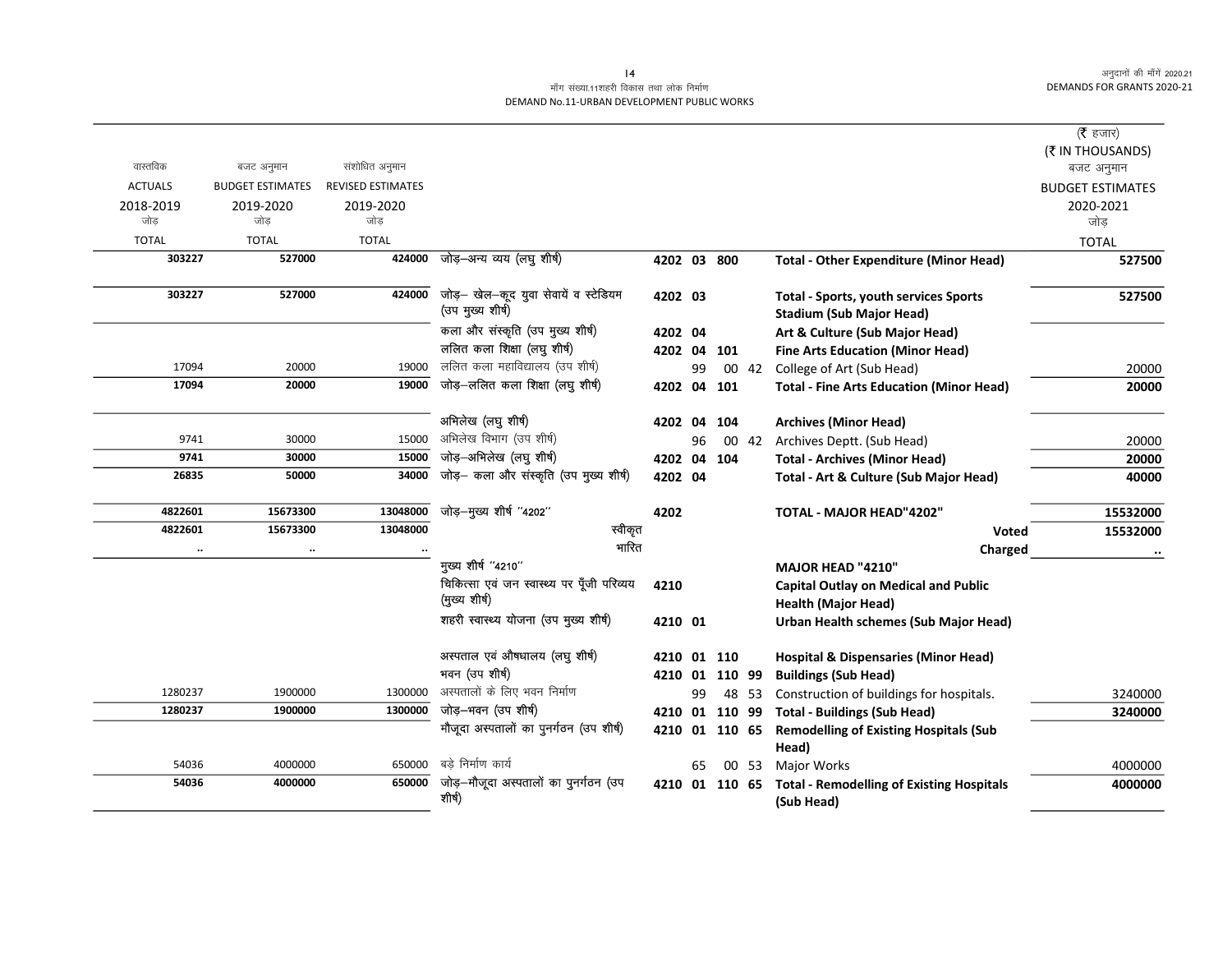# .<br>माँग संख्या.11शहरी विकास तथा लोक निर्माण DEMAND No.11-URBAN DEVELOPMENT PUBLIC WORKS

|                |                         |                          |                                            |                |    |        |       |                                                  | (रै हजार)               |
|----------------|-------------------------|--------------------------|--------------------------------------------|----------------|----|--------|-------|--------------------------------------------------|-------------------------|
|                |                         |                          |                                            |                |    |        |       |                                                  | (₹ IN THOUSANDS)        |
| वास्तविक       | बजट अनुमान              | संशोधित अनुमान           |                                            |                |    |        |       |                                                  | बजट अनुमान              |
| <b>ACTUALS</b> | <b>BUDGET ESTIMATES</b> | <b>REVISED ESTIMATES</b> |                                            |                |    |        |       |                                                  | <b>BUDGET ESTIMATES</b> |
| 2018-2019      | 2019-2020               | 2019-2020                |                                            |                |    |        |       |                                                  | 2020-2021               |
| जोड            | जोड                     | जोड                      |                                            |                |    |        |       |                                                  | जोड                     |
| <b>TOTAL</b>   | <b>TOTAL</b>            | <b>TOTAL</b>             |                                            |                |    |        |       |                                                  | <b>TOTAL</b>            |
| 303227         | 527000                  | 424000                   | जोड़-अन्य व्यय (लघु शीर्ष)                 | 4202 03 800    |    |        |       | <b>Total - Other Expenditure (Minor Head)</b>    | 527500                  |
|                |                         |                          |                                            |                |    |        |       |                                                  |                         |
| 303227         | 527000                  | 424000                   | जोड़- खेल-कूद युवा सेवायें व स्टेडियम      | 4202 03        |    |        |       | <b>Total - Sports, youth services Sports</b>     | 527500                  |
|                |                         |                          | (उप मुख्य शीर्ष)                           |                |    |        |       | <b>Stadium (Sub Major Head)</b>                  |                         |
|                |                         |                          | कला और संस्कृति (उप मुख्य शीर्ष)           | 4202 04        |    |        |       | Art & Culture (Sub Major Head)                   |                         |
|                |                         |                          | ललित कला शिक्षा (लघु शीर्ष)                | 4202 04 101    |    |        |       | <b>Fine Arts Education (Minor Head)</b>          |                         |
| 17094          | 20000                   | 19000                    | ललित कला महाविद्यालय (उप शीर्ष)            |                | 99 |        | 00 42 | College of Art (Sub Head)                        | 20000                   |
| 17094          | 20000                   | 19000                    | जोड़-ललित कला शिक्षा (लघु शीर्ष)           | 4202 04 101    |    |        |       | <b>Total - Fine Arts Education (Minor Head)</b>  | 20000                   |
|                |                         |                          |                                            |                |    |        |       |                                                  |                         |
|                |                         |                          | अभिलेख (लघु शीर्ष)                         | 4202 04        |    | 104    |       | <b>Archives (Minor Head)</b>                     |                         |
| 9741           | 30000                   | 15000                    | अभिलेख विभाग (उप शीर्ष)                    |                | 96 |        | 00 42 | Archives Deptt. (Sub Head)                       | 20000                   |
| 9741           | 30000                   | 15000                    | जोड़-अभिलेख (लघु शीर्ष)                    | 4202 04        |    | 104    |       | <b>Total - Archives (Minor Head)</b>             | 20000                   |
| 26835          | 50000                   | 34000                    | जोड़- कला और संस्कृति (उप मुख्य शीर्ष)     | 4202 04        |    |        |       | Total - Art & Culture (Sub Major Head)           | 40000                   |
|                |                         |                          |                                            |                |    |        |       |                                                  |                         |
| 4822601        | 15673300                | 13048000                 | जोड़-मुख्य शीर्ष "4202"                    | 4202           |    |        |       | TOTAL - MAJOR HEAD"4202"                         | 15532000                |
| 4822601        | 15673300                | 13048000                 | स्वीकृत                                    |                |    |        |       | Voted                                            | 15532000                |
| $\cdots$       | $\ldots$                |                          | गारित                                      |                |    |        |       | Charged                                          |                         |
|                |                         |                          | मुख्य शीर्ष "4210"                         |                |    |        |       | <b>MAJOR HEAD "4210"</b>                         |                         |
|                |                         |                          | चिकित्सा एवं जन स्वास्थ्य पर पूँजी परिव्यय | 4210           |    |        |       | <b>Capital Outlay on Medical and Public</b>      |                         |
|                |                         |                          | (मुख्य शीर्ष)                              |                |    |        |       | <b>Health (Major Head)</b>                       |                         |
|                |                         |                          | शहरी स्वास्थ्य योजना (उप मुख्य शीर्ष)      | 4210 01        |    |        |       | Urban Health schemes (Sub Major Head)            |                         |
|                |                         |                          |                                            |                |    |        |       |                                                  |                         |
|                |                         |                          | अस्पताल एवं औषधालय (लघु शीर्ष)             | 4210 01 110    |    |        |       | <b>Hospital &amp; Dispensaries (Minor Head)</b>  |                         |
|                |                         |                          | भवन (उप शीर्ष)                             | 4210 01        |    | 110 99 |       | <b>Buildings (Sub Head)</b>                      |                         |
| 1280237        | 1900000                 | 1300000                  | अस्पतालों के लिए भवन निर्माण               |                | 99 |        | 48 53 | Construction of buildings for hospitals.         | 3240000                 |
| 1280237        | 1900000                 | 1300000                  | जोड़–भवन (उप शीर्ष)                        | 4210 01 110 99 |    |        |       | <b>Total - Buildings (Sub Head)</b>              | 3240000                 |
|                |                         |                          | मौजूदा अस्पतालों का पुनर्गठन (उप शीर्ष)    | 4210 01 110 65 |    |        |       | <b>Remodelling of Existing Hospitals (Sub</b>    |                         |
|                |                         |                          |                                            |                |    |        |       | Head)                                            |                         |
| 54036          | 4000000                 | 650000                   | बडे निर्माण कार्य                          |                | 65 |        | 00 53 | <b>Major Works</b>                               | 4000000                 |
| 54036          | 4000000                 | 650000                   | जोड़-मौजूदा अस्पतालों का पुनर्गठन (उप      | 4210 01 110 65 |    |        |       | <b>Total - Remodelling of Existing Hospitals</b> | 4000000                 |
|                |                         |                          | शीर्ष)                                     |                |    |        |       | (Sub Head)                                       |                         |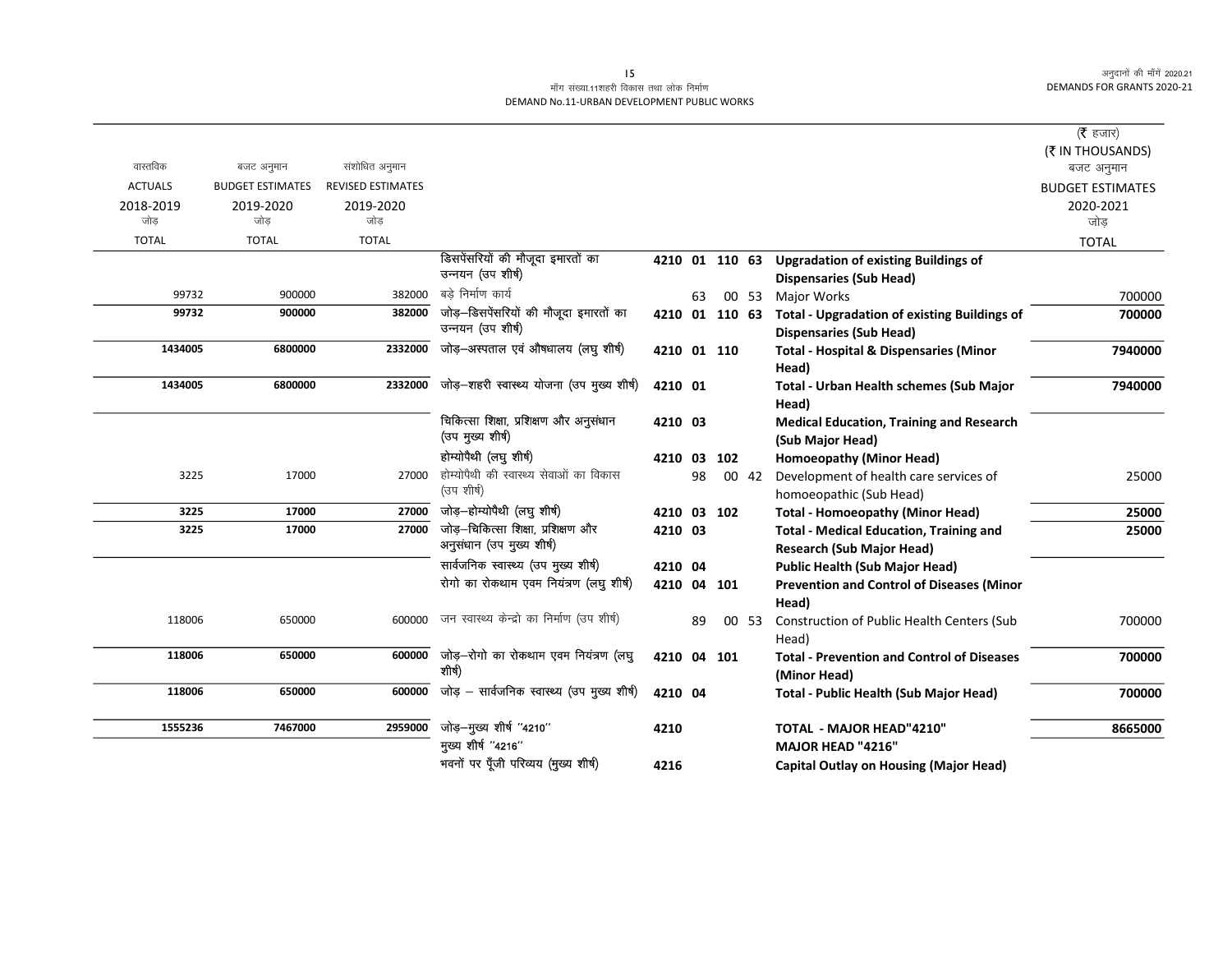# माँग संख्या.11शहरी विकास तथा लोक निर्माण DEMAND No.11-URBAN DEVELOPMENT PUBLIC WORKS

|                |                         |                          |                                                                 |             |    |     |       |                                                                                               | ( $\bar{\tau}$ हजार)    |
|----------------|-------------------------|--------------------------|-----------------------------------------------------------------|-------------|----|-----|-------|-----------------------------------------------------------------------------------------------|-------------------------|
|                |                         |                          |                                                                 |             |    |     |       |                                                                                               | (₹ IN THOUSANDS)        |
| वास्तविक       | बजट अनुमान              | संशोधित अनुमान           |                                                                 |             |    |     |       |                                                                                               | बजट अनुमान              |
| <b>ACTUALS</b> | <b>BUDGET ESTIMATES</b> | <b>REVISED ESTIMATES</b> |                                                                 |             |    |     |       |                                                                                               | <b>BUDGET ESTIMATES</b> |
| 2018-2019      | 2019-2020               | 2019-2020                |                                                                 |             |    |     |       |                                                                                               | 2020-2021               |
| जोड            | जोड                     | जोड                      |                                                                 |             |    |     |       |                                                                                               | जोड                     |
| <b>TOTAL</b>   | <b>TOTAL</b>            | <b>TOTAL</b>             |                                                                 |             |    |     |       |                                                                                               | <b>TOTAL</b>            |
|                |                         |                          | डिसपेंसरियों की मौजूदा इमारतों का<br>उन्नयन (उप शीर्ष)          |             |    |     |       | 4210 01 110 63 Upgradation of existing Buildings of<br><b>Dispensaries (Sub Head)</b>         |                         |
| 99732          | 900000                  | 382000                   | बडे निर्माण कार्य                                               |             | 63 |     | 00 53 | <b>Major Works</b>                                                                            | 700000                  |
| 99732          | 900000                  | 382000                   | जोड़–डिसपेंसरियों की मौजूदा इमारतों का<br>उन्नयन (उप शीर्ष)     |             |    |     |       | 4210 01 110 63 Total - Upgradation of existing Buildings of<br><b>Dispensaries (Sub Head)</b> | 700000                  |
| 1434005        | 6800000                 | 2332000                  | जोड़–अस्पताल एवं औषधालय (लघु शीर्ष)                             | 4210 01 110 |    |     |       | <b>Total - Hospital &amp; Dispensaries (Minor</b><br>Head)                                    | 7940000                 |
| 1434005        | 6800000                 | 2332000                  | जोड़-शहरी स्वास्थ्य योजना (उप मुख्य शीर्ष)                      | 4210 01     |    |     |       | Total - Urban Health schemes (Sub Major<br>Head)                                              | 7940000                 |
|                |                         |                          | चिकित्सा शिक्षा, प्रशिक्षण और अनुसंधान<br>(उप मुख्य शीर्ष)      | 4210 03     |    |     |       | <b>Medical Education, Training and Research</b><br>(Sub Major Head)                           |                         |
|                |                         |                          | होम्योपैथी (लघु शीर्ष)                                          | 4210 03     |    | 102 |       | Homoeopathy (Minor Head)                                                                      |                         |
| 3225           | 17000                   | 27000                    | होम्योपैथी की स्वास्थ्य सेवाओं का विकास<br>(उप शीर्ष)           |             | 98 |     | 00 42 | Development of health care services of                                                        | 25000                   |
|                |                         |                          |                                                                 |             |    |     |       | homoeopathic (Sub Head)                                                                       |                         |
| 3225           | 17000                   | 27000                    | जोड़-होम्योपैथी (लघु शीर्ष)                                     | 4210 03 102 |    |     |       | <b>Total - Homoeopathy (Minor Head)</b>                                                       | 25000                   |
| 3225           | 17000                   | 27000                    | जोड़-चिकित्सा शिक्षा, प्रशिक्षण और<br>अनुसंधान (उप मुख्य शीर्ष) | 4210 03     |    |     |       | <b>Total - Medical Education, Training and</b><br><b>Research (Sub Major Head)</b>            | 25000                   |
|                |                         |                          | सार्वजनिक स्वास्थ्य (उप मुख्य शीर्ष)                            | 4210 04     |    |     |       | <b>Public Health (Sub Major Head)</b>                                                         |                         |
|                |                         |                          | रोगो का रोकथाम एवम नियंत्रण (लघु शीर्ष)                         | 4210 04 101 |    |     |       | <b>Prevention and Control of Diseases (Minor</b><br>Head)                                     |                         |
| 118006         | 650000                  | 600000                   | जन स्वास्थ्य केन्द्रो का निर्माण (उप शीर्ष)                     |             | 89 |     | 00 53 | Construction of Public Health Centers (Sub<br>Head)                                           | 700000                  |
| 118006         | 650000                  | 600000                   | जोड़-रोगो का रोकथाम एवम नियंत्रण (लघु<br>शीर्ष)                 | 4210 04 101 |    |     |       | <b>Total - Prevention and Control of Diseases</b><br>(Minor Head)                             | 700000                  |
| 118006         | 650000                  | 600000                   | जोड़ – सार्वजनिक स्वास्थ्य (उप मुख्य शीर्ष)                     | 4210 04     |    |     |       | Total - Public Health (Sub Major Head)                                                        | 700000                  |
| 1555236        | 7467000                 | 2959000                  | जोड़-मुख्य शीर्ष "4210"<br>मुख्य शीर्ष "4216"                   | 4210        |    |     |       | <b>TOTAL - MAJOR HEAD"4210"</b><br>MAJOR HEAD "4216"                                          | 8665000                 |
|                |                         |                          | भवनों पर पूँजी परिव्यय (मुख्य शीर्ष)                            | 4216        |    |     |       | <b>Capital Outlay on Housing (Major Head)</b>                                                 |                         |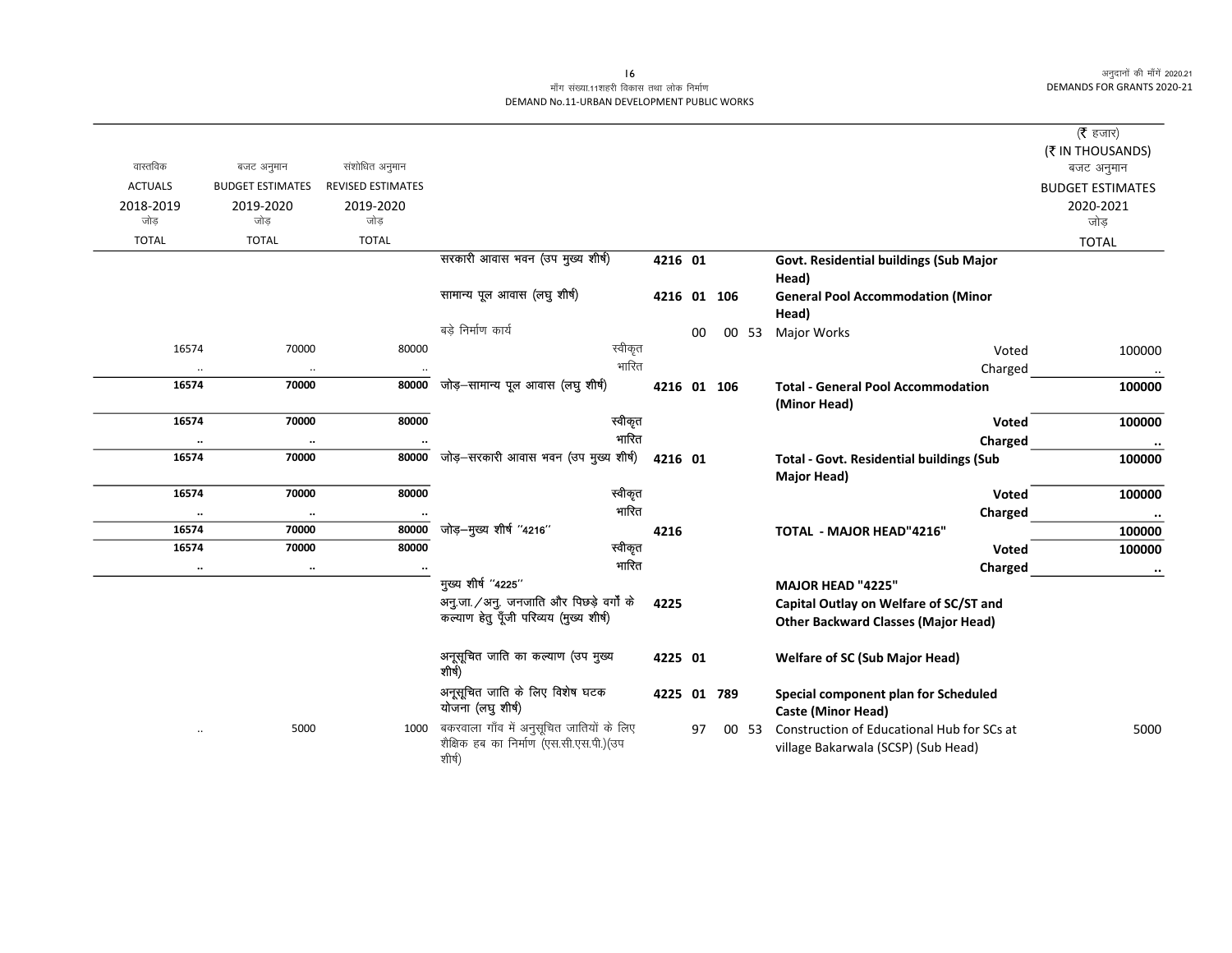|                |                         |                          |                                                                                               |             |    |       |                                                                                   | ( <b>रै</b> हजार)       |
|----------------|-------------------------|--------------------------|-----------------------------------------------------------------------------------------------|-------------|----|-------|-----------------------------------------------------------------------------------|-------------------------|
|                |                         |                          |                                                                                               |             |    |       |                                                                                   | (₹ IN THOUSANDS)        |
| वास्तविक       | बजट अनुमान              | संशोधित अनुमान           |                                                                                               |             |    |       |                                                                                   | बजट अनुमान              |
| <b>ACTUALS</b> | <b>BUDGET ESTIMATES</b> | <b>REVISED ESTIMATES</b> |                                                                                               |             |    |       |                                                                                   | <b>BUDGET ESTIMATES</b> |
| 2018-2019      | 2019-2020               | 2019-2020                |                                                                                               |             |    |       |                                                                                   | 2020-2021               |
| जोड            | जोड                     | जोड                      |                                                                                               |             |    |       |                                                                                   | जोड़                    |
| <b>TOTAL</b>   | <b>TOTAL</b>            | <b>TOTAL</b>             |                                                                                               |             |    |       |                                                                                   | <b>TOTAL</b>            |
|                |                         |                          | सरकारी आवास भवन (उप मुख्य शीर्ष)                                                              | 4216 01     |    |       | Govt. Residential buildings (Sub Major<br>Head)                                   |                         |
|                |                         |                          | सामान्य पूल आवास (लघु शीर्ष)                                                                  | 4216 01 106 |    |       | <b>General Pool Accommodation (Minor</b><br>Head)                                 |                         |
|                |                         |                          | बड़े निर्माण कार्य                                                                            |             | 00 | 00 53 | <b>Major Works</b>                                                                |                         |
| 16574          | 70000                   | 80000                    | स्वीकृत                                                                                       |             |    |       | Voted                                                                             | 100000                  |
| $\ldots$       | $\ddot{\phantom{0}}$    | $\ddotsc$                | भारित                                                                                         |             |    |       | Charged                                                                           | $\ldots$                |
| 16574          | 70000                   | 80000                    | जोड़–सामान्य पूल आवास (लघु शीर्ष)                                                             | 4216 01 106 |    |       | <b>Total - General Pool Accommodation</b>                                         | 100000                  |
|                |                         |                          |                                                                                               |             |    |       | (Minor Head)                                                                      |                         |
| 16574          | 70000                   | 80000                    | स्वीकृत                                                                                       |             |    |       | Voted                                                                             | 100000                  |
| $\ddotsc$      | $\ddot{\phantom{0}}$    |                          | गारित                                                                                         |             |    |       | Charged                                                                           | $\cdots$                |
| 16574          | 70000                   | 80000                    | जोड़-सरकारी आवास भवन (उप मुख्य शीर्ष)                                                         | 4216 01     |    |       | <b>Total - Govt. Residential buildings (Sub</b>                                   | 100000                  |
|                |                         |                          |                                                                                               |             |    |       | Major Head)                                                                       |                         |
| 16574          | 70000                   | 80000                    | स्वीकृत                                                                                       |             |    |       | Voted                                                                             | 100000                  |
| $\cdot\cdot$   | $\ddot{\phantom{0}}$    |                          | भारित                                                                                         |             |    |       | Charged                                                                           | $\cdots$                |
| 16574          | 70000                   | 80000                    | जोड़–मुख्य शीर्ष "4216"                                                                       | 4216        |    |       | <b>TOTAL - MAJOR HEAD"4216"</b>                                                   | 100000                  |
| 16574          | 70000                   | 80000                    | स्वीकृत                                                                                       |             |    |       | Voted                                                                             | 100000                  |
| $\cdot\cdot$   | $\ddot{\phantom{a}}$    |                          | गारित                                                                                         |             |    |       | Charged                                                                           | $\ddot{\phantom{a}}$    |
|                |                         |                          | मुख्य शीर्ष "4225"                                                                            |             |    |       | <b>MAJOR HEAD "4225"</b>                                                          |                         |
|                |                         |                          | अनु.जा./अनु. जनजाति और पिछड़े वर्गों के                                                       | 4225        |    |       | Capital Outlay on Welfare of SC/ST and                                            |                         |
|                |                         |                          | कल्याण हेतु पूँजी परिव्यय (मुख्य शीर्ष)                                                       |             |    |       | <b>Other Backward Classes (Major Head)</b>                                        |                         |
|                |                         |                          | अनूसूचित जाति का कल्याण (उप मुख्य<br>शीर्ष)                                                   | 4225 01     |    |       | <b>Welfare of SC (Sub Major Head)</b>                                             |                         |
|                |                         |                          | अनूसूचित जाति के लिए विशेष घटक<br>योजना (लघु शीर्ष)                                           | 4225 01 789 |    |       | Special component plan for Scheduled<br><b>Caste (Minor Head)</b>                 |                         |
| $\ddotsc$      | 5000                    | 1000                     | बकरवाला गाँव में अनुसूचित जातियों के लिए<br>शैक्षिक हब का निर्माण (एस.सी.एस.पी.)(उप<br>शीर्ष) |             | 97 | 00 53 | Construction of Educational Hub for SCs at<br>village Bakarwala (SCSP) (Sub Head) | 5000                    |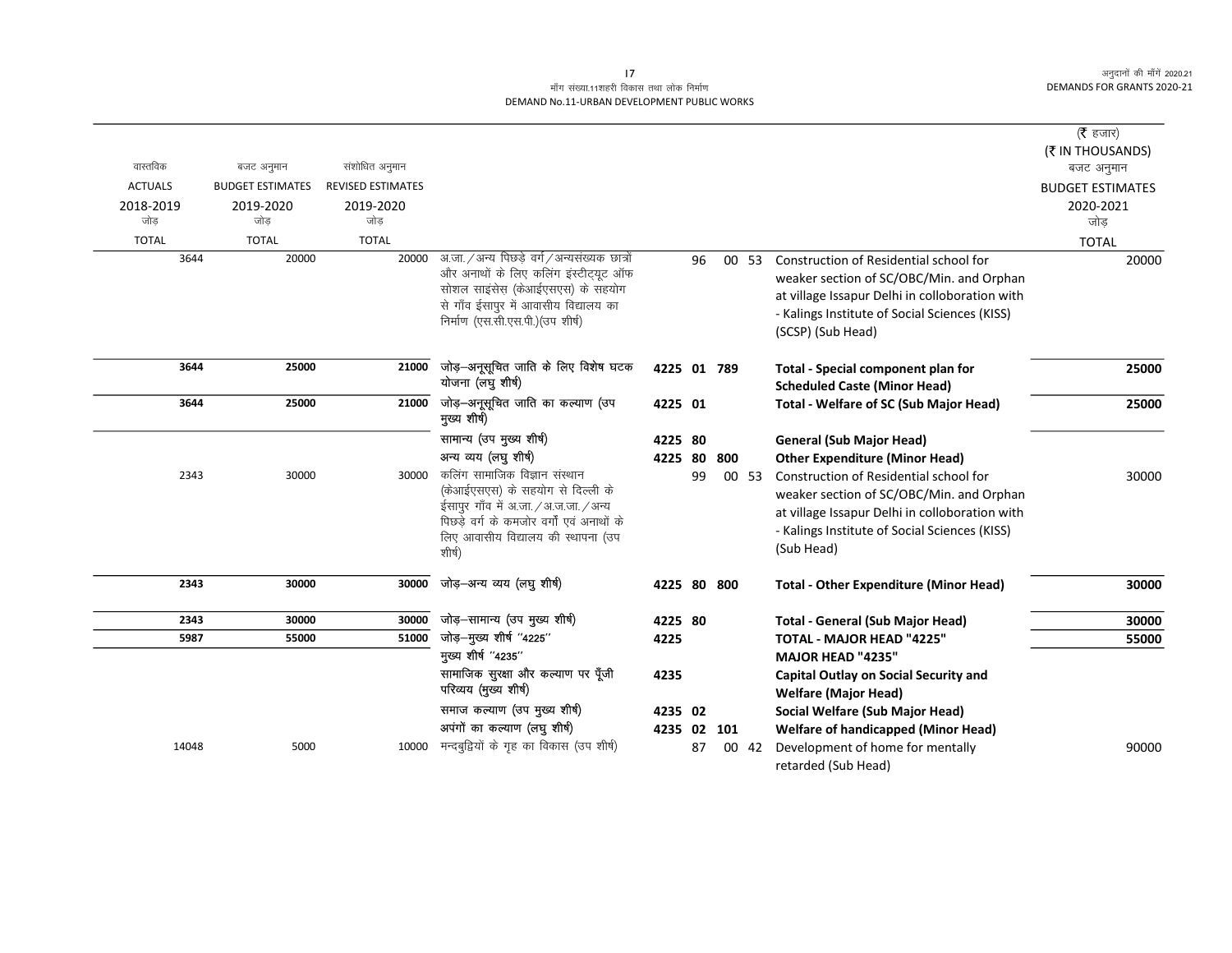# माँग संख्या.11शहरी विकास तथा लोक निर्माण DEMAND No.11-URBAN DEVELOPMENT PUBLIC WORKS

|                |                         |                          |                                                                                     |             |    |     |       |                                                | ( <b>रै</b> हजार)              |
|----------------|-------------------------|--------------------------|-------------------------------------------------------------------------------------|-------------|----|-----|-------|------------------------------------------------|--------------------------------|
| वास्तविक       | बजट अनुमान              | संशोधित अनुमान           |                                                                                     |             |    |     |       |                                                | (₹ IN THOUSANDS)<br>बजट अनुमान |
| <b>ACTUALS</b> | <b>BUDGET ESTIMATES</b> | <b>REVISED ESTIMATES</b> |                                                                                     |             |    |     |       |                                                | <b>BUDGET ESTIMATES</b>        |
| 2018-2019      | 2019-2020               | 2019-2020                |                                                                                     |             |    |     |       |                                                | 2020-2021                      |
| जोड            | जोड                     | जोड                      |                                                                                     |             |    |     |       |                                                | जोड                            |
| <b>TOTAL</b>   | <b>TOTAL</b>            | <b>TOTAL</b>             |                                                                                     |             |    |     |       |                                                |                                |
| 3644           | 20000                   | 20000                    | अ.जा. / अन्य पिछड़े वर्ग / अन्यसंख्यक छात्रों                                       |             | 96 |     |       | Construction of Residential school for         | <b>TOTAL</b>                   |
|                |                         |                          | और अनाथों के लिए कलिंग इंस्टीट्यूट ऑफ                                               |             |    |     | 00 53 |                                                | 20000                          |
|                |                         |                          | सोशल साइसेस (केआईएसएस) के सहयोग                                                     |             |    |     |       | weaker section of SC/OBC/Min. and Orphan       |                                |
|                |                         |                          | से गाँव ईसापुर में आवासीय विद्यालय का                                               |             |    |     |       | at village Issapur Delhi in colloboration with |                                |
|                |                         |                          | निर्माण (एस.सी.एस.पी.) (उप शीर्ष)                                                   |             |    |     |       | - Kalings Institute of Social Sciences (KISS)  |                                |
|                |                         |                          |                                                                                     |             |    |     |       | (SCSP) (Sub Head)                              |                                |
| 3644           | 25000                   | 21000                    | जोड़-अनूसूचित जाति के लिए विशेष घटक                                                 | 4225 01 789 |    |     |       | Total - Special component plan for             | 25000                          |
|                |                         |                          | योजना (लघु शीर्ष)                                                                   |             |    |     |       | <b>Scheduled Caste (Minor Head)</b>            |                                |
| 3644           | 25000                   | 21000                    | जोड़-अनूसूचित जाति का कल्याण (उप                                                    | 4225 01     |    |     |       | <b>Total - Welfare of SC (Sub Major Head)</b>  | 25000                          |
|                |                         |                          | मुख्य शीर्ष)                                                                        |             |    |     |       |                                                |                                |
|                |                         |                          | सामान्य (उप मुख्य शीर्ष)                                                            | 4225 80     |    |     |       | <b>General (Sub Major Head)</b>                |                                |
|                |                         |                          | अन्य व्यय (लघु शीर्ष)                                                               | 4225 80     |    | 800 |       | <b>Other Expenditure (Minor Head)</b>          |                                |
| 2343           | 30000                   | 30000                    | कलिंग सामाजिक विज्ञान संस्थान                                                       |             | 99 |     | 00 53 | Construction of Residential school for         | 30000                          |
|                |                         |                          | (केआईएसएस) के सहयोग से दिल्ली के                                                    |             |    |     |       | weaker section of SC/OBC/Min. and Orphan       |                                |
|                |                         |                          | ईसापुर गाँव में अ.जा. / अ.ज.जा. / अन्य<br>पिछड़े वर्ग के कमजोर वर्गों एवं अनाथों के |             |    |     |       | at village Issapur Delhi in colloboration with |                                |
|                |                         |                          | लिए आवासीय विद्यालय की स्थापना (उप                                                  |             |    |     |       | - Kalings Institute of Social Sciences (KISS)  |                                |
|                |                         |                          | शीर्ष)                                                                              |             |    |     |       | (Sub Head)                                     |                                |
|                |                         |                          |                                                                                     |             |    |     |       |                                                |                                |
| 2343           | 30000                   | 30000                    | जोड़–अन्य व्यय (लघु शीर्ष)                                                          | 4225 80 800 |    |     |       | <b>Total - Other Expenditure (Minor Head)</b>  | 30000                          |
|                |                         |                          |                                                                                     |             |    |     |       |                                                |                                |
| 2343           | 30000                   | 30000                    | जोड़-सामान्य (उप मुख्य शीर्ष)                                                       | 4225 80     |    |     |       | <b>Total - General (Sub Major Head)</b>        | 30000                          |
| 5987           | 55000                   | 51000                    | जोड़–मुख्य शीर्ष "4225"                                                             | 4225        |    |     |       | <b>TOTAL - MAJOR HEAD "4225"</b>               | 55000                          |
|                |                         |                          | मुख्य शीर्ष "4235"                                                                  |             |    |     |       | MAJOR HEAD "4235"                              |                                |
|                |                         |                          | सामाजिक सुरक्षा और कल्याण पर पूँजी                                                  | 4235        |    |     |       | <b>Capital Outlay on Social Security and</b>   |                                |
|                |                         |                          | परिव्यय (मुख्य शीर्ष)                                                               |             |    |     |       | <b>Welfare (Major Head)</b>                    |                                |
|                |                         |                          | समाज कल्याण (उप मुख्य शीर्ष)                                                        | 4235 02     |    |     |       | Social Welfare (Sub Major Head)                |                                |
|                |                         |                          | अपंगों का कल्याण (लघु शीर्ष)                                                        | 4235 02 101 |    |     |       | <b>Welfare of handicapped (Minor Head)</b>     |                                |
| 14048          | 5000                    | 10000                    | मन्दबुद्वियों के गृह का विकास (उप शीर्ष)                                            |             | 87 |     | 00 42 | Development of home for mentally               | 90000                          |
|                |                         |                          |                                                                                     |             |    |     |       | retarded (Sub Head)                            |                                |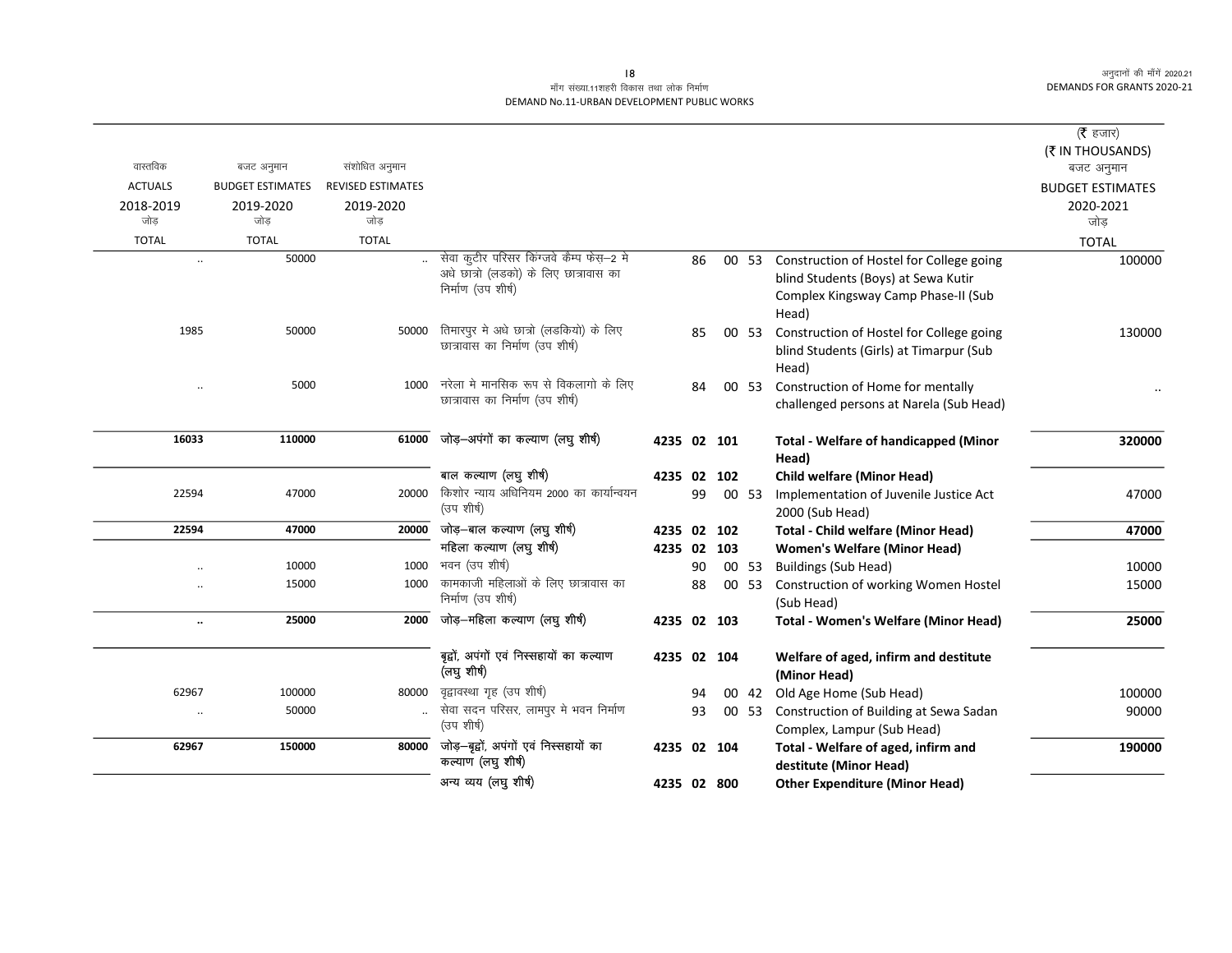|                      |                         |                          |                                                                                    |             |    |       |                                                                              | ( $\bar{\tau}$ हजार)    |
|----------------------|-------------------------|--------------------------|------------------------------------------------------------------------------------|-------------|----|-------|------------------------------------------------------------------------------|-------------------------|
|                      |                         |                          |                                                                                    |             |    |       |                                                                              | (₹ IN THOUSANDS)        |
| वास्तविक             | बजट अनुमान              | संशोधित अनुमान           |                                                                                    |             |    |       |                                                                              | बजट अनुमान              |
| <b>ACTUALS</b>       | <b>BUDGET ESTIMATES</b> | <b>REVISED ESTIMATES</b> |                                                                                    |             |    |       |                                                                              | <b>BUDGET ESTIMATES</b> |
| 2018-2019            | 2019-2020               | 2019-2020                |                                                                                    |             |    |       |                                                                              | 2020-2021               |
| जोड                  | जोड                     | जोड                      |                                                                                    |             |    |       |                                                                              | जोड                     |
| <b>TOTAL</b>         | <b>TOTAL</b>            | <b>TOTAL</b>             |                                                                                    |             |    |       |                                                                              | <b>TOTAL</b>            |
| $\ddot{\phantom{a}}$ | 50000                   |                          | सेवा कूटीर परिसर किंग्जवे कैम्प फेस़-2 मे<br>अधे छात्रो (लडको) के लिए छात्रावास का |             | 86 | 00 53 | Construction of Hostel for College going                                     | 100000                  |
|                      |                         |                          | निर्माण (उप शीर्ष)                                                                 |             |    |       | blind Students (Boys) at Sewa Kutir                                          |                         |
|                      |                         |                          |                                                                                    |             |    |       | Complex Kingsway Camp Phase-II (Sub                                          |                         |
|                      |                         |                          |                                                                                    |             |    |       | Head)                                                                        |                         |
| 1985                 | 50000                   | 50000                    | तिमारपुर मे अधे छात्रो (लडकियो) के लिए<br>छात्रावास का निर्माण (उप शीर्ष)          |             | 85 | 00 53 | Construction of Hostel for College going                                     | 130000                  |
|                      |                         |                          |                                                                                    |             |    |       | blind Students (Girls) at Timarpur (Sub                                      |                         |
|                      | 5000                    | 1000                     | नरेला मे मानसिक रूप से विकलागो के लिए                                              |             |    |       | Head)                                                                        |                         |
| $\ddotsc$            |                         |                          | छात्रावास का निर्माण (उप शीर्ष)                                                    |             | 84 | 00 53 | Construction of Home for mentally<br>challenged persons at Narela (Sub Head) |                         |
|                      |                         |                          |                                                                                    |             |    |       |                                                                              |                         |
| 16033                | 110000                  | 61000                    | जोड़-अपंगों का कल्याण (लघु शीर्ष)                                                  | 4235 02 101 |    |       | <b>Total - Welfare of handicapped (Minor</b>                                 | 320000                  |
|                      |                         |                          |                                                                                    |             |    |       | Head)                                                                        |                         |
|                      |                         |                          | बाल कल्याण (लघु शीर्ष)                                                             | 4235 02 102 |    |       | <b>Child welfare (Minor Head)</b>                                            |                         |
| 22594                | 47000                   | 20000                    | किशोर न्याय अधिनियम 2000 का कार्यान्वयन                                            |             | 99 | 00 53 | Implementation of Juvenile Justice Act                                       | 47000                   |
|                      |                         |                          | (उप शीर्ष)                                                                         |             |    |       | 2000 (Sub Head)                                                              |                         |
| 22594                | 47000                   | 20000                    | जोड़—बाल कल्याण (लघु शीर्ष)                                                        | 4235 02 102 |    |       | <b>Total - Child welfare (Minor Head)</b>                                    | 47000                   |
|                      |                         |                          | महिला कल्याण (लघु शीर्ष)                                                           | 4235 02 103 |    |       | <b>Women's Welfare (Minor Head)</b>                                          |                         |
| $\ddotsc$            | 10000                   | 1000                     | भवन (उप शीर्ष)                                                                     |             | 90 | 00 53 | <b>Buildings (Sub Head)</b>                                                  | 10000                   |
| $\ddot{\phantom{a}}$ | 15000                   | 1000                     | कामकाजी महिलाओं के लिए छात्रावास का                                                |             | 88 | 00 53 | Construction of working Women Hostel                                         | 15000                   |
|                      |                         |                          | निर्माण (उप शीर्ष)                                                                 |             |    |       | (Sub Head)                                                                   |                         |
|                      | 25000                   | 2000                     | जोड़—महिला कल्याण (लघु शीर्ष)                                                      | 4235 02 103 |    |       | <b>Total - Women's Welfare (Minor Head)</b>                                  | 25000                   |
|                      |                         |                          |                                                                                    |             |    |       |                                                                              |                         |
|                      |                         |                          | बृद्वों, अपंगों एवं निस्सहायों का कल्याण                                           | 4235 02 104 |    |       | Welfare of aged, infirm and destitute                                        |                         |
|                      |                         |                          | (लघु शीर्ष)                                                                        |             |    |       | (Minor Head)                                                                 |                         |
| 62967                | 100000                  | 80000                    | वृद्वावस्था गृह (उप शीर्ष)                                                         |             | 94 | 00 42 | Old Age Home (Sub Head)                                                      | 100000                  |
| $\ddot{\phantom{a}}$ | 50000                   |                          | सेवा सदन परिसर, लामपुर मे भवन निर्माण<br>(उप शीर्ष)                                |             | 93 | 00 53 | Construction of Building at Sewa Sadan                                       | 90000                   |
|                      |                         |                          | जोड़-बूद्वों, अपंगों एवं निस्सहायों का                                             |             |    |       | Complex, Lampur (Sub Head)                                                   |                         |
| 62967                | 150000                  | 80000                    | कल्याण (लघु शीर्ष)                                                                 | 4235 02 104 |    |       | Total - Welfare of aged, infirm and                                          | 190000                  |
|                      |                         |                          | अन्य व्यय (लघु शीर्ष)                                                              |             |    |       | destitute (Minor Head)                                                       |                         |
|                      |                         |                          |                                                                                    | 4235 02 800 |    |       | <b>Other Expenditure (Minor Head)</b>                                        |                         |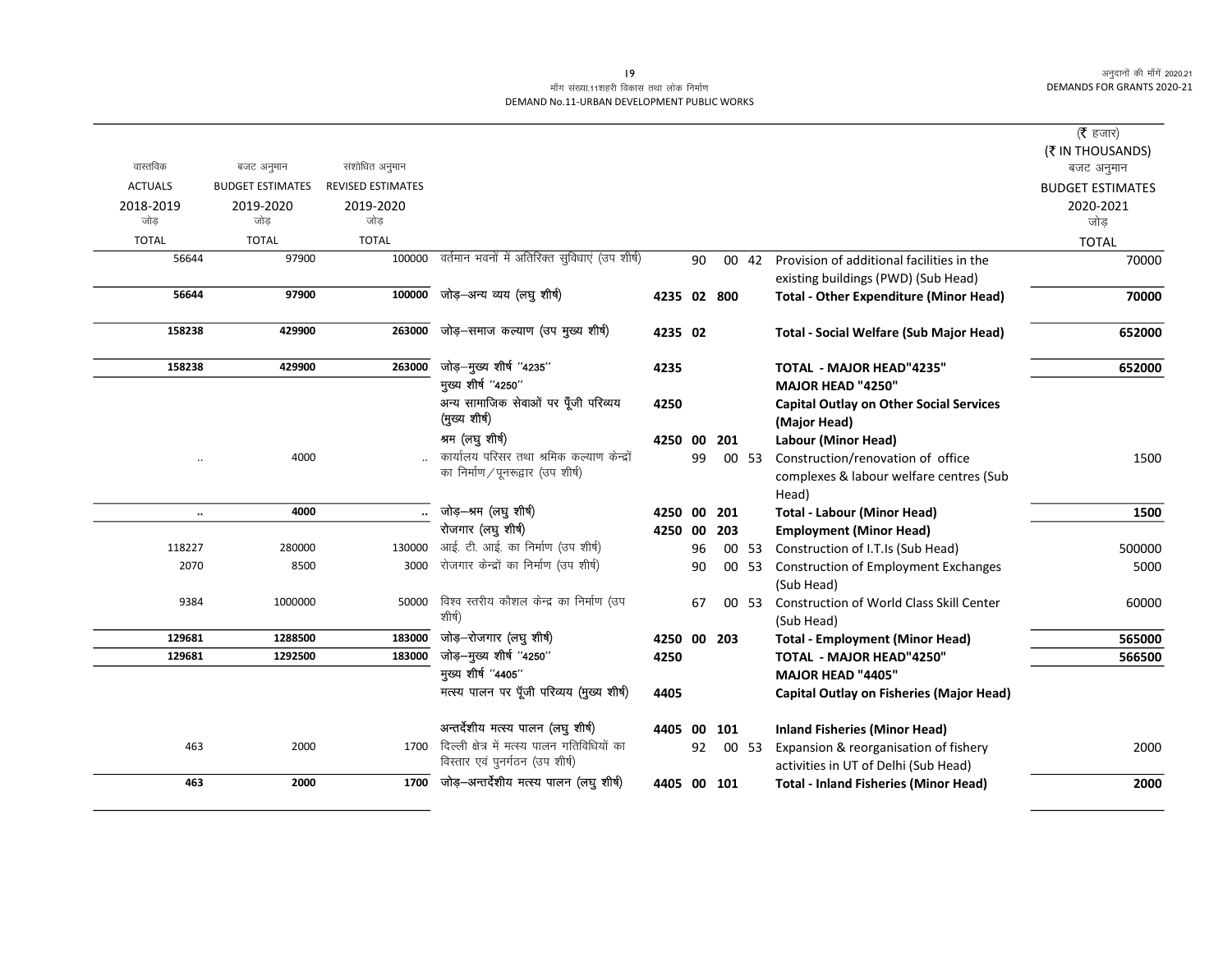|                |                         |                          |                                                                                  |             |    |            |       |                                                                      | ( $\bar{\tau}$ हजार)                  |
|----------------|-------------------------|--------------------------|----------------------------------------------------------------------------------|-------------|----|------------|-------|----------------------------------------------------------------------|---------------------------------------|
| वास्तविक       | बजट अनुमान              | संशोधित अनुमान           |                                                                                  |             |    |            |       |                                                                      | (₹ IN THOUSANDS)                      |
| <b>ACTUALS</b> | <b>BUDGET ESTIMATES</b> | <b>REVISED ESTIMATES</b> |                                                                                  |             |    |            |       |                                                                      | बजट अनुमान<br><b>BUDGET ESTIMATES</b> |
| 2018-2019      | 2019-2020               | 2019-2020                |                                                                                  |             |    |            |       |                                                                      | 2020-2021                             |
| जोड            | जोड                     | जोड                      |                                                                                  |             |    |            |       |                                                                      | जोड                                   |
| <b>TOTAL</b>   | <b>TOTAL</b>            | <b>TOTAL</b>             |                                                                                  |             |    |            |       |                                                                      | <b>TOTAL</b>                          |
| 56644          | 97900                   | 100000                   | वर्तमान भवनों में अतिरिक्त सुविधाएं (उप शीर्ष)                                   |             | 90 |            | 00 42 | Provision of additional facilities in the                            | 70000                                 |
|                |                         |                          |                                                                                  |             |    |            |       | existing buildings (PWD) (Sub Head)                                  |                                       |
| 56644          | 97900                   | 100000                   | जोड़-अन्य व्यय (लघु शीर्ष)                                                       | 4235 02 800 |    |            |       | <b>Total - Other Expenditure (Minor Head)</b>                        | 70000                                 |
| 158238         | 429900                  | 263000                   | जोड़-समाज कल्याण (उप मुख्य शीर्ष)                                                | 4235 02     |    |            |       | <b>Total - Social Welfare (Sub Major Head)</b>                       | 652000                                |
|                |                         |                          |                                                                                  |             |    |            |       |                                                                      |                                       |
| 158238         | 429900                  | 263000                   | जोड़-मुख्य शीर्ष "4235"                                                          | 4235        |    |            |       | TOTAL - MAJOR HEAD"4235"                                             | 652000                                |
|                |                         |                          | मुख्य शीर्ष "4250"                                                               |             |    |            |       | MAJOR HEAD "4250"                                                    |                                       |
|                |                         |                          | अन्य सामाजिक सेवाओं पर पूँजी परिव्यय                                             | 4250        |    |            |       | <b>Capital Outlay on Other Social Services</b>                       |                                       |
|                |                         |                          | (मुख्य शीर्ष)                                                                    |             |    |            |       | (Major Head)                                                         |                                       |
|                |                         |                          | श्रम (लघु शीर्ष)                                                                 | 4250 00     |    | 201        |       | Labour (Minor Head)                                                  |                                       |
|                | 4000                    |                          | कार्यालय परिसर तथा श्रमिक कल्याण केन्द्रों<br>का निर्माण / पूनरूद्वार (उप शीर्ष) |             | 99 |            | 00 53 | Construction/renovation of office                                    | 1500                                  |
|                |                         |                          |                                                                                  |             |    |            |       | complexes & labour welfare centres (Sub                              |                                       |
|                | 4000                    |                          | जोड़-श्रम (लघु शीर्ष)                                                            | 4250 00     |    |            |       | Head)                                                                | 1500                                  |
| $\ddotsc$      |                         | $\ddotsc$                | रोजगार (लघु शीर्ष)                                                               | 4250 00     |    | 201<br>203 |       | <b>Total - Labour (Minor Head)</b><br><b>Employment (Minor Head)</b> |                                       |
| 118227         | 280000                  | 130000                   | आई. टी. आई. का निर्माण (उप शीर्ष)                                                |             | 96 |            | 00 53 | Construction of I.T.Is (Sub Head)                                    | 500000                                |
| 2070           | 8500                    | 3000                     | रोजगार केन्द्रों का निर्माण (उप शीर्ष)                                           |             | 90 |            | 00 53 | <b>Construction of Employment Exchanges</b>                          | 5000                                  |
|                |                         |                          |                                                                                  |             |    |            |       | (Sub Head)                                                           |                                       |
| 9384           | 1000000                 | 50000                    | विश्व स्तरीय कौशल केन्द्र का निर्माण (उप                                         |             | 67 |            | 00 53 | Construction of World Class Skill Center                             | 60000                                 |
|                |                         |                          | शीर्ष)                                                                           |             |    |            |       | (Sub Head)                                                           |                                       |
| 129681         | 1288500                 | 183000                   | जोड़-रोजगार (लघु शीर्ष)                                                          | 4250 00 203 |    |            |       | <b>Total - Employment (Minor Head)</b>                               | 565000                                |
| 129681         | 1292500                 | 183000                   | जोड़-मुख्य शीर्ष "4250"                                                          | 4250        |    |            |       | <b>TOTAL - MAJOR HEAD"4250"</b>                                      | 566500                                |
|                |                         |                          | मुख्य शीर्ष "4405"                                                               |             |    |            |       | <b>MAJOR HEAD "4405"</b>                                             |                                       |
|                |                         |                          | मत्स्य पालन पर पूँजी परिव्यय (मुख्य शीर्ष)                                       | 4405        |    |            |       | <b>Capital Outlay on Fisheries (Major Head)</b>                      |                                       |
|                |                         |                          | अन्तर्देशीय मत्स्य पालन (लघु शीर्ष)                                              | 4405        | 00 | 101        |       | <b>Inland Fisheries (Minor Head)</b>                                 |                                       |
| 463            | 2000                    | 1700                     | दिल्ली क्षेत्र में मत्स्य पालन गतिविधियों का                                     |             | 92 |            | 00 53 | Expansion & reorganisation of fishery                                | 2000                                  |
|                |                         |                          | विस्तार एवं पुनर्गठन (उप शीर्ष)                                                  |             |    |            |       | activities in UT of Delhi (Sub Head)                                 |                                       |
| 463            | 2000                    | 1700                     | जोड़-अन्तर्देशीय मत्स्य पालन (लघु शीर्ष)                                         | 4405 00 101 |    |            |       | <b>Total - Inland Fisheries (Minor Head)</b>                         | 2000                                  |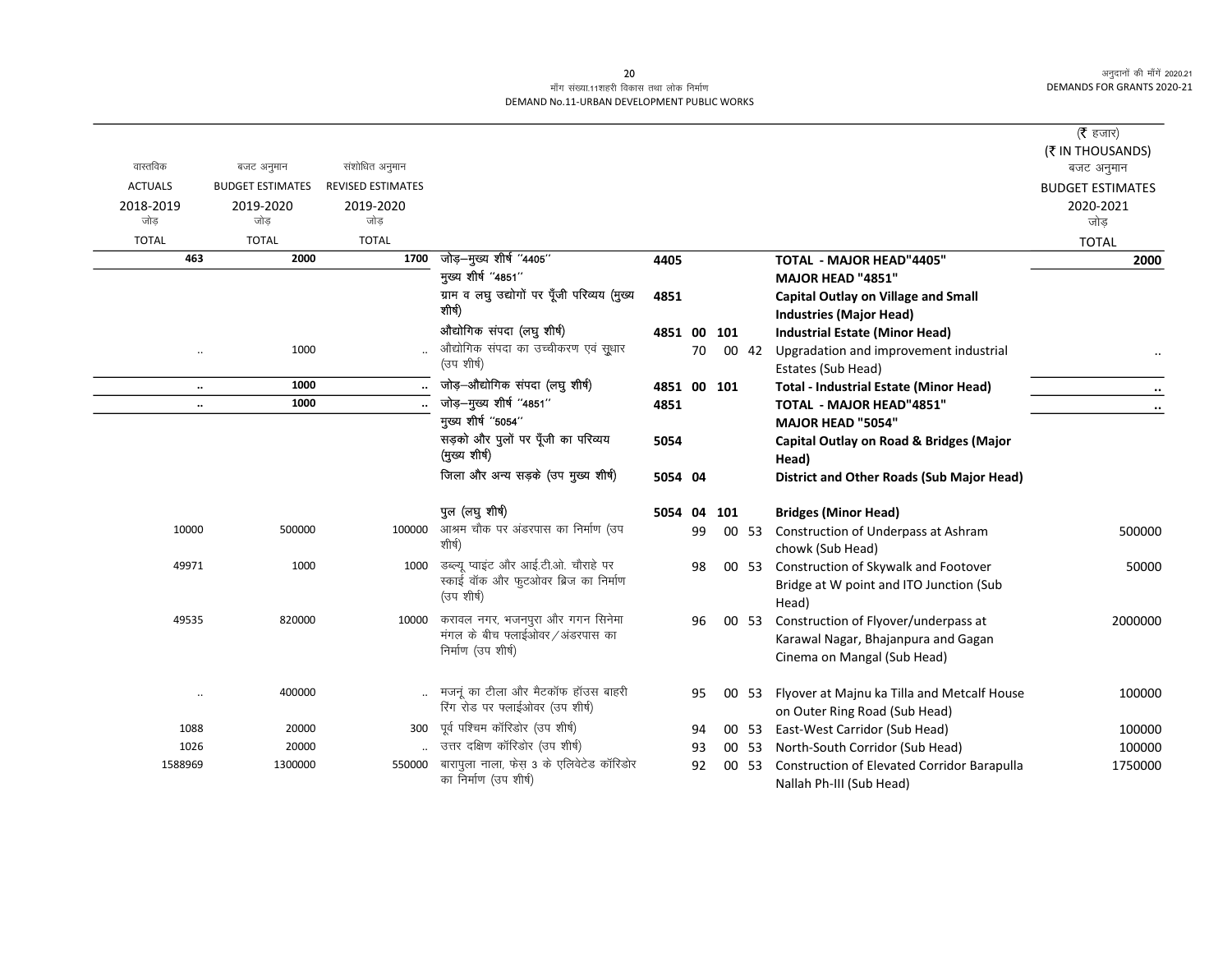|                      |                         |                          |                                                                       |             |    |     |       |                                                                                 | ( $\bar{\tau}$ हजार)    |
|----------------------|-------------------------|--------------------------|-----------------------------------------------------------------------|-------------|----|-----|-------|---------------------------------------------------------------------------------|-------------------------|
|                      |                         |                          |                                                                       |             |    |     |       |                                                                                 | (₹ IN THOUSANDS)        |
| वास्तविक             | बजट अनुमान              | संशोधित अनुमान           |                                                                       |             |    |     |       |                                                                                 | बजट अनुमान              |
| <b>ACTUALS</b>       | <b>BUDGET ESTIMATES</b> | <b>REVISED ESTIMATES</b> |                                                                       |             |    |     |       |                                                                                 | <b>BUDGET ESTIMATES</b> |
| 2018-2019            | 2019-2020               | 2019-2020                |                                                                       |             |    |     |       |                                                                                 | 2020-2021               |
| जोड                  | जोड                     | जोड                      |                                                                       |             |    |     |       |                                                                                 | जोड                     |
| <b>TOTAL</b>         | <b>TOTAL</b>            | <b>TOTAL</b>             |                                                                       |             |    |     |       |                                                                                 | <b>TOTAL</b>            |
| 463                  | 2000                    | 1700                     | जोड़-मुख्य शीर्ष "4405"                                               | 4405        |    |     |       | <b>TOTAL - MAJOR HEAD"4405"</b>                                                 | 2000                    |
|                      |                         |                          | मुख्य शीर्ष "4851"                                                    |             |    |     |       | MAJOR HEAD "4851"                                                               |                         |
|                      |                         |                          | ग्राम व लघु उद्योगों पर पूँजी परिव्यय (मुख्य<br>शीर्ष)                | 4851        |    |     |       | <b>Capital Outlay on Village and Small</b>                                      |                         |
|                      |                         |                          | औद्योगिक संपदा (लघु शीर्ष)                                            |             |    |     |       | <b>Industries (Major Head)</b>                                                  |                         |
|                      | 1000                    |                          | औद्योगिक संपदा का उच्चीकरण एवं सूधार                                  | 4851 00 101 | 70 |     | 00 42 | <b>Industrial Estate (Minor Head)</b><br>Upgradation and improvement industrial |                         |
|                      |                         |                          | (उप शीर्ष)                                                            |             |    |     |       | Estates (Sub Head)                                                              |                         |
| $\ddot{\phantom{a}}$ | 1000                    |                          | जोड़-औद्योगिक संपदा (लघु शीर्ष)                                       | 4851 00 101 |    |     |       | <b>Total - Industrial Estate (Minor Head)</b>                                   |                         |
| $\ddot{\phantom{a}}$ | 1000                    |                          | जोड़–मुख्य शीर्ष "4851"                                               | 4851        |    |     |       | TOTAL - MAJOR HEAD"4851"                                                        | $\ldots$                |
|                      |                         |                          | मुख्य शीर्ष "5054"                                                    |             |    |     |       | MAJOR HEAD "5054"                                                               |                         |
|                      |                         |                          | सड़को और पुलों पर पूँजी का परिव्यय                                    | 5054        |    |     |       | Capital Outlay on Road & Bridges (Major                                         |                         |
|                      |                         |                          | (मुख्य शीर्ष)                                                         |             |    |     |       | Head)                                                                           |                         |
|                      |                         |                          | जिला और अन्य सड़के (उप मुख्य शीर्ष)                                   | 5054 04     |    |     |       | District and Other Roads (Sub Major Head)                                       |                         |
|                      |                         |                          | पुल (लघु शीर्ष)                                                       | 5054 04     |    | 101 |       | <b>Bridges (Minor Head)</b>                                                     |                         |
| 10000                | 500000                  | 100000                   | आश्रम चौक पर अंडरपास का निर्माण (उप                                   |             | 99 |     | 00 53 | Construction of Underpass at Ashram                                             | 500000                  |
|                      |                         |                          | शीर्ष)                                                                |             |    |     |       | chowk (Sub Head)                                                                |                         |
| 49971                | 1000                    | 1000                     | डब्ल्यू प्वाइंट और आई.टी.ओ. चौराहे पर                                 |             | 98 |     | 00 53 | Construction of Skywalk and Footover                                            | 50000                   |
|                      |                         |                          | स्काई वॉक और फुटओवर ब्रिज का निर्माण<br>(उप शीर्ष)                    |             |    |     |       | Bridge at W point and ITO Junction (Sub                                         |                         |
|                      |                         |                          |                                                                       |             |    |     |       | Head)                                                                           |                         |
| 49535                | 820000                  | 10000                    | करावल नगर, भजनपुरा और गगन सिनेमा<br>मंगल के बीच फ्लाईओवर / अंडरपास का |             | 96 |     | 00 53 | Construction of Flyover/underpass at                                            | 2000000                 |
|                      |                         |                          | निर्माण (उप शीर्ष)                                                    |             |    |     |       | Karawal Nagar, Bhajanpura and Gagan                                             |                         |
|                      |                         |                          |                                                                       |             |    |     |       | Cinema on Mangal (Sub Head)                                                     |                         |
| $\cdot$ .            | 400000                  |                          | मजनूं का टीला और मैटकॉफ हॉउस बाहरी                                    |             | 95 |     | 00 53 | Flyover at Majnu ka Tilla and Metcalf House                                     | 100000                  |
|                      |                         |                          | रिंग रोड पर फ्लाईओवर (उप शीर्ष)                                       |             |    |     |       | on Outer Ring Road (Sub Head)                                                   |                         |
| 1088                 | 20000                   | 300                      | पूर्व पश्चिम कॉरिडोर (उप शीर्ष)                                       |             | 94 |     | 00 53 | East-West Carridor (Sub Head)                                                   | 100000                  |
| 1026                 | 20000                   |                          | उत्तर दक्षिण कॉरिडोर (उप शीर्ष)                                       |             | 93 |     | 00 53 | North-South Corridor (Sub Head)                                                 | 100000                  |
| 1588969              | 1300000                 | 550000                   | बारापुला नाला, फेस 3 के एलिवेटेड कॉरिडोर                              |             | 92 |     | 00 53 | Construction of Elevated Corridor Barapulla                                     | 1750000                 |
|                      |                         |                          | का निर्माण (उप शीर्ष)                                                 |             |    |     |       | Nallah Ph-III (Sub Head)                                                        |                         |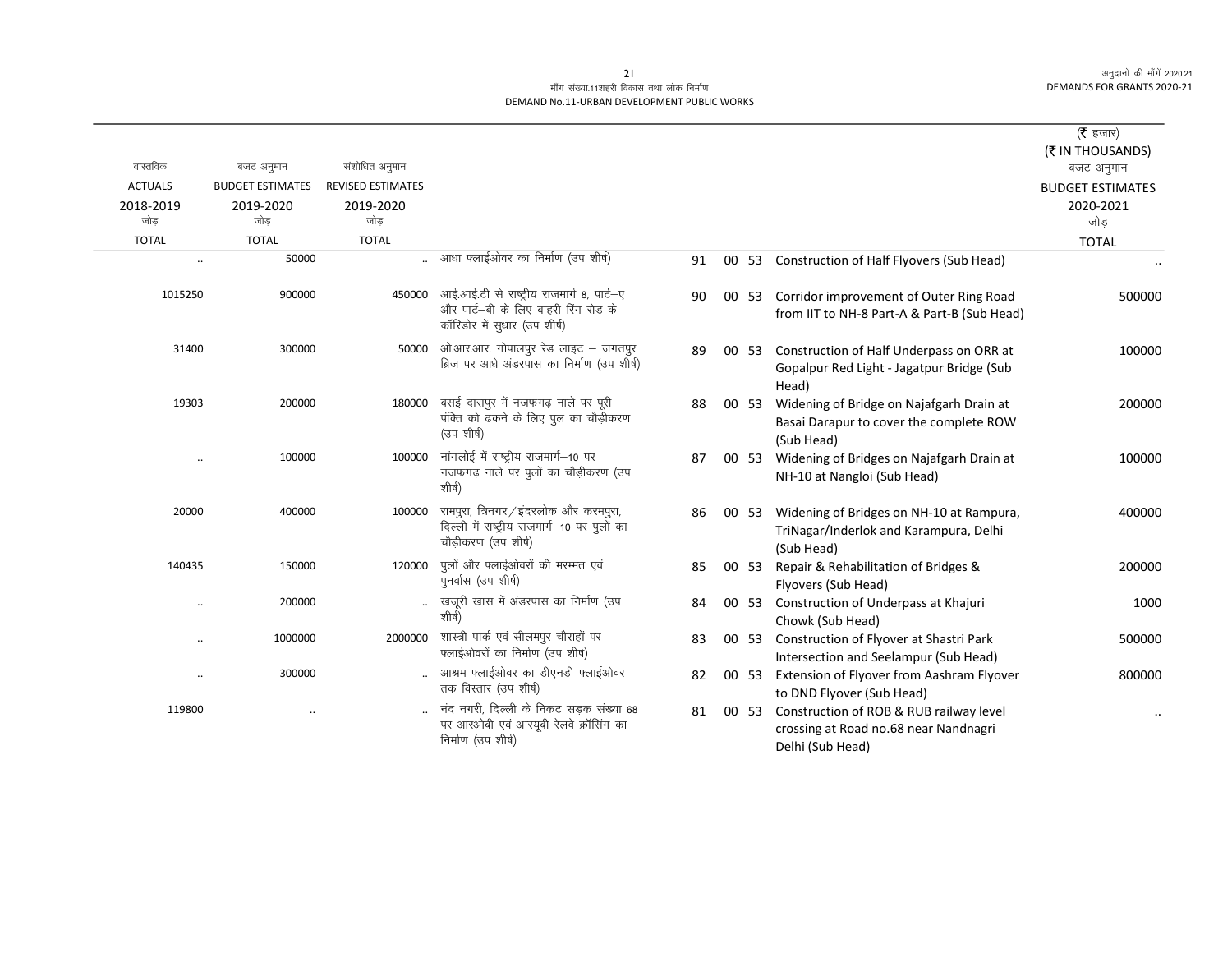|                      |                         |                          |                                                                                                                   |    |       |                                                                                                      | (रै हजार)               |
|----------------------|-------------------------|--------------------------|-------------------------------------------------------------------------------------------------------------------|----|-------|------------------------------------------------------------------------------------------------------|-------------------------|
|                      |                         |                          |                                                                                                                   |    |       |                                                                                                      | (₹ IN THOUSANDS)        |
| वास्तविक             | बजट अनुमान              | संशोधित अनुमान           |                                                                                                                   |    |       |                                                                                                      | बजट अनुमान              |
| <b>ACTUALS</b>       | <b>BUDGET ESTIMATES</b> | <b>REVISED ESTIMATES</b> |                                                                                                                   |    |       |                                                                                                      | <b>BUDGET ESTIMATES</b> |
| 2018-2019            | 2019-2020               | 2019-2020                |                                                                                                                   |    |       |                                                                                                      | 2020-2021               |
| जोड                  | जोड                     | जोड                      |                                                                                                                   |    |       |                                                                                                      | जोड                     |
| <b>TOTAL</b>         | <b>TOTAL</b>            | <b>TOTAL</b>             |                                                                                                                   |    |       |                                                                                                      | <b>TOTAL</b>            |
| $\ddot{\phantom{0}}$ | 50000                   |                          | आधा फ्लाईओवर का निर्माण (उप शीर्ष)                                                                                | 91 | 00 53 | Construction of Half Flyovers (Sub Head)                                                             |                         |
| 1015250              | 900000                  | 450000                   | आई.आई.टी से राष्ट्रीय राजमार्ग 8, पार्ट-ए<br>और पार्ट-बी के लिए बाहरी रिंग रोड के<br>कॉरिडोर में सुधार (उप शीर्ष) | 90 | 00 53 | Corridor improvement of Outer Ring Road<br>from IIT to NH-8 Part-A & Part-B (Sub Head)               | 500000                  |
| 31400                | 300000                  | 50000                    | ओ.आर.आर. गोपालपूर रेड लाइट – जगतपूर<br>ब्रिज पर आधे अंडरपास का निर्माण (उप शीर्ष)                                 | 89 | 00 53 | Construction of Half Underpass on ORR at<br>Gopalpur Red Light - Jagatpur Bridge (Sub<br>Head)       | 100000                  |
| 19303                | 200000                  | 180000                   | बसई दारापुर में नजफगढ़ नाले पर पूरी<br>पंक्ति को ढकने के लिए पुल का चौड़ीकरण<br>(उप शीर्ष)                        | 88 | 00 53 | Widening of Bridge on Najafgarh Drain at<br>Basai Darapur to cover the complete ROW<br>(Sub Head)    | 200000                  |
|                      | 100000                  | 100000                   | नांगलोई में राष्ट्रीय राजमार्ग-10 पर<br>नजफगढ़ नाले पर पुलों का चौड़ीकरण (उप<br>शीर्ष)                            | 87 |       | 00 53 Widening of Bridges on Najafgarh Drain at<br>NH-10 at Nangloi (Sub Head)                       | 100000                  |
| 20000                | 400000                  | 100000                   | रामपुरा, त्रिनगर/इंदरलोक और करमपुरा,<br>दिल्ली में राष्ट्रीय राजमार्ग-10 पर पुलों का<br>चौड़ीकरण (उप शीर्ष)       | 86 | 00 53 | Widening of Bridges on NH-10 at Rampura,<br>TriNagar/Inderlok and Karampura, Delhi<br>(Sub Head)     | 400000                  |
| 140435               | 150000                  | 120000                   | पुलों और फ्लाईओवरों की मरम्मत एवं<br>पुनर्वास (उप शीर्ष)                                                          | 85 | 00 53 | Repair & Rehabilitation of Bridges &<br>Flyovers (Sub Head)                                          | 200000                  |
| $\ddotsc$            | 200000                  |                          | खजूरी खास में अंडरपास का निर्माण (उप<br>शीर्ष)                                                                    | 84 | 00 53 | Construction of Underpass at Khajuri<br>Chowk (Sub Head)                                             | 1000                    |
| $\ddotsc$            | 1000000                 | 2000000                  | शास्त्री पार्क एवं सीलमपुर चौराहों पर<br>फ्लाईओवरों का निर्माण (उप शीर्ष)                                         | 83 | 00 53 | Construction of Flyover at Shastri Park<br>Intersection and Seelampur (Sub Head)                     | 500000                  |
| $\ddotsc$            | 300000                  |                          | आश्रम फ्लाईओवर का डीएनडी फ्लाईओवर<br>तक विस्तार (उप शीर्ष)                                                        | 82 | 00 53 | Extension of Flyover from Aashram Flyover<br>to DND Flyover (Sub Head)                               | 800000                  |
| 119800               |                         |                          | नंद नगरी. दिल्ली के निकट सडक संख्या 68<br>पर आरओबी एवं आरयूबी रेलवे क्रॉसिंग का<br>निर्माण (उप शीर्ष)             | 81 | 00 53 | Construction of ROB & RUB railway level<br>crossing at Road no.68 near Nandnagri<br>Delhi (Sub Head) |                         |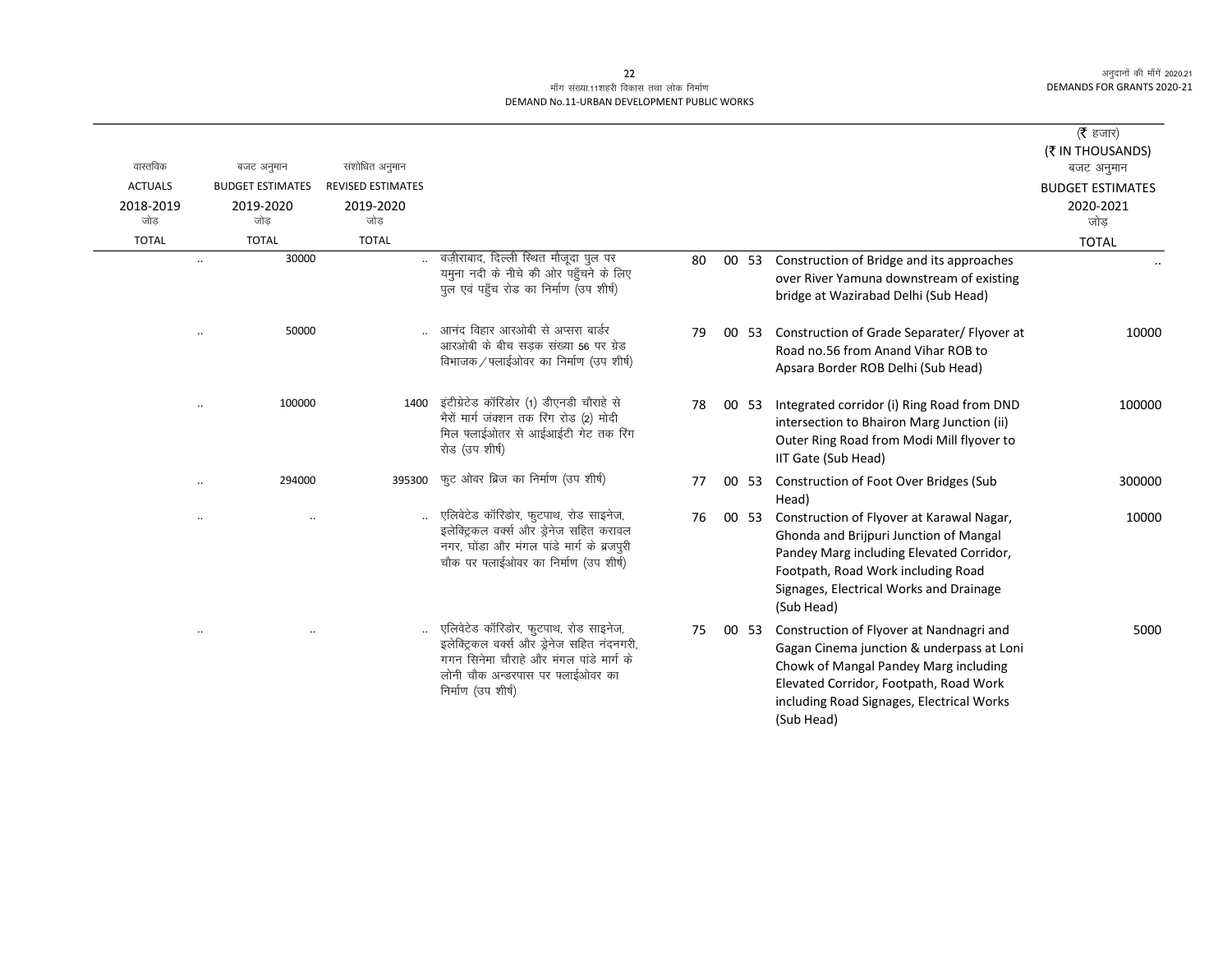|                                    |                                             |                                              |                                                                                                                                                                                            |    |       |                                                                                                                                                                                                                                     | ( $\bar{\tau}$ हजार)                        |
|------------------------------------|---------------------------------------------|----------------------------------------------|--------------------------------------------------------------------------------------------------------------------------------------------------------------------------------------------|----|-------|-------------------------------------------------------------------------------------------------------------------------------------------------------------------------------------------------------------------------------------|---------------------------------------------|
|                                    |                                             |                                              |                                                                                                                                                                                            |    |       |                                                                                                                                                                                                                                     | (₹ IN THOUSANDS)                            |
| वास्तविक                           | बजट अनुमान                                  | संशोधित अनुमान                               |                                                                                                                                                                                            |    |       |                                                                                                                                                                                                                                     | बजट अनुमान                                  |
| <b>ACTUALS</b><br>2018-2019<br>जोड | <b>BUDGET ESTIMATES</b><br>2019-2020<br>जोड | <b>REVISED ESTIMATES</b><br>2019-2020<br>जोड |                                                                                                                                                                                            |    |       |                                                                                                                                                                                                                                     | <b>BUDGET ESTIMATES</b><br>2020-2021<br>जोड |
| <b>TOTAL</b>                       | <b>TOTAL</b>                                | <b>TOTAL</b>                                 |                                                                                                                                                                                            |    |       |                                                                                                                                                                                                                                     | <b>TOTAL</b>                                |
|                                    | 30000                                       |                                              | वज़ीराबाद, दिल्ली स्थित मौजूदा पुल पर<br>यमुना नदी के नीचे की ओर पहुँचने के लिए<br>पुल एवं पहुँच रोड का निर्माण (उप शीर्ष)                                                                 | 80 | 00 53 | Construction of Bridge and its approaches<br>over River Yamuna downstream of existing<br>bridge at Wazirabad Delhi (Sub Head)                                                                                                       |                                             |
|                                    | 50000                                       |                                              | आनंद विहार आरओबी से अप्सरा बार्डर<br>आरओबी के बीच सडक संख्या 56 पर ग्रेड<br>विभाजक / फ्लाईओवर का निर्माण (उप शीर्ष)                                                                        | 79 | 00 53 | Construction of Grade Separater/ Flyover at<br>Road no.56 from Anand Vihar ROB to<br>Apsara Border ROB Delhi (Sub Head)                                                                                                             | 10000                                       |
|                                    | 100000                                      | 1400                                         | इंटीग्रेटेड कॉरिडोर (1) डीएनडी चौराहे से<br>भैरों मार्ग जंक्शन तक रिंग रोड (2) मोदी<br>मिल फ्लाईओतर से आईआईटी गेट तक रिंग<br>रोड (उप शीर्ष)                                                | 78 | 00 53 | Integrated corridor (i) Ring Road from DND<br>intersection to Bhairon Marg Junction (ii)<br>Outer Ring Road from Modi Mill flyover to<br>IIT Gate (Sub Head)                                                                        | 100000                                      |
|                                    | 294000                                      | 395300                                       | फुट ओवर ब्रिज का निर्माण (उप शीर्ष)                                                                                                                                                        | 77 | 00 53 | Construction of Foot Over Bridges (Sub<br>Head)                                                                                                                                                                                     | 300000                                      |
|                                    | $\ddotsc$                                   |                                              | एलिवेटेड कॉरिडोर, फुटपाथ, रोड साइनेज,<br>इलेक्ट्रिकल वर्क्स और ड्रेनेज सहित करावल<br>नगर, घोंडा और मंगल पांडे मार्ग के ब्रजपुरी<br>चौक पर फ्लाईओवर का निर्माण (उप शीर्ष)                   | 76 | 00 53 | Construction of Flyover at Karawal Nagar,<br>Ghonda and Brijpuri Junction of Mangal<br>Pandey Marg including Elevated Corridor,<br>Footpath, Road Work including Road<br>Signages, Electrical Works and Drainage<br>(Sub Head)      | 10000                                       |
| $\cdot \cdot$                      | $\ddotsc$                                   |                                              | एलिवेटेड कॉरिडोर, फुटपाथ, रोड साइनेज,<br>इलेक्ट्रिकल वर्क्स और ड्रेनेज सहित नंदनगरी,<br>गगन सिनेमा चौराहे और मंगल पांडे मार्ग के<br>लोनी चौक अन्डरपास पर फ्लाईओवर का<br>निर्माण (उप शीर्ष) | 75 | 00 53 | Construction of Flyover at Nandnagri and<br>Gagan Cinema junction & underpass at Loni<br>Chowk of Mangal Pandey Marg including<br>Elevated Corridor, Footpath, Road Work<br>including Road Signages, Electrical Works<br>(Sub Head) | 5000                                        |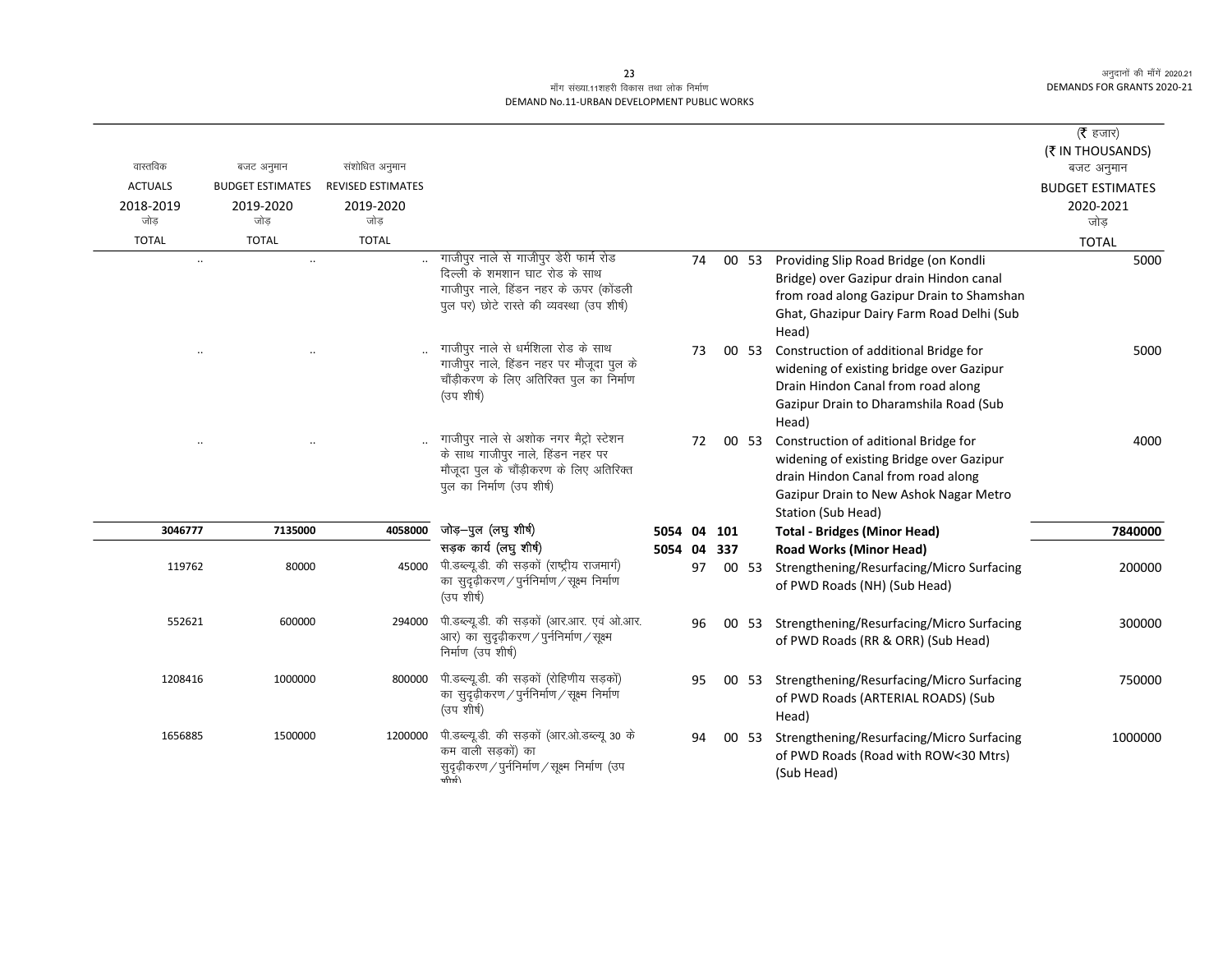| वास्तविक<br><b>ACTUALS</b><br>2018-2019<br>जोड | बजट अनुमान<br><b>BUDGET ESTIMATES</b><br>2019-2020<br>जोड | संशोधित अनुमान<br><b>REVISED ESTIMATES</b><br>2019-2020<br>जोड |                                                                                                                                                                  |         |          |     |       |                                                                                                                                                                                        | ( <b>रै</b> हजार)<br>(₹ IN THOUSANDS)<br>बजट अनुमान<br><b>BUDGET ESTIMATES</b><br>2020-2021<br>जोड |
|------------------------------------------------|-----------------------------------------------------------|----------------------------------------------------------------|------------------------------------------------------------------------------------------------------------------------------------------------------------------|---------|----------|-----|-------|----------------------------------------------------------------------------------------------------------------------------------------------------------------------------------------|----------------------------------------------------------------------------------------------------|
| <b>TOTAL</b>                                   | <b>TOTAL</b>                                              | <b>TOTAL</b>                                                   |                                                                                                                                                                  |         |          |     |       |                                                                                                                                                                                        | <b>TOTAL</b>                                                                                       |
| $\ddotsc$                                      | $\ddot{\phantom{a}}$                                      |                                                                | गाजीपुर नाले से गाजीपुर डेरी फार्म रोड<br>दिल्ली के शमशान घाट रोड के साथ<br>गाजीपुर नाले, हिंडन नहर के ऊपर (कोंडली<br>पुल पर) छोटे रास्ते की व्यवस्था (उप शीर्ष) |         | 74       |     | 00 53 | Providing Slip Road Bridge (on Kondli<br>Bridge) over Gazipur drain Hindon canal<br>from road along Gazipur Drain to Shamshan<br>Ghat, Ghazipur Dairy Farm Road Delhi (Sub<br>Head)    | 5000                                                                                               |
|                                                |                                                           |                                                                | गाजीपुर नाले से धर्मशिला रोड के साथ<br>गाजीपुर नाले, हिंडन नहर पर मौजूदा पुल के<br>चौंड़ीकरण के लिए अतिरिक्त पुल का निर्माण<br>(उप शीर्ष)                        |         | 73       |     | 00 53 | Construction of additional Bridge for<br>widening of existing bridge over Gazipur<br>Drain Hindon Canal from road along<br>Gazipur Drain to Dharamshila Road (Sub<br>Head)             | 5000                                                                                               |
|                                                |                                                           |                                                                | गाजीपुर नाले से अशोक नगर मैट्रो स्टेशन<br>के साथ गाजीपुर नाले, हिंडन नहर पर<br>मौजूदा पुल के चौंड़ीकरण के लिए अतिरिक्त<br>पुल का निर्माण (उप शीर्ष)              |         | 72       |     | 00 53 | Construction of aditional Bridge for<br>widening of existing Bridge over Gazipur<br>drain Hindon Canal from road along<br>Gazipur Drain to New Ashok Nagar Metro<br>Station (Sub Head) | 4000                                                                                               |
| 3046777                                        | 7135000                                                   | 4058000                                                        | जोड़-पुल (लघु शीर्ष)                                                                                                                                             | 5054 04 |          | 101 |       | <b>Total - Bridges (Minor Head)</b>                                                                                                                                                    | 7840000                                                                                            |
| 119762                                         | 80000                                                     | 45000                                                          | सड़क कार्य (लघु शीर्ष)<br>पी.डब्ल्यू.डी. की सड़कों (राष्ट्रीय राजमार्ग)<br>का सुदृढ़ीकरण / पुर्ननिर्माण / सूक्ष्म निर्माण<br>(उप शीर्ष)                          | 5054    | 04<br>97 | 337 | 00 53 | <b>Road Works (Minor Head)</b><br>Strengthening/Resurfacing/Micro Surfacing<br>of PWD Roads (NH) (Sub Head)                                                                            | 200000                                                                                             |
| 552621                                         | 600000                                                    | 294000                                                         | पी.डब्ल्यू.डी. की सड़कों (आर.आर. एवं ओ.आर.<br>आर) का सुदृढ़ीकरण / पुर्ननिर्माण / सूक्ष्म<br>निर्माण (उप शीर्ष)                                                   |         | 96       |     | 00 53 | Strengthening/Resurfacing/Micro Surfacing<br>of PWD Roads (RR & ORR) (Sub Head)                                                                                                        | 300000                                                                                             |
| 1208416                                        | 1000000                                                   | 800000                                                         | पी.डब्ल्यू.डी. की सड़कों (रोहिणीय सड़कों)<br>का सुदृढ़ीकरण / पुर्ननिर्माण / सूक्ष्म निर्माण<br>(उप शीर्ष)                                                        |         | 95       |     | 00 53 | Strengthening/Resurfacing/Micro Surfacing<br>of PWD Roads (ARTERIAL ROADS) (Sub<br>Head)                                                                                               | 750000                                                                                             |
| 1656885                                        | 1500000                                                   | 1200000                                                        | पी.डब्ल्यू.डी. की सड़कों (आर.ओ.डब्ल्यू 30 के<br>कम वाली सडकों) का<br>सुदृढ़ीकरण / पुर्ननिर्माण / सूक्ष्म निर्माण (उप<br>क्तीर्मी                                 |         | 94       |     | 00 53 | Strengthening/Resurfacing/Micro Surfacing<br>of PWD Roads (Road with ROW<30 Mtrs)<br>(Sub Head)                                                                                        | 1000000                                                                                            |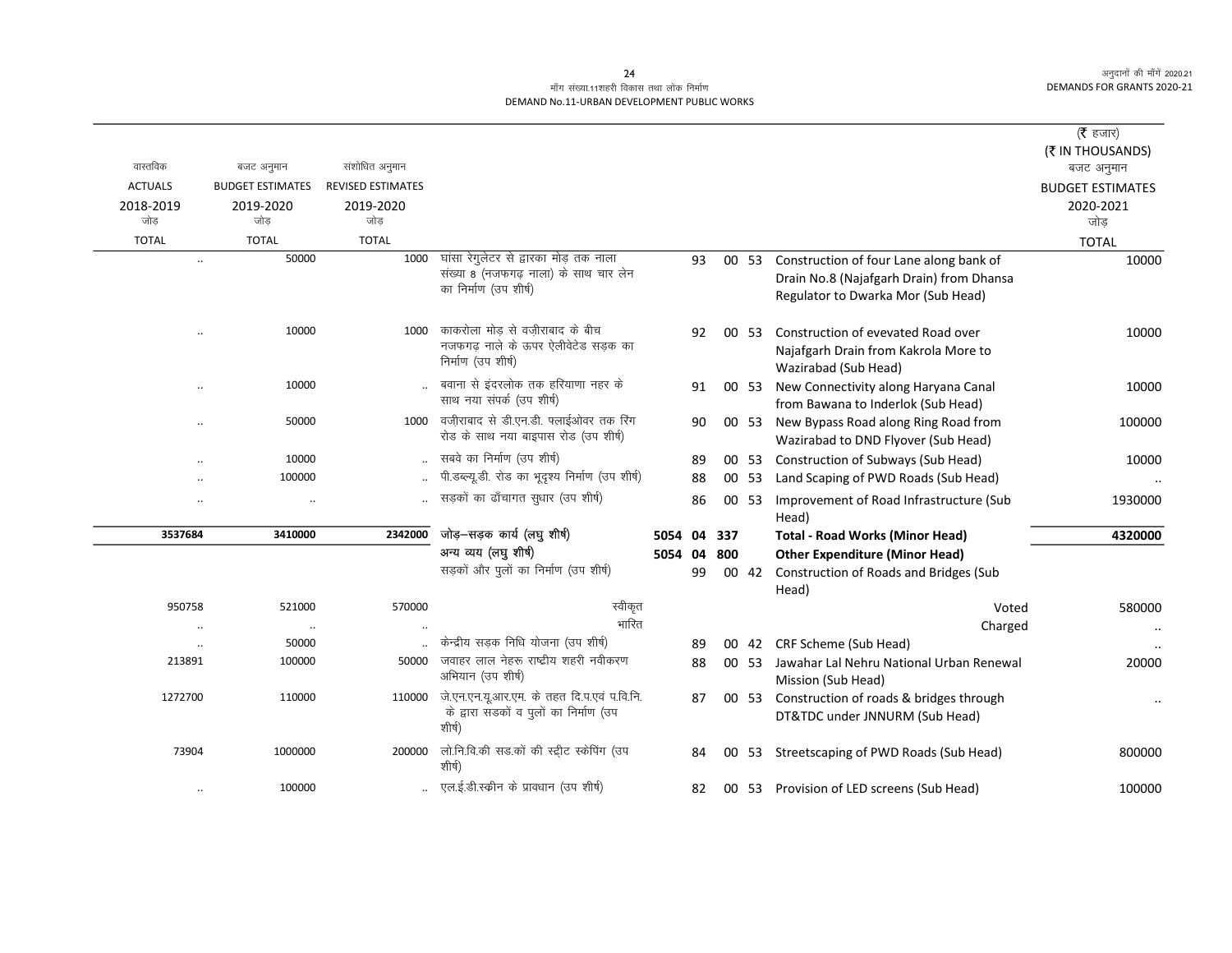# माँग संख्या.11शहरी विकास तथा लोक निर्माण DEMAND No.11-URBAN DEVELOPMENT PUBLIC WORKS

| वास्तविक       | बजट अनुमान                     | संशोधित अनुमान           |                                                                                       |         |    |     |       |                                                  | (रै हजार)<br>(₹ IN THOUSANDS)<br>बजट अनुमान |
|----------------|--------------------------------|--------------------------|---------------------------------------------------------------------------------------|---------|----|-----|-------|--------------------------------------------------|---------------------------------------------|
| <b>ACTUALS</b> | <b>BUDGET ESTIMATES</b>        | <b>REVISED ESTIMATES</b> |                                                                                       |         |    |     |       |                                                  | <b>BUDGET ESTIMATES</b>                     |
| 2018-2019      | 2019-2020                      | 2019-2020                |                                                                                       |         |    |     |       |                                                  | 2020-2021                                   |
| जोड            | जोड                            | जोड                      |                                                                                       |         |    |     |       |                                                  | जोड                                         |
| <b>TOTAL</b>   | <b>TOTAL</b>                   | <b>TOTAL</b>             |                                                                                       |         |    |     |       |                                                  | <b>TOTAL</b>                                |
|                | 50000<br>$\ldots$              | 1000                     | घांसा रेगुलेटर से द्वारका मोड़ तक नाला                                                |         | 93 |     | 00 53 | Construction of four Lane along bank of          | 10000                                       |
|                |                                |                          | संख्या 8 (नजफगढ़ नाला) के साथ चार लेन                                                 |         |    |     |       | Drain No.8 (Najafgarh Drain) from Dhansa         |                                             |
|                |                                |                          | का निर्माण (उप शीर्ष)                                                                 |         |    |     |       | Regulator to Dwarka Mor (Sub Head)               |                                             |
|                | 10000<br>$\ddotsc$             | 1000                     | काकरोला मोड से वजीराबाद के बीच                                                        |         | 92 |     | 00 53 | Construction of evevated Road over               | 10000                                       |
|                |                                |                          | नजफगढ़ नाले के ऊपर ऐलीवेटेड सड़क का                                                   |         |    |     |       | Najafgarh Drain from Kakrola More to             |                                             |
|                |                                |                          | निर्माण (उप शीर्ष)                                                                    |         |    |     |       | Wazirabad (Sub Head)                             |                                             |
|                | 10000<br>                      |                          | बवाना से इंदरलोक तक हरियाणा नहर के                                                    |         | 91 |     | 00 53 | New Connectivity along Haryana Canal             | 10000                                       |
|                |                                |                          | साथ नया संपर्क (उप शीर्ष)                                                             |         |    |     |       | from Bawana to Inderlok (Sub Head)               |                                             |
|                | 50000<br>$\ldots$              | 1000                     | वजी़राबाद से डी.एन.डी. फ्लाईओवर तक रिंग                                               |         | 90 |     | 00 53 | New Bypass Road along Ring Road from             | 100000                                      |
|                |                                |                          | रोड के साथ नया बाइपास रोड (उप शीर्ष)                                                  |         |    |     |       | Wazirabad to DND Flyover (Sub Head)              |                                             |
|                | 10000<br>$\ddot{\phantom{a}}$  |                          | सबवे का निर्माण (उप शीर्ष)                                                            |         | 89 |     |       | 00 53 Construction of Subways (Sub Head)         | 10000                                       |
|                | 100000                         |                          | पी.डब्ल्यू.डी. रोड का भूदृश्य निर्माण (उप शीर्ष)                                      |         | 88 |     | 00 53 | Land Scaping of PWD Roads (Sub Head)             |                                             |
|                | $\ddotsc$                      |                          | सड़कों का ढाँचागत सुधार (उप शीर्ष)                                                    |         | 86 |     | 00 53 | Improvement of Road Infrastructure (Sub<br>Head) | 1930000                                     |
| 3537684        | 3410000                        | 2342000                  | जोड़–सड़क कार्य (लघु शीर्ष)                                                           | 5054 04 |    | 337 |       | <b>Total - Road Works (Minor Head)</b>           | 4320000                                     |
|                |                                |                          | अन्य व्यय (लघु शीर्ष)                                                                 | 5054    | 04 | 800 |       | <b>Other Expenditure (Minor Head)</b>            |                                             |
|                |                                |                          | सड़कों और पुलों का निर्माण (उप शीर्ष)                                                 |         | 99 |     | 00 42 | <b>Construction of Roads and Bridges (Sub</b>    |                                             |
|                |                                |                          |                                                                                       |         |    |     |       | Head)                                            |                                             |
| 950758         | 521000                         | 570000                   | स्वीकृत                                                                               |         |    |     |       | Voted                                            | 580000                                      |
|                |                                |                          | भारित                                                                                 |         |    |     |       | Charged                                          | $\ddot{\phantom{0}}$                        |
|                | 50000                          |                          | केन्द्रीय सड़क निधि योजना (उप शीर्ष)                                                  |         | 89 |     |       | 00 42 CRF Scheme (Sub Head)                      |                                             |
| 213891         | 100000                         | 50000                    | जवाहर लाल नेहरू राष्ट्रीय शहरी नवीकरण                                                 |         | 88 |     | 00 53 | Jawahar Lal Nehru National Urban Renewal         | 20000                                       |
|                |                                |                          | अभियान (उप शीर्ष)                                                                     |         |    |     |       | Mission (Sub Head)                               |                                             |
| 1272700        | 110000                         | 110000                   | जे.एन.एन.यू.आर.एम. के तहत दि.प.एवं प.वि.नि.<br>के द्वारा सडकों व पुलों का निर्माण (उप |         | 87 |     | 00 53 | Construction of roads & bridges through          | $\ddot{\phantom{0}}$                        |
|                |                                |                          | शीर्ष)                                                                                |         |    |     |       | DT&TDC under JNNURM (Sub Head)                   |                                             |
| 73904          | 1000000                        | 200000                   | लो.नि.वि.की सड.कों की स्ट्रीट स्केपिंग (उप<br>शीर्ष)                                  |         | 84 | 00  | -53   | Streetscaping of PWD Roads (Sub Head)            | 800000                                      |
|                | 100000<br>$\ddot{\phantom{0}}$ |                          | एल.ई.डी.स्कीन के प्रावधान (उप शीर्ष)                                                  |         | 82 |     |       | 00 53 Provision of LED screens (Sub Head)        | 100000                                      |